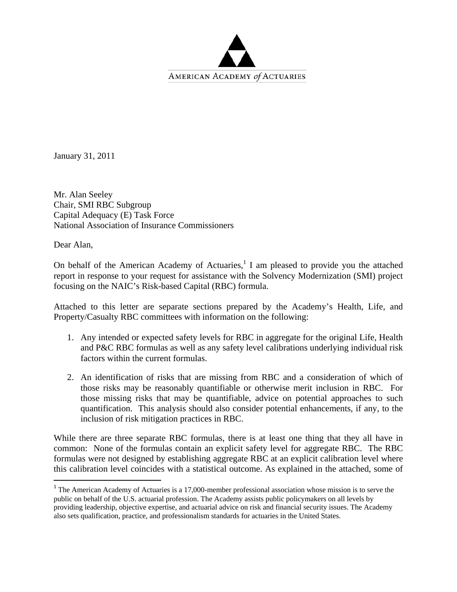

January 31, 2011

Mr. Alan Seeley Chair, SMI RBC Subgroup Capital Adequacy (E) Task Force National Association of Insurance Commissioners

Dear Alan,

On behalf of the American Academy of Actuaries, $<sup>1</sup>$  I am pleased to provide you the attached</sup> report in response to your request for assistance with the Solvency Modernization (SMI) project focusing on the NAIC's Risk-based Capital (RBC) formula.

Attached to this letter are separate sections prepared by the Academy's Health, Life, and Property/Casualty RBC committees with information on the following:

- 1. Any intended or expected safety levels for RBC in aggregate for the original Life, Health and P&C RBC formulas as well as any safety level calibrations underlying individual risk factors within the current formulas.
- 2. An identification of risks that are missing from RBC and a consideration of which of those risks may be reasonably quantifiable or otherwise merit inclusion in RBC. For those missing risks that may be quantifiable, advice on potential approaches to such quantification. This analysis should also consider potential enhancements, if any, to the inclusion of risk mitigation practices in RBC.

While there are three separate RBC formulas, there is at least one thing that they all have in common: None of the formulas contain an explicit safety level for aggregate RBC. The RBC formulas were not designed by establishing aggregate RBC at an explicit calibration level where this calibration level coincides with a statistical outcome. As explained in the attached, some of

<sup>&</sup>lt;sup>1</sup> The American Academy of Actuaries is a 17,000-member professional association whose mission is to serve the public on behalf of the U.S. actuarial profession. The Academy assists public policymakers on all levels by providing leadership, objective expertise, and actuarial advice on risk and financial security issues. The Academy also sets qualification, practice, and professionalism standards for actuaries in the United States.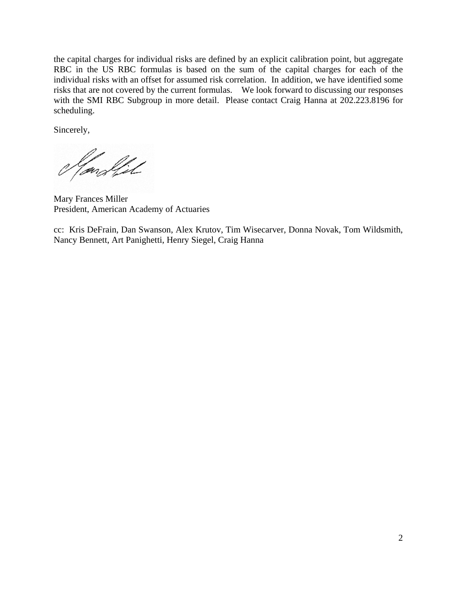the capital charges for individual risks are defined by an explicit calibration point, but aggregate RBC in the US RBC formulas is based on the sum of the capital charges for each of the individual risks with an offset for assumed risk correlation. In addition, we have identified some risks that are not covered by the current formulas. We look forward to discussing our responses with the SMI RBC Subgroup in more detail. Please contact Craig Hanna at 202.223.8196 for scheduling.

Sincerely,

land fil

Mary Frances Miller President, American Academy of Actuaries

cc: Kris DeFrain, Dan Swanson, Alex Krutov, Tim Wisecarver, Donna Novak, Tom Wildsmith, Nancy Bennett, Art Panighetti, Henry Siegel, Craig Hanna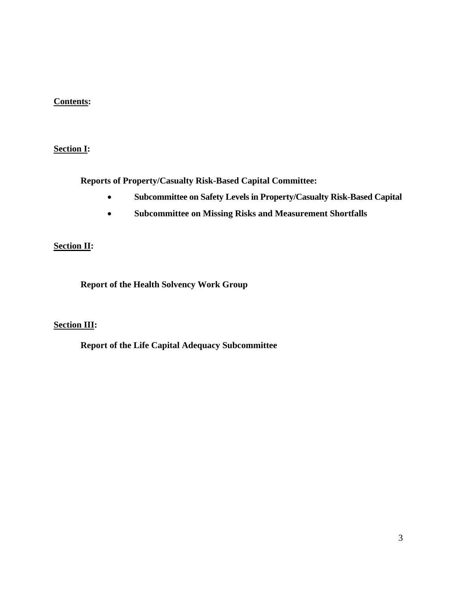### **Contents:**

### **Section I:**

**Reports of Property/Casualty Risk-Based Capital Committee:** 

- **Subcommittee on Safety Levels in Property/Casualty Risk-Based Capital**
- • **Subcommittee on Missing Risks and Measurement Shortfalls**

### **Section II:**

**Report of the Health Solvency Work Group** 

#### **Section III:**

**Report of the Life Capital Adequacy Subcommittee**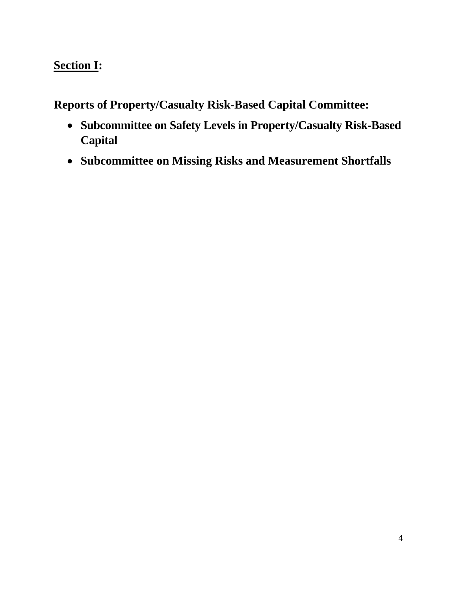# **Section I:**

**Reports of Property/Casualty Risk-Based Capital Committee:** 

- **Subcommittee on Safety Levels in Property/Casualty Risk-Based Capital**
- **Subcommittee on Missing Risks and Measurement Shortfalls**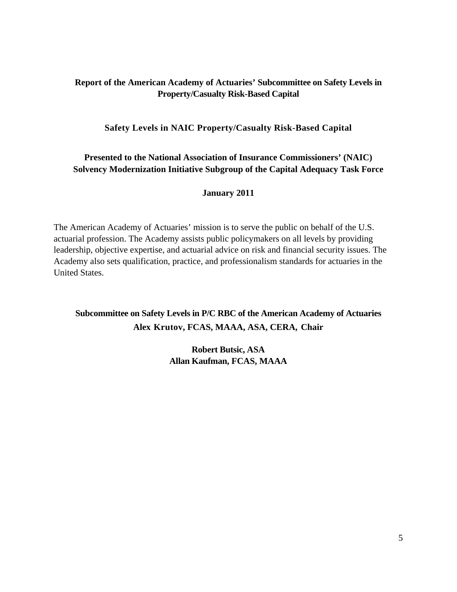### **Report of the American Academy of Actuaries' Subcommittee on Safety Levels in Property/Casualty Risk-Based Capital**

### **Safety Levels in NAIC Property/Casualty Risk-Based Capital**

### **Presented to the National Association of Insurance Commissioners' (NAIC) Solvency Modernization Initiative Subgroup of the Capital Adequacy Task Force**

#### **January 2011**

The American Academy of Actuaries' mission is to serve the public on behalf of the U.S. actuarial profession. The Academy assists public policymakers on all levels by providing leadership, objective expertise, and actuarial advice on risk and financial security issues. The Academy also sets qualification, practice, and professionalism standards for actuaries in the United States.

**Subcommittee on Safety Levels in P/C RBC of the American Academy of Actuaries Alex Krutov, FCAS, MAAA, ASA, CERA, Chair** 

> **Robert Butsic, ASA Allan Kaufman, FCAS, MAAA**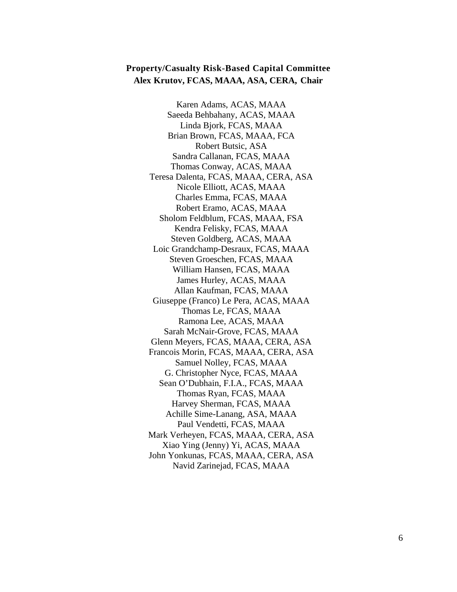#### **Property/Casualty Risk-Based Capital Committee Alex Krutov, FCAS, MAAA, ASA, CERA, Chair**

Karen Adams, ACAS, MAAA Saeeda Behbahany, ACAS, MAAA Linda Bjork, FCAS, MAAA Brian Brown, FCAS, MAAA, FCA Robert Butsic, ASA Sandra Callanan, FCAS, MAAA Thomas Conway, ACAS, MAAA Teresa Dalenta, FCAS, MAAA, CERA, ASA Nicole Elliott, ACAS, MAAA Charles Emma, FCAS, MAAA Robert Eramo, ACAS, MAAA Sholom Feldblum, FCAS, MAAA, FSA Kendra Felisky, FCAS, MAAA Steven Goldberg, ACAS, MAAA Loic Grandchamp-Desraux, FCAS, MAAA Steven Groeschen, FCAS, MAAA William Hansen, FCAS, MAAA James Hurley, ACAS, MAAA Allan Kaufman, FCAS, MAAA Giuseppe (Franco) Le Pera, ACAS, MAAA Thomas Le, FCAS, MAAA Ramona Lee, ACAS, MAAA Sarah McNair-Grove, FCAS, MAAA Glenn Meyers, FCAS, MAAA, CERA, ASA Francois Morin, FCAS, MAAA, CERA, ASA Samuel Nolley, FCAS, MAAA G. Christopher Nyce, FCAS, MAAA Sean O'Dubhain, F.I.A., FCAS, MAAA Thomas Ryan, FCAS, MAAA Harvey Sherman, FCAS, MAAA Achille Sime-Lanang, ASA, MAAA Paul Vendetti, FCAS, MAAA Mark Verheyen, FCAS, MAAA, CERA, ASA Xiao Ying (Jenny) Yi, ACAS, MAAA John Yonkunas, FCAS, MAAA, CERA, ASA Navid Zarinejad, FCAS, MAAA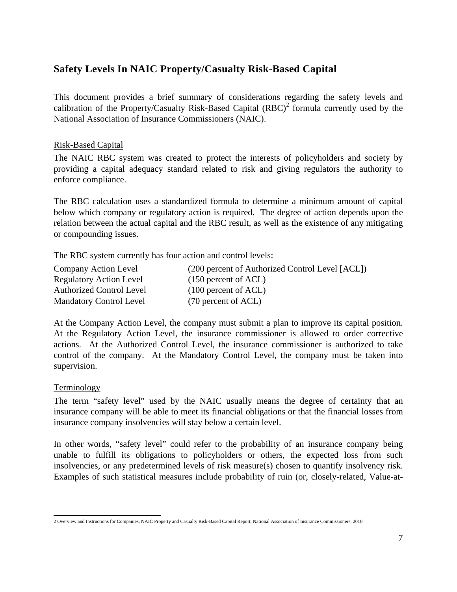# **Safety Levels In NAIC Property/Casualty Risk-Based Capital**

This document provides a brief summary of considerations regarding the safety levels and calibration of the Property/Casualty Risk-Based Capital  $(RBC)^2$  formula currently used by the National Association of Insurance Commissioners (NAIC).

#### Risk-Based Capital

The NAIC RBC system was created to protect the interests of policyholders and society by providing a capital adequacy standard related to risk and giving regulators the authority to enforce compliance.

The RBC calculation uses a standardized formula to determine a minimum amount of capital below which company or regulatory action is required. The degree of action depends upon the relation between the actual capital and the RBC result, as well as the existence of any mitigating or compounding issues.

The RBC system currently has four action and control levels:

| Company Action Level            | (200 percent of Authorized Control Level [ACL]) |
|---------------------------------|-------------------------------------------------|
| <b>Regulatory Action Level</b>  | $(150)$ percent of ACL)                         |
| <b>Authorized Control Level</b> | $(100)$ percent of ACL)                         |
| <b>Mandatory Control Level</b>  | (70 percent of ACL)                             |

At the Company Action Level, the company must submit a plan to improve its capital position. At the Regulatory Action Level, the insurance commissioner is allowed to order corrective actions. At the Authorized Control Level, the insurance commissioner is authorized to take control of the company. At the Mandatory Control Level, the company must be taken into supervision.

Terminology

The term "safety level" used by the NAIC usually means the degree of certainty that an insurance company will be able to meet its financial obligations or that the financial losses from insurance company insolvencies will stay below a certain level.

In other words, "safety level" could refer to the probability of an insurance company being unable to fulfill its obligations to policyholders or others, the expected loss from such insolvencies, or any predetermined levels of risk measure(s) chosen to quantify insolvency risk. Examples of such statistical measures include probability of ruin (or, closely-related, Value-at-

 2 Overview and Instructions for Companies, NAIC Property and Casualty Risk-Based Capital Report, National Association of Insurance Commissioners, 2010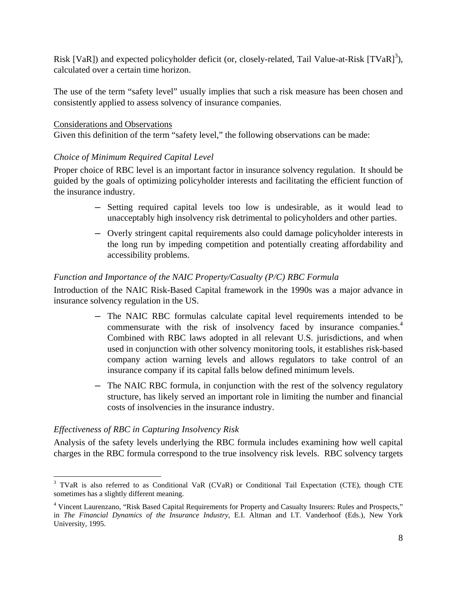Risk [VaR]) and expected policyholder deficit (or, closely-related, Tail Value-at-Risk [TVaR]<sup>3</sup>), calculated over a certain time horizon.

The use of the term "safety level" usually implies that such a risk measure has been chosen and consistently applied to assess solvency of insurance companies.

#### Considerations and Observations

Given this definition of the term "safety level," the following observations can be made:

#### *Choice of Minimum Required Capital Level*

Proper choice of RBC level is an important factor in insurance solvency regulation. It should be guided by the goals of optimizing policyholder interests and facilitating the efficient function of the insurance industry.

- ― Setting required capital levels too low is undesirable, as it would lead to unacceptably high insolvency risk detrimental to policyholders and other parties.
- ― Overly stringent capital requirements also could damage policyholder interests in the long run by impeding competition and potentially creating affordability and accessibility problems.

#### *Function and Importance of the NAIC Property/Casualty (P/C) RBC Formula*

Introduction of the NAIC Risk-Based Capital framework in the 1990s was a major advance in insurance solvency regulation in the US.

- ― The NAIC RBC formulas calculate capital level requirements intended to be commensurate with the risk of insolvency faced by insurance companies.<sup>4</sup> Combined with RBC laws adopted in all relevant U.S. jurisdictions, and when used in conjunction with other solvency monitoring tools, it establishes risk-based company action warning levels and allows regulators to take control of an insurance company if its capital falls below defined minimum levels.
- ― The NAIC RBC formula, in conjunction with the rest of the solvency regulatory structure, has likely served an important role in limiting the number and financial costs of insolvencies in the insurance industry.

#### *Effectiveness of RBC in Capturing Insolvency Risk*

Analysis of the safety levels underlying the RBC formula includes examining how well capital charges in the RBC formula correspond to the true insolvency risk levels. RBC solvency targets

 <sup>3</sup> TVaR is also referred to as Conditional VaR (CVaR) or Conditional Tail Expectation (CTE), though CTE sometimes has a slightly different meaning.

<sup>&</sup>lt;sup>4</sup> Vincent Laurenzano, "Risk Based Capital Requirements for Property and Casualty Insurers: Rules and Prospects," in *The Financial Dynamics of the Insurance Industry*, E.I. Altman and I.T. Vanderhoof (Eds.), New York University, 1995.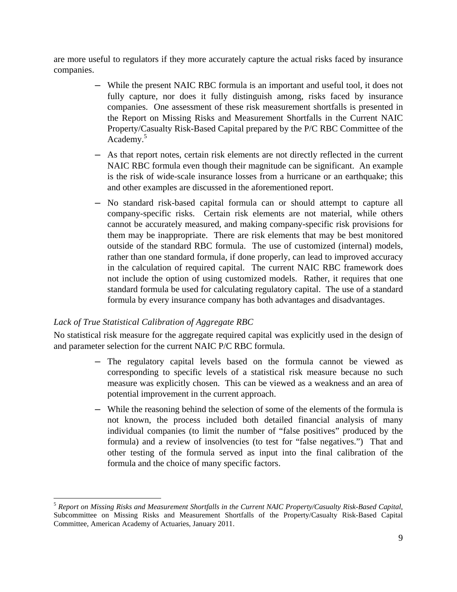are more useful to regulators if they more accurately capture the actual risks faced by insurance companies.

- ― While the present NAIC RBC formula is an important and useful tool, it does not fully capture, nor does it fully distinguish among, risks faced by insurance companies. One assessment of these risk measurement shortfalls is presented in the Report on Missing Risks and Measurement Shortfalls in the Current NAIC Property/Casualty Risk-Based Capital prepared by the P/C RBC Committee of the Academy.<sup>5</sup>
- ― As that report notes, certain risk elements are not directly reflected in the current NAIC RBC formula even though their magnitude can be significant. An example is the risk of wide-scale insurance losses from a hurricane or an earthquake; this and other examples are discussed in the aforementioned report.
- ― No standard risk-based capital formula can or should attempt to capture all company-specific risks. Certain risk elements are not material, while others cannot be accurately measured, and making company-specific risk provisions for them may be inappropriate. There are risk elements that may be best monitored outside of the standard RBC formula. The use of customized (internal) models, rather than one standard formula, if done properly, can lead to improved accuracy in the calculation of required capital. The current NAIC RBC framework does not include the option of using customized models. Rather, it requires that one standard formula be used for calculating regulatory capital. The use of a standard formula by every insurance company has both advantages and disadvantages.

### *Lack of True Statistical Calibration of Aggregate RBC*

No statistical risk measure for the aggregate required capital was explicitly used in the design of and parameter selection for the current NAIC P/C RBC formula.

- ― The regulatory capital levels based on the formula cannot be viewed as corresponding to specific levels of a statistical risk measure because no such measure was explicitly chosen. This can be viewed as a weakness and an area of potential improvement in the current approach.
- ― While the reasoning behind the selection of some of the elements of the formula is not known, the process included both detailed financial analysis of many individual companies (to limit the number of "false positives" produced by the formula) and a review of insolvencies (to test for "false negatives.") That and other testing of the formula served as input into the final calibration of the formula and the choice of many specific factors.

 <sup>5</sup> *Report on Missing Risks and Measurement Shortfalls in the Current NAIC Property/Casualty Risk-Based Capital*, Subcommittee on Missing Risks and Measurement Shortfalls of the Property/Casualty Risk-Based Capital Committee, American Academy of Actuaries, January 2011.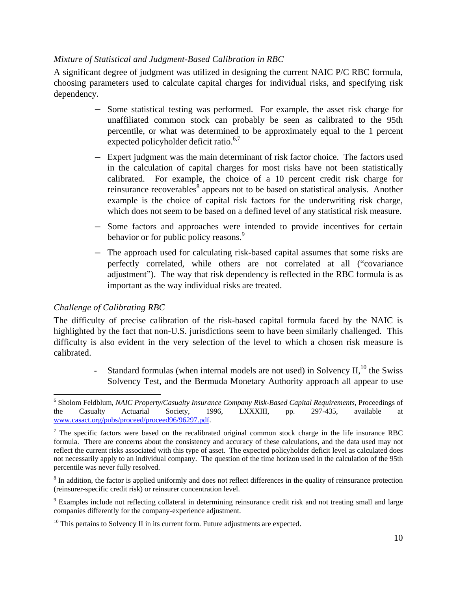#### *Mixture of Statistical and Judgment-Based Calibration in RBC*

A significant degree of judgment was utilized in designing the current NAIC P/C RBC formula, choosing parameters used to calculate capital charges for individual risks, and specifying risk dependency.

- ― Some statistical testing was performed. For example, the asset risk charge for unaffiliated common stock can probably be seen as calibrated to the 95th percentile, or what was determined to be approximately equal to the 1 percent expected policyholder deficit ratio. $6,7$
- ― Expert judgment was the main determinant of risk factor choice. The factors used in the calculation of capital charges for most risks have not been statistically calibrated. For example, the choice of a 10 percent credit risk charge for reinsurance recoverables<sup>8</sup> appears not to be based on statistical analysis. Another example is the choice of capital risk factors for the underwriting risk charge, which does not seem to be based on a defined level of any statistical risk measure.
- ― Some factors and approaches were intended to provide incentives for certain behavior or for public policy reasons.<sup>9</sup>
- ― The approach used for calculating risk-based capital assumes that some risks are perfectly correlated, while others are not correlated at all ("covariance adjustment"). The way that risk dependency is reflected in the RBC formula is as important as the way individual risks are treated.

#### *Challenge of Calibrating RBC*

The difficulty of precise calibration of the risk-based capital formula faced by the NAIC is highlighted by the fact that non-U.S. jurisdictions seem to have been similarly challenged. This difficulty is also evident in the very selection of the level to which a chosen risk measure is calibrated.

> Standard formulas (when internal models are not used) in Solvency  $II$ ,<sup>10</sup>, the Swiss Solvency Test, and the Bermuda Monetary Authority approach all appear to use

 6 Sholom Feldblum, *NAIC Property/Casualty Insurance Company Risk-Based Capital Requirements*, Proceedings of the Casualty Actuarial Society, 1996, LXXXIII, pp. 297-435, available at www.casact.org/pubs/proceed/proceed96/96297.pdf.

<sup>&</sup>lt;sup>7</sup> The specific factors were based on the recalibrated original common stock charge in the life insurance RBC formula. There are concerns about the consistency and accuracy of these calculations, and the data used may not reflect the current risks associated with this type of asset. The expected policyholder deficit level as calculated does not necessarily apply to an individual company. The question of the time horizon used in the calculation of the 95th percentile was never fully resolved.

<sup>&</sup>lt;sup>8</sup> In addition, the factor is applied uniformly and does not reflect differences in the quality of reinsurance protection (reinsurer-specific credit risk) or reinsurer concentration level.

<sup>&</sup>lt;sup>9</sup> Examples include not reflecting collateral in determining reinsurance credit risk and not treating small and large companies differently for the company-experience adjustment.

 $10$  This pertains to Solvency II in its current form. Future adjustments are expected.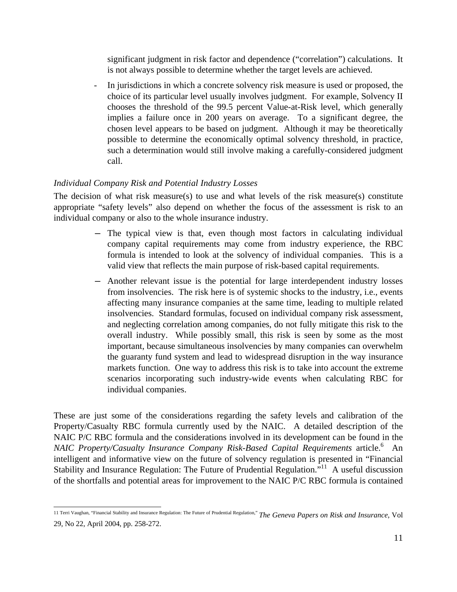significant judgment in risk factor and dependence ("correlation") calculations. It is not always possible to determine whether the target levels are achieved.

- In jurisdictions in which a concrete solvency risk measure is used or proposed, the choice of its particular level usually involves judgment. For example, Solvency II chooses the threshold of the 99.5 percent Value-at-Risk level, which generally implies a failure once in 200 years on average. To a significant degree, the chosen level appears to be based on judgment. Although it may be theoretically possible to determine the economically optimal solvency threshold, in practice, such a determination would still involve making a carefully-considered judgment call.

### *Individual Company Risk and Potential Industry Losses*

The decision of what risk measure(s) to use and what levels of the risk measure(s) constitute appropriate "safety levels" also depend on whether the focus of the assessment is risk to an individual company or also to the whole insurance industry.

- ― The typical view is that, even though most factors in calculating individual company capital requirements may come from industry experience, the RBC formula is intended to look at the solvency of individual companies. This is a valid view that reflects the main purpose of risk-based capital requirements.
- ― Another relevant issue is the potential for large interdependent industry losses from insolvencies. The risk here is of systemic shocks to the industry, i.e., events affecting many insurance companies at the same time, leading to multiple related insolvencies. Standard formulas, focused on individual company risk assessment, and neglecting correlation among companies, do not fully mitigate this risk to the overall industry. While possibly small, this risk is seen by some as the most important, because simultaneous insolvencies by many companies can overwhelm the guaranty fund system and lead to widespread disruption in the way insurance markets function. One way to address this risk is to take into account the extreme scenarios incorporating such industry-wide events when calculating RBC for individual companies.

These are just some of the considerations regarding the safety levels and calibration of the Property/Casualty RBC formula currently used by the NAIC. A detailed description of the NAIC P/C RBC formula and the considerations involved in its development can be found in the NAIC Property/Casualty Insurance Company Risk-Based Capital Requirements article.<sup>6</sup> An intelligent and informative view on the future of solvency regulation is presented in "Financial Stability and Insurance Regulation: The Future of Prudential Regulation.<sup>511</sup> A useful discussion of the shortfalls and potential areas for improvement to the NAIC P/C RBC formula is contained

<sup>11</sup> Terri Vaughan, "Financial Stability and Insurance Regulation: The Future of Prudential Regulation," *The Geneva Papers on Risk and Insurance*, Vol 29, No 22, April 2004, pp. 258-272.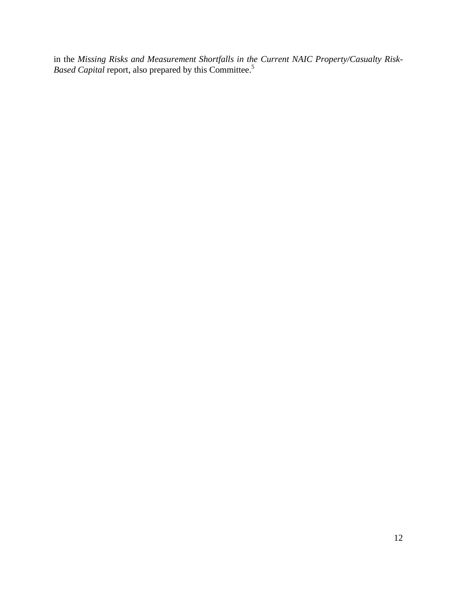in the *Missing Risks and Measurement Shortfalls in the Current NAIC Property/Casualty Risk-Based Capital* report, also prepared by this Committee.<sup>5</sup>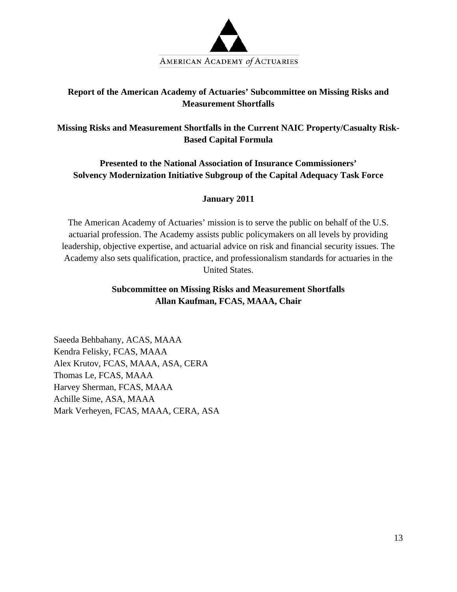

### **Report of the American Academy of Actuaries' Subcommittee on Missing Risks and Measurement Shortfalls**

**Missing Risks and Measurement Shortfalls in the Current NAIC Property/Casualty Risk-Based Capital Formula** 

**Presented to the National Association of Insurance Commissioners' Solvency Modernization Initiative Subgroup of the Capital Adequacy Task Force** 

#### **January 2011**

The American Academy of Actuaries' mission is to serve the public on behalf of the U.S. actuarial profession. The Academy assists public policymakers on all levels by providing leadership, objective expertise, and actuarial advice on risk and financial security issues. The Academy also sets qualification, practice, and professionalism standards for actuaries in the United States.

### **Subcommittee on Missing Risks and Measurement Shortfalls Allan Kaufman, FCAS, MAAA, Chair**

Saeeda Behbahany, ACAS, MAAA Kendra Felisky, FCAS, MAAA Alex Krutov, FCAS, MAAA, ASA, CERA Thomas Le, FCAS, MAAA Harvey Sherman, FCAS, MAAA Achille Sime, ASA, MAAA Mark Verheyen, FCAS, MAAA, CERA, ASA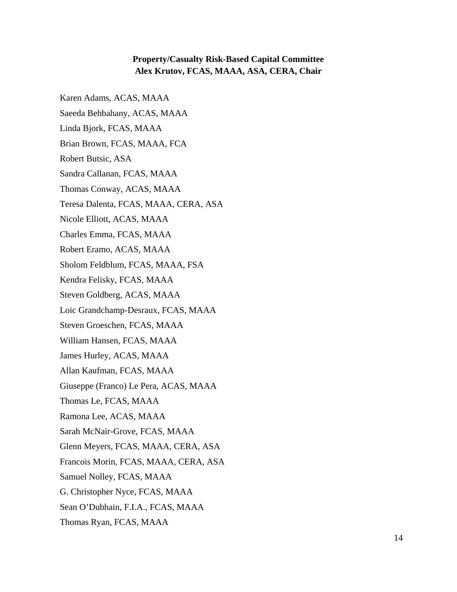#### **Property/Casualty Risk-Based Capital Committee Alex Krutov, FCAS, MAAA, ASA, CERA, Chair**

Karen Adams, ACAS, MAAA Saeeda Behbahany, ACAS, MAAA Linda Bjork, FCAS, MAAA Brian Brown, FCAS, MAAA, FCA Robert Butsic, ASA Sandra Callanan, FCAS, MAAA Thomas Conway, ACAS, MAAA Teresa Dalenta, FCAS, MAAA, CERA, ASA Nicole Elliott, ACAS, MAAA Charles Emma, FCAS, MAAA Robert Eramo, ACAS, MAAA Sholom Feldblum, FCAS, MAAA, FSA Kendra Felisky, FCAS, MAAA Steven Goldberg, ACAS, MAAA Loic Grandchamp-Desraux, FCAS, MAAA Steven Groeschen, FCAS, MAAA William Hansen, FCAS, MAAA James Hurley, ACAS, MAAA Allan Kaufman, FCAS, MAAA Giuseppe (Franco) Le Pera, ACAS, MAAA Thomas Le, FCAS, MAAA Ramona Lee, ACAS, MAAA Sarah McNair-Grove, FCAS, MAAA Glenn Meyers, FCAS, MAAA, CERA, ASA Francois Morin, FCAS, MAAA, CERA, ASA Samuel Nolley, FCAS, MAAA G. Christopher Nyce, FCAS, MAAA Sean O'Dubhain, F.I.A., FCAS, MAAA Thomas Ryan, FCAS, MAAA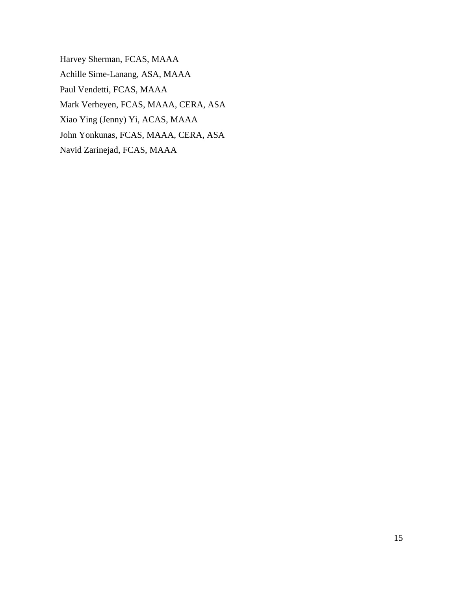Harvey Sherman, FCAS, MAAA Achille Sime-Lanang, ASA, MAAA Paul Vendetti, FCAS, MAAA Mark Verheyen, FCAS, MAAA, CERA, ASA Xiao Ying (Jenny) Yi, ACAS, MAAA John Yonkunas, FCAS, MAAA, CERA, ASA Navid Zarinejad, FCAS, MAAA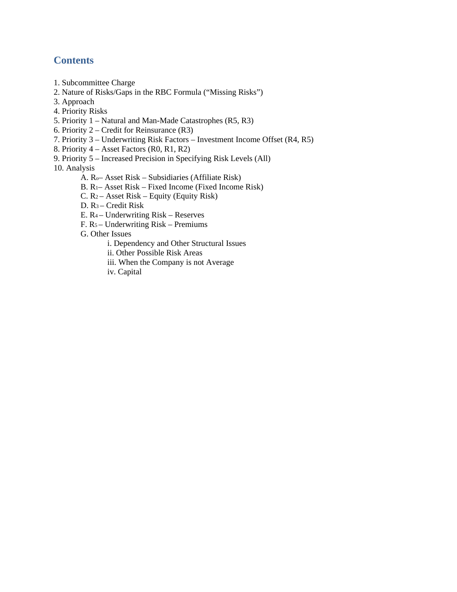## **Contents**

- 1. Subcommittee Charge
- 2. Nature of Risks/Gaps in the RBC Formula ("Missing Risks")
- 3. Approach
- 4. Priority Risks
- 5. Priority 1 Natural and Man-Made Catastrophes (R5, R3)
- 6. Priority 2 Credit for Reinsurance (R3)
- 7. Priority 3 Underwriting Risk Factors Investment Income Offset (R4, R5)
- 8. Priority 4 Asset Factors (R0, R1, R2)
- 9. Priority 5 Increased Precision in Specifying Risk Levels (All)

10. Analysis

- A. Ro– Asset Risk Subsidiaries (Affiliate Risk)
- B. R1– Asset Risk Fixed Income (Fixed Income Risk)
- C.  $R_2$  Asset Risk Equity (Equity Risk)
- D. R3 Credit Risk
- E. R4 Underwriting Risk Reserves
- F. R5 Underwriting Risk Premiums
- G. Other Issues
	- i. Dependency and Other Structural Issues
	- ii. Other Possible Risk Areas
	- iii. When the Company is not Average
	- iv. Capital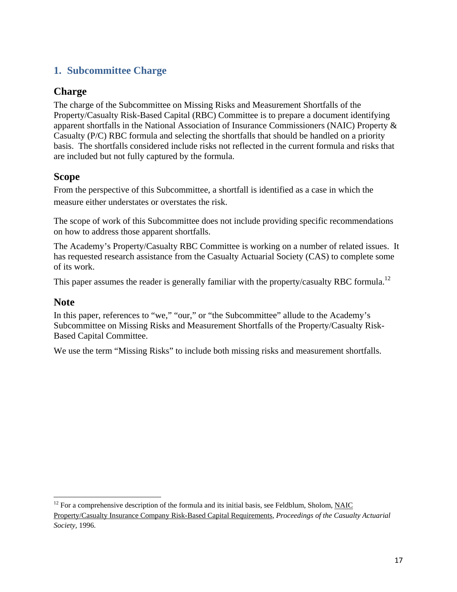# **1. Subcommittee Charge**

## **Charge**

The charge of the Subcommittee on Missing Risks and Measurement Shortfalls of the Property/Casualty Risk-Based Capital (RBC) Committee is to prepare a document identifying apparent shortfalls in the National Association of Insurance Commissioners (NAIC) Property & Casualty (P/C) RBC formula and selecting the shortfalls that should be handled on a priority basis. The shortfalls considered include risks not reflected in the current formula and risks that are included but not fully captured by the formula.

## **Scope**

From the perspective of this Subcommittee, a shortfall is identified as a case in which the measure either understates or overstates the risk.

The scope of work of this Subcommittee does not include providing specific recommendations on how to address those apparent shortfalls.

The Academy's Property/Casualty RBC Committee is working on a number of related issues. It has requested research assistance from the Casualty Actuarial Society (CAS) to complete some of its work.

This paper assumes the reader is generally familiar with the property/casualty RBC formula.<sup>12</sup>

### **Note**

In this paper, references to "we," "our," or "the Subcommittee" allude to the Academy's Subcommittee on Missing Risks and Measurement Shortfalls of the Property/Casualty Risk-Based Capital Committee.

We use the term "Missing Risks" to include both missing risks and measurement shortfalls.

 $12$  For a comprehensive description of the formula and its initial basis, see Feldblum, Sholom, NAIC

Property/Casualty Insurance Company Risk-Based Capital Requirements, *Proceedings of the Casualty Actuarial Society,* 1996.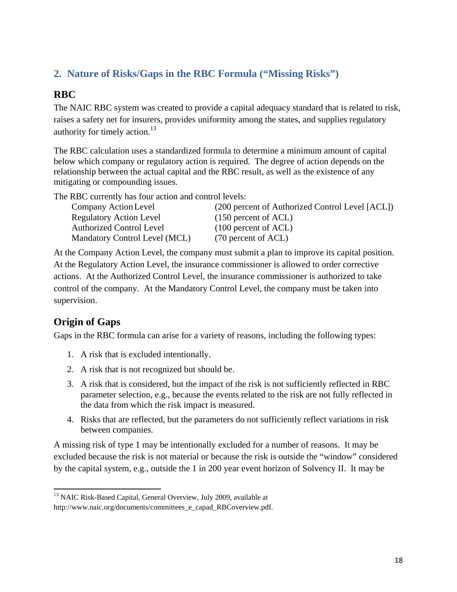# **2. Nature of Risks/Gaps in the RBC Formula ("Missing Risks")**

# **RBC**

The NAIC RBC system was created to provide a capital adequacy standard that is related to risk, raises a safety net for insurers, provides uniformity among the states, and supplies regulatory authority for timely action. $13$ 

The RBC calculation uses a standardized formula to determine a minimum amount of capital below which company or regulatory action is required. The degree of action depends on the relationship between the actual capital and the RBC result, as well as the existence of any mitigating or compounding issues.

The RBC currently has four action and control levels:

| Company Action Level            | (200 percent of Authorized Control Level [ACL]) |
|---------------------------------|-------------------------------------------------|
| <b>Regulatory Action Level</b>  | $(150)$ percent of ACL)                         |
| <b>Authorized Control Level</b> | $(100)$ percent of ACL)                         |
| Mandatory Control Level (MCL)   | $(70$ percent of ACL)                           |

At the Company Action Level, the company must submit a plan to improve its capital position. At the Regulatory Action Level, the insurance commissioner is allowed to order corrective actions. At the Authorized Control Level, the insurance commissioner is authorized to take control of the company. At the Mandatory Control Level, the company must be taken into supervision.

# **Origin of Gaps**

Gaps in the RBC formula can arise for a variety of reasons, including the following types:

- 1. A risk that is excluded intentionally.
- 2. A risk that is not recognized but should be.
- 3. A risk that is considered, but the impact of the risk is not sufficiently reflected in RBC parameter selection, e.g., because the events related to the risk are not fully reflected in the data from which the risk impact is measured.
- 4. Risks that are reflected, but the parameters do not sufficiently reflect variations in risk between companies.

A missing risk of type 1 may be intentionally excluded for a number of reasons. It may be excluded because the risk is not material or because the risk is outside the "window" considered by the capital system, e.g., outside the 1 in 200 year event horizon of Solvency II. It may be

<sup>&</sup>lt;sup>13</sup> NAIC Risk-Based Capital, General Overview, July 2009, available at

http://www.naic.org/documents/committees\_e\_capad\_RBCoverview.pdf.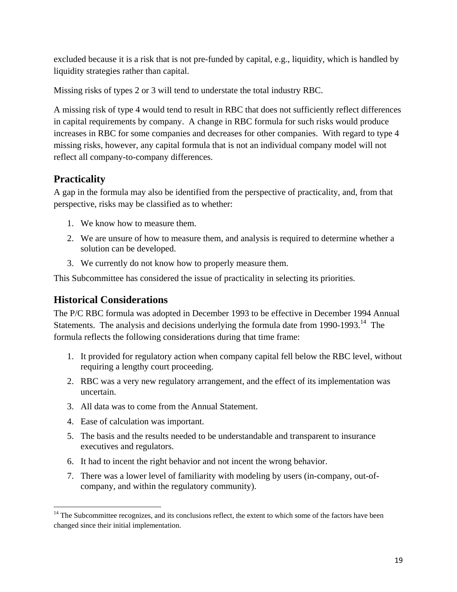excluded because it is a risk that is not pre-funded by capital, e.g., liquidity, which is handled by liquidity strategies rather than capital.

Missing risks of types 2 or 3 will tend to understate the total industry RBC.

A missing risk of type 4 would tend to result in RBC that does not sufficiently reflect differences in capital requirements by company. A change in RBC formula for such risks would produce increases in RBC for some companies and decreases for other companies. With regard to type 4 missing risks, however, any capital formula that is not an individual company model will not reflect all company-to-company differences.

# **Practicality**

A gap in the formula may also be identified from the perspective of practicality, and, from that perspective, risks may be classified as to whether:

- 1. We know how to measure them.
- 2. We are unsure of how to measure them, and analysis is required to determine whether a solution can be developed.
- 3. We currently do not know how to properly measure them.

This Subcommittee has considered the issue of practicality in selecting its priorities.

# **Historical Considerations**

The P/C RBC formula was adopted in December 1993 to be effective in December 1994 Annual Statements. The analysis and decisions underlying the formula date from 1990-1993.<sup>14</sup> The formula reflects the following considerations during that time frame:

- 1. It provided for regulatory action when company capital fell below the RBC level, without requiring a lengthy court proceeding.
- 2. RBC was a very new regulatory arrangement, and the effect of its implementation was uncertain.
- 3. All data was to come from the Annual Statement.
- 4. Ease of calculation was important.
- 5. The basis and the results needed to be understandable and transparent to insurance executives and regulators.
- 6. It had to incent the right behavior and not incent the wrong behavior.
- 7. There was a lower level of familiarity with modeling by users (in-company, out-ofcompany, and within the regulatory community).

<sup>&</sup>lt;sup>14</sup> The Subcommittee recognizes, and its conclusions reflect, the extent to which some of the factors have been changed since their initial implementation.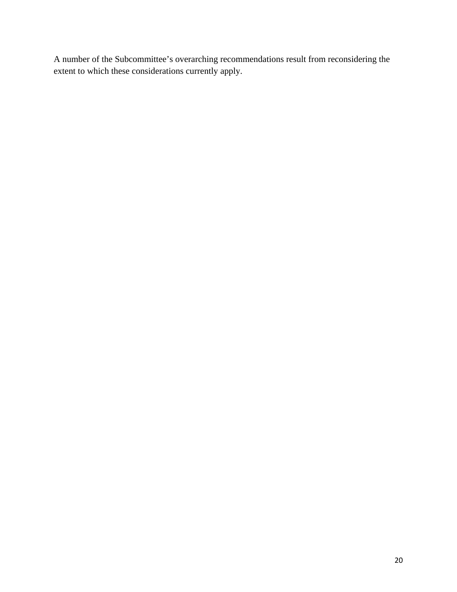A number of the Subcommittee's overarching recommendations result from reconsidering the extent to which these considerations currently apply.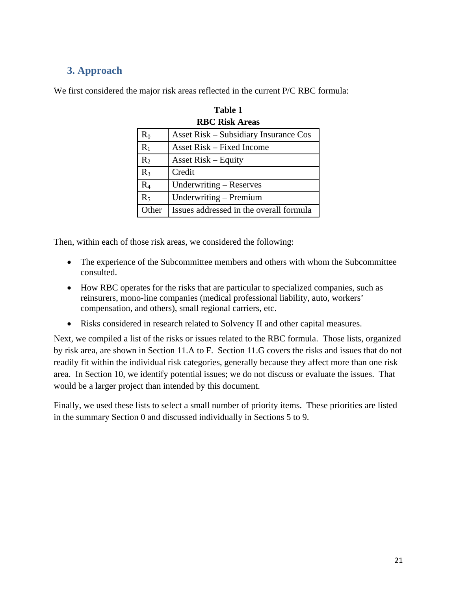# **3. Approach**

We first considered the major risk areas reflected in the current P/C RBC formula:

| <b>RBC Risk Areas</b> |                                              |  |
|-----------------------|----------------------------------------------|--|
| $R_0$                 | <b>Asset Risk – Subsidiary Insurance Cos</b> |  |
| $R_1$                 | <b>Asset Risk – Fixed Income</b>             |  |
| $R_2$                 | <b>Asset Risk – Equity</b>                   |  |
| $R_3$                 | Credit                                       |  |
| R <sub>4</sub>        | Underwriting – Reserves                      |  |
| $R_5$                 | Underwriting - Premium                       |  |
| Other                 | Issues addressed in the overall formula      |  |

**Table 1** 

Then, within each of those risk areas, we considered the following:

- The experience of the Subcommittee members and others with whom the Subcommittee consulted.
- How RBC operates for the risks that are particular to specialized companies, such as reinsurers, mono-line companies (medical professional liability, auto, workers' compensation, and others), small regional carriers, etc.
- Risks considered in research related to Solvency II and other capital measures.

Next, we compiled a list of the risks or issues related to the RBC formula. Those lists, organized by risk area, are shown in Section 11.A to F. Section 11.G covers the risks and issues that do not readily fit within the individual risk categories, generally because they affect more than one risk area. In Section 10, we identify potential issues; we do not discuss or evaluate the issues. That would be a larger project than intended by this document.

Finally, we used these lists to select a small number of priority items. These priorities are listed in the summary Section 0 and discussed individually in Sections 5 to 9.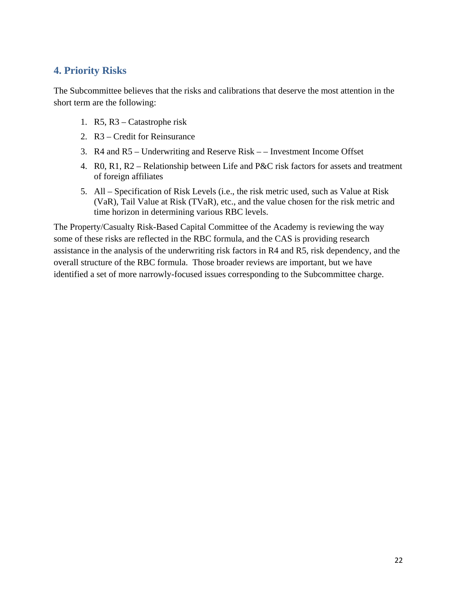## **4. Priority Risks**

The Subcommittee believes that the risks and calibrations that deserve the most attention in the short term are the following:

- 1. R5, R3 Catastrophe risk
- 2. R3 Credit for Reinsurance
- 3. R4 and R5 Underwriting and Reserve Risk – Investment Income Offset
- 4. R0, R1, R2 Relationship between Life and P&C risk factors for assets and treatment of foreign affiliates
- 5. All Specification of Risk Levels (i.e., the risk metric used, such as Value at Risk (VaR), Tail Value at Risk (TVaR), etc., and the value chosen for the risk metric and time horizon in determining various RBC levels.

The Property/Casualty Risk-Based Capital Committee of the Academy is reviewing the way some of these risks are reflected in the RBC formula, and the CAS is providing research assistance in the analysis of the underwriting risk factors in R4 and R5, risk dependency, and the overall structure of the RBC formula. Those broader reviews are important, but we have identified a set of more narrowly-focused issues corresponding to the Subcommittee charge.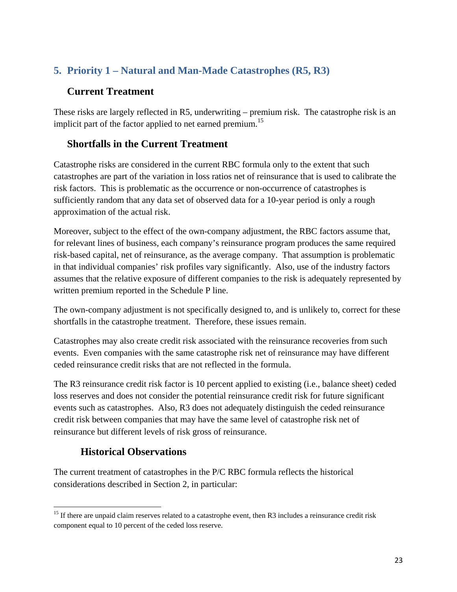# **5. Priority 1 – Natural and Man-Made Catastrophes (R5, R3)**

# **Current Treatment**

These risks are largely reflected in R5, underwriting – premium risk. The catastrophe risk is an implicit part of the factor applied to net earned premium.<sup>15</sup>

## **Shortfalls in the Current Treatment**

Catastrophe risks are considered in the current RBC formula only to the extent that such catastrophes are part of the variation in loss ratios net of reinsurance that is used to calibrate the risk factors. This is problematic as the occurrence or non-occurrence of catastrophes is sufficiently random that any data set of observed data for a 10-year period is only a rough approximation of the actual risk.

Moreover, subject to the effect of the own-company adjustment, the RBC factors assume that, for relevant lines of business, each company's reinsurance program produces the same required risk-based capital, net of reinsurance, as the average company. That assumption is problematic in that individual companies' risk profiles vary significantly. Also, use of the industry factors assumes that the relative exposure of different companies to the risk is adequately represented by written premium reported in the Schedule P line.

The own-company adjustment is not specifically designed to, and is unlikely to, correct for these shortfalls in the catastrophe treatment. Therefore, these issues remain.

Catastrophes may also create credit risk associated with the reinsurance recoveries from such events. Even companies with the same catastrophe risk net of reinsurance may have different ceded reinsurance credit risks that are not reflected in the formula.

The R3 reinsurance credit risk factor is 10 percent applied to existing (i.e., balance sheet) ceded loss reserves and does not consider the potential reinsurance credit risk for future significant events such as catastrophes. Also, R3 does not adequately distinguish the ceded reinsurance credit risk between companies that may have the same level of catastrophe risk net of reinsurance but different levels of risk gross of reinsurance.

# **Historical Observations**

The current treatment of catastrophes in the P/C RBC formula reflects the historical considerations described in Section 2, in particular:

<sup>&</sup>lt;sup>15</sup> If there are unpaid claim reserves related to a catastrophe event, then R3 includes a reinsurance credit risk component equal to 10 percent of the ceded loss reserve.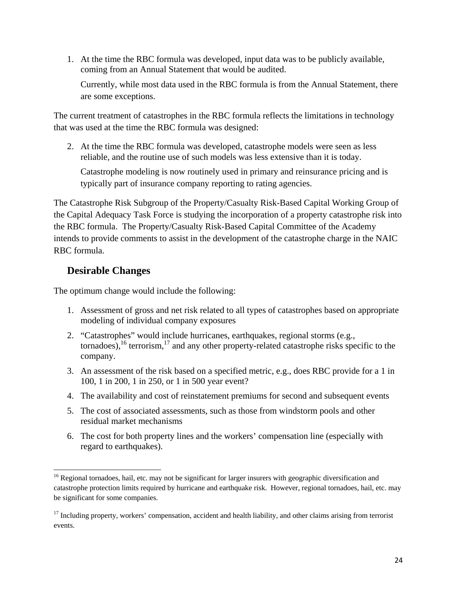1. At the time the RBC formula was developed, input data was to be publicly available, coming from an Annual Statement that would be audited.

Currently, while most data used in the RBC formula is from the Annual Statement, there are some exceptions.

The current treatment of catastrophes in the RBC formula reflects the limitations in technology that was used at the time the RBC formula was designed:

2. At the time the RBC formula was developed, catastrophe models were seen as less reliable, and the routine use of such models was less extensive than it is today.

Catastrophe modeling is now routinely used in primary and reinsurance pricing and is typically part of insurance company reporting to rating agencies.

The Catastrophe Risk Subgroup of the Property/Casualty Risk-Based Capital Working Group of the Capital Adequacy Task Force is studying the incorporation of a property catastrophe risk into the RBC formula. The Property/Casualty Risk-Based Capital Committee of the Academy intends to provide comments to assist in the development of the catastrophe charge in the NAIC RBC formula.

## **Desirable Changes**

The optimum change would include the following:

- 1. Assessment of gross and net risk related to all types of catastrophes based on appropriate modeling of individual company exposures
- 2. "Catastrophes" would include hurricanes, earthquakes, regional storms (e.g., tornadoes),<sup>16</sup> terrorism,<sup>17</sup> and any other property-related catastrophe risks specific to the company.
- 3. An assessment of the risk based on a specified metric, e.g., does RBC provide for a 1 in 100, 1 in 200, 1 in 250, or 1 in 500 year event?
- 4. The availability and cost of reinstatement premiums for second and subsequent events
- 5. The cost of associated assessments, such as those from windstorm pools and other residual market mechanisms
- 6. The cost for both property lines and the workers' compensation line (especially with regard to earthquakes).

 <sup>16</sup> Regional tornadoes, hail, etc. may not be significant for larger insurers with geographic diversification and catastrophe protection limits required by hurricane and earthquake risk. However, regional tornadoes, hail, etc. may be significant for some companies.

 $17$  Including property, workers' compensation, accident and health liability, and other claims arising from terrorist events.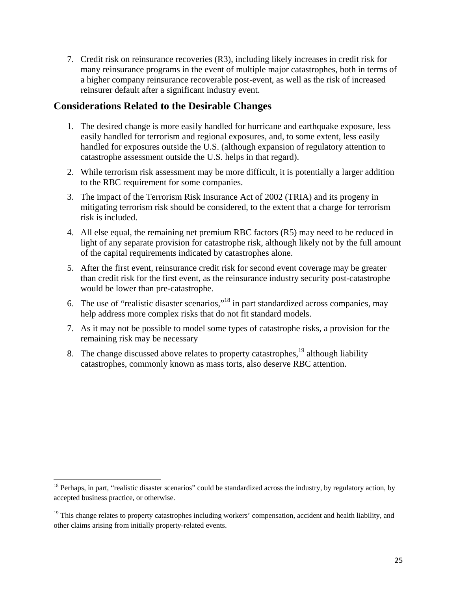7. Credit risk on reinsurance recoveries (R3), including likely increases in credit risk for many reinsurance programs in the event of multiple major catastrophes, both in terms of a higher company reinsurance recoverable post-event, as well as the risk of increased reinsurer default after a significant industry event.

## **Considerations Related to the Desirable Changes**

- 1. The desired change is more easily handled for hurricane and earthquake exposure, less easily handled for terrorism and regional exposures, and, to some extent, less easily handled for exposures outside the U.S. (although expansion of regulatory attention to catastrophe assessment outside the U.S. helps in that regard).
- 2. While terrorism risk assessment may be more difficult, it is potentially a larger addition to the RBC requirement for some companies.
- 3. The impact of the Terrorism Risk Insurance Act of 2002 (TRIA) and its progeny in mitigating terrorism risk should be considered, to the extent that a charge for terrorism risk is included.
- 4. All else equal, the remaining net premium RBC factors (R5) may need to be reduced in light of any separate provision for catastrophe risk, although likely not by the full amount of the capital requirements indicated by catastrophes alone.
- 5. After the first event, reinsurance credit risk for second event coverage may be greater than credit risk for the first event, as the reinsurance industry security post-catastrophe would be lower than pre-catastrophe.
- 6. The use of "realistic disaster scenarios,"18 in part standardized across companies, may help address more complex risks that do not fit standard models.
- 7. As it may not be possible to model some types of catastrophe risks, a provision for the remaining risk may be necessary
- 8. The change discussed above relates to property catastrophes,<sup>19</sup> although liability catastrophes, commonly known as mass torts, also deserve RBC attention.

 $18$  Perhaps, in part, "realistic disaster scenarios" could be standardized across the industry, by regulatory action, by accepted business practice, or otherwise.

 $19$  This change relates to property catastrophes including workers' compensation, accident and health liability, and other claims arising from initially property-related events.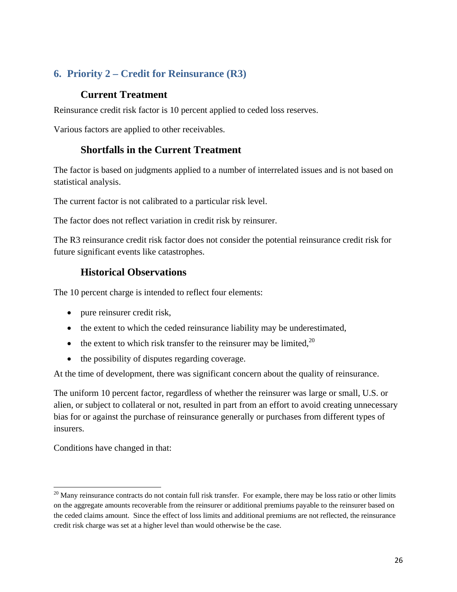# **6. Priority 2 – Credit for Reinsurance (R3)**

## **Current Treatment**

Reinsurance credit risk factor is 10 percent applied to ceded loss reserves.

Various factors are applied to other receivables.

## **Shortfalls in the Current Treatment**

The factor is based on judgments applied to a number of interrelated issues and is not based on statistical analysis.

The current factor is not calibrated to a particular risk level.

The factor does not reflect variation in credit risk by reinsurer.

The R3 reinsurance credit risk factor does not consider the potential reinsurance credit risk for future significant events like catastrophes.

## **Historical Observations**

The 10 percent charge is intended to reflect four elements:

- pure reinsurer credit risk,
- the extent to which the ceded reinsurance liability may be underestimated,
- the extent to which risk transfer to the reinsurer may be limited,  $20$
- the possibility of disputes regarding coverage.

At the time of development, there was significant concern about the quality of reinsurance.

The uniform 10 percent factor, regardless of whether the reinsurer was large or small, U.S. or alien, or subject to collateral or not, resulted in part from an effort to avoid creating unnecessary bias for or against the purchase of reinsurance generally or purchases from different types of insurers.

Conditions have changed in that:

 $20$  Many reinsurance contracts do not contain full risk transfer. For example, there may be loss ratio or other limits on the aggregate amounts recoverable from the reinsurer or additional premiums payable to the reinsurer based on the ceded claims amount. Since the effect of loss limits and additional premiums are not reflected, the reinsurance credit risk charge was set at a higher level than would otherwise be the case.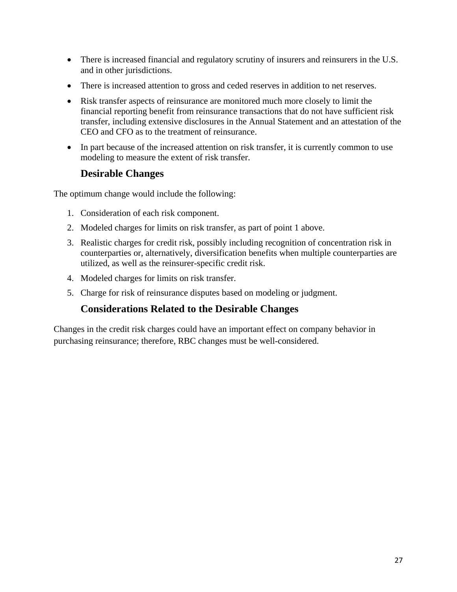- There is increased financial and regulatory scrutiny of insurers and reinsurers in the U.S. and in other jurisdictions.
- There is increased attention to gross and ceded reserves in addition to net reserves.
- Risk transfer aspects of reinsurance are monitored much more closely to limit the financial reporting benefit from reinsurance transactions that do not have sufficient risk transfer, including extensive disclosures in the Annual Statement and an attestation of the CEO and CFO as to the treatment of reinsurance.
- In part because of the increased attention on risk transfer, it is currently common to use modeling to measure the extent of risk transfer.

## **Desirable Changes**

The optimum change would include the following:

- 1. Consideration of each risk component.
- 2. Modeled charges for limits on risk transfer, as part of point 1 above.
- 3. Realistic charges for credit risk, possibly including recognition of concentration risk in counterparties or, alternatively, diversification benefits when multiple counterparties are utilized, as well as the reinsurer-specific credit risk.
- 4. Modeled charges for limits on risk transfer.
- 5. Charge for risk of reinsurance disputes based on modeling or judgment.

## **Considerations Related to the Desirable Changes**

Changes in the credit risk charges could have an important effect on company behavior in purchasing reinsurance; therefore, RBC changes must be well-considered.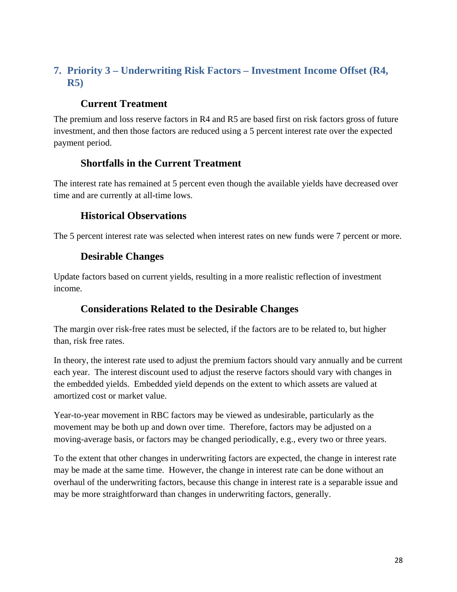# **7. Priority 3 – Underwriting Risk Factors – Investment Income Offset (R4, R5)**

# **Current Treatment**

The premium and loss reserve factors in R4 and R5 are based first on risk factors gross of future investment, and then those factors are reduced using a 5 percent interest rate over the expected payment period.

## **Shortfalls in the Current Treatment**

The interest rate has remained at 5 percent even though the available yields have decreased over time and are currently at all-time lows.

## **Historical Observations**

The 5 percent interest rate was selected when interest rates on new funds were 7 percent or more.

## **Desirable Changes**

Update factors based on current yields, resulting in a more realistic reflection of investment income.

## **Considerations Related to the Desirable Changes**

The margin over risk-free rates must be selected, if the factors are to be related to, but higher than, risk free rates.

In theory, the interest rate used to adjust the premium factors should vary annually and be current each year. The interest discount used to adjust the reserve factors should vary with changes in the embedded yields. Embedded yield depends on the extent to which assets are valued at amortized cost or market value.

Year-to-year movement in RBC factors may be viewed as undesirable, particularly as the movement may be both up and down over time. Therefore, factors may be adjusted on a moving-average basis, or factors may be changed periodically, e.g., every two or three years.

To the extent that other changes in underwriting factors are expected, the change in interest rate may be made at the same time. However, the change in interest rate can be done without an overhaul of the underwriting factors, because this change in interest rate is a separable issue and may be more straightforward than changes in underwriting factors, generally.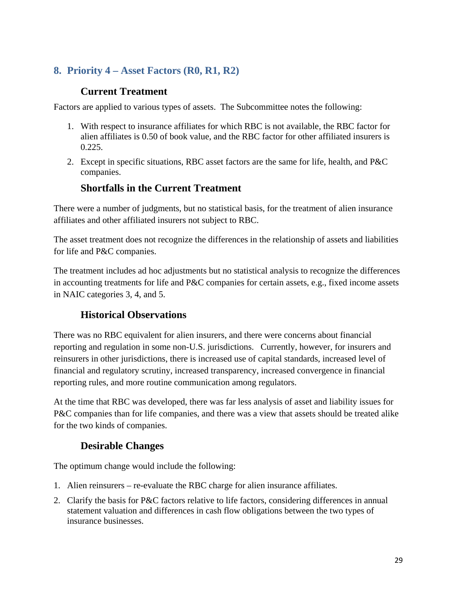# **8. Priority 4 – Asset Factors (R0, R1, R2)**

## **Current Treatment**

Factors are applied to various types of assets. The Subcommittee notes the following:

- 1. With respect to insurance affiliates for which RBC is not available, the RBC factor for alien affiliates is 0.50 of book value, and the RBC factor for other affiliated insurers is 0.225.
- 2. Except in specific situations, RBC asset factors are the same for life, health, and P&C companies.

## **Shortfalls in the Current Treatment**

There were a number of judgments, but no statistical basis, for the treatment of alien insurance affiliates and other affiliated insurers not subject to RBC.

The asset treatment does not recognize the differences in the relationship of assets and liabilities for life and P&C companies.

The treatment includes ad hoc adjustments but no statistical analysis to recognize the differences in accounting treatments for life and P&C companies for certain assets, e.g., fixed income assets in NAIC categories 3, 4, and 5.

## **Historical Observations**

There was no RBC equivalent for alien insurers, and there were concerns about financial reporting and regulation in some non-U.S. jurisdictions. Currently, however, for insurers and reinsurers in other jurisdictions, there is increased use of capital standards, increased level of financial and regulatory scrutiny, increased transparency, increased convergence in financial reporting rules, and more routine communication among regulators.

At the time that RBC was developed, there was far less analysis of asset and liability issues for P&C companies than for life companies, and there was a view that assets should be treated alike for the two kinds of companies.

## **Desirable Changes**

The optimum change would include the following:

- 1. Alien reinsurers re-evaluate the RBC charge for alien insurance affiliates.
- 2. Clarify the basis for P&C factors relative to life factors, considering differences in annual statement valuation and differences in cash flow obligations between the two types of insurance businesses.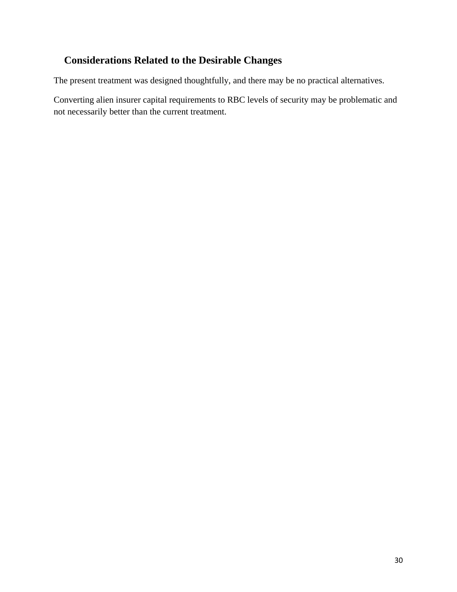# **Considerations Related to the Desirable Changes**

The present treatment was designed thoughtfully, and there may be no practical alternatives.

Converting alien insurer capital requirements to RBC levels of security may be problematic and not necessarily better than the current treatment.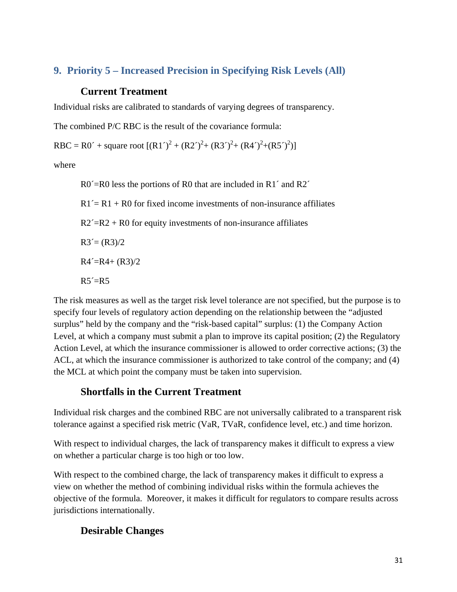# **9. Priority 5 – Increased Precision in Specifying Risk Levels (All)**

## **Current Treatment**

Individual risks are calibrated to standards of varying degrees of transparency.

The combined P/C RBC is the result of the covariance formula:

RBC = R0´ + square root  $[(R1')^2 + (R2')^2 + (R3')^2 + (R4')^2 + (R5')^2]$ 

where

R0<sup> $\le$ </sup>R0 less the portions of R0 that are included in R1<sup> $\le$ </sup> and R2<sup> $\le$ </sup>

 $R1' = R1 + R0$  for fixed income investments of non-insurance affiliates

 $R2' = R2 + R0$  for equity investments of non-insurance affiliates

 $R3 = (R3)/2$ 

 $R4' = R4 + (R3)/2$ 

 $R5' = R5$ 

The risk measures as well as the target risk level tolerance are not specified, but the purpose is to specify four levels of regulatory action depending on the relationship between the "adjusted surplus" held by the company and the "risk-based capital" surplus: (1) the Company Action Level, at which a company must submit a plan to improve its capital position; (2) the Regulatory Action Level, at which the insurance commissioner is allowed to order corrective actions; (3) the ACL, at which the insurance commissioner is authorized to take control of the company; and (4) the MCL at which point the company must be taken into supervision.

# **Shortfalls in the Current Treatment**

Individual risk charges and the combined RBC are not universally calibrated to a transparent risk tolerance against a specified risk metric (VaR, TVaR, confidence level, etc.) and time horizon.

With respect to individual charges, the lack of transparency makes it difficult to express a view on whether a particular charge is too high or too low.

With respect to the combined charge, the lack of transparency makes it difficult to express a view on whether the method of combining individual risks within the formula achieves the objective of the formula. Moreover, it makes it difficult for regulators to compare results across jurisdictions internationally.

## **Desirable Changes**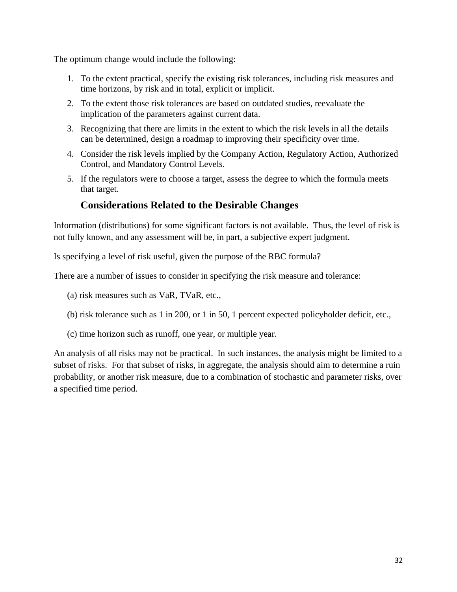The optimum change would include the following:

- 1. To the extent practical, specify the existing risk tolerances, including risk measures and time horizons, by risk and in total, explicit or implicit.
- 2. To the extent those risk tolerances are based on outdated studies, reevaluate the implication of the parameters against current data.
- 3. Recognizing that there are limits in the extent to which the risk levels in all the details can be determined, design a roadmap to improving their specificity over time.
- 4. Consider the risk levels implied by the Company Action, Regulatory Action, Authorized Control, and Mandatory Control Levels.
- 5. If the regulators were to choose a target, assess the degree to which the formula meets that target.

## **Considerations Related to the Desirable Changes**

Information (distributions) for some significant factors is not available. Thus, the level of risk is not fully known, and any assessment will be, in part, a subjective expert judgment.

Is specifying a level of risk useful, given the purpose of the RBC formula?

There are a number of issues to consider in specifying the risk measure and tolerance:

(a) risk measures such as VaR, TVaR, etc.,

- (b) risk tolerance such as 1 in 200, or 1 in 50, 1 percent expected policyholder deficit, etc.,
- (c) time horizon such as runoff, one year, or multiple year.

An analysis of all risks may not be practical. In such instances, the analysis might be limited to a subset of risks. For that subset of risks, in aggregate, the analysis should aim to determine a ruin probability, or another risk measure, due to a combination of stochastic and parameter risks, over a specified time period.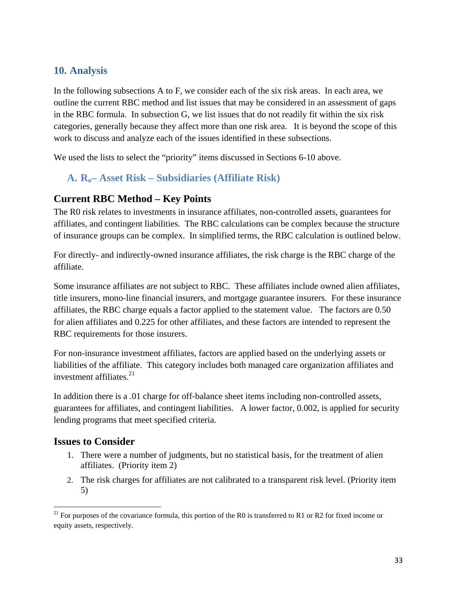## **10. Analysis**

In the following subsections A to F, we consider each of the six risk areas. In each area, we outline the current RBC method and list issues that may be considered in an assessment of gaps in the RBC formula. In subsection G, we list issues that do not readily fit within the six risk categories, generally because they affect more than one risk area. It is beyond the scope of this work to discuss and analyze each of the issues identified in these subsections.

We used the lists to select the "priority" items discussed in Sections 6-10 above.

## **A. Ro– Asset Risk – Subsidiaries (Affiliate Risk)**

### **Current RBC Method – Key Points**

The R0 risk relates to investments in insurance affiliates, non-controlled assets, guarantees for affiliates, and contingent liabilities. The RBC calculations can be complex because the structure of insurance groups can be complex. In simplified terms, the RBC calculation is outlined below.

For directly- and indirectly-owned insurance affiliates, the risk charge is the RBC charge of the affiliate.

Some insurance affiliates are not subject to RBC. These affiliates include owned alien affiliates, title insurers, mono-line financial insurers, and mortgage guarantee insurers. For these insurance affiliates, the RBC charge equals a factor applied to the statement value. The factors are 0.50 for alien affiliates and 0.225 for other affiliates, and these factors are intended to represent the RBC requirements for those insurers.

For non-insurance investment affiliates, factors are applied based on the underlying assets or liabilities of the affiliate. This category includes both managed care organization affiliates and investment affiliates. $21$ 

In addition there is a .01 charge for off-balance sheet items including non-controlled assets, guarantees for affiliates, and contingent liabilities. A lower factor, 0.002, is applied for security lending programs that meet specified criteria.

#### **Issues to Consider**

- 1. There were a number of judgments, but no statistical basis, for the treatment of alien affiliates. (Priority item 2)
- 2. The risk charges for affiliates are not calibrated to a transparent risk level. (Priority item 5)

<sup>&</sup>lt;sup>21</sup> For purposes of the covariance formula, this portion of the R0 is transferred to R1 or R2 for fixed income or equity assets, respectively.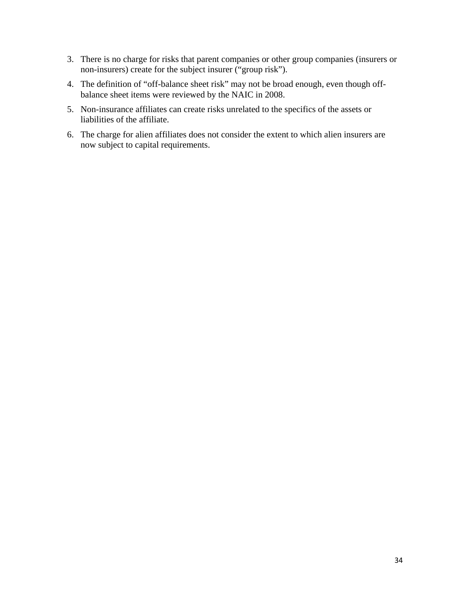- 3. There is no charge for risks that parent companies or other group companies (insurers or non-insurers) create for the subject insurer ("group risk").
- 4. The definition of "off-balance sheet risk" may not be broad enough, even though offbalance sheet items were reviewed by the NAIC in 2008.
- 5. Non-insurance affiliates can create risks unrelated to the specifics of the assets or liabilities of the affiliate.
- 6. The charge for alien affiliates does not consider the extent to which alien insurers are now subject to capital requirements.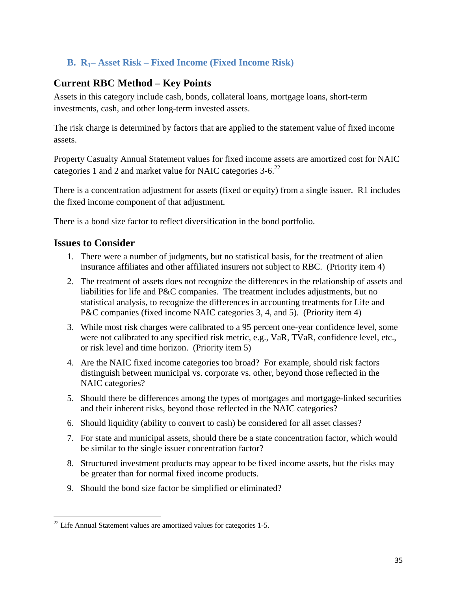## **B. R1– Asset Risk – Fixed Income (Fixed Income Risk)**

## **Current RBC Method – Key Points**

Assets in this category include cash, bonds, collateral loans, mortgage loans, short-term investments, cash, and other long-term invested assets.

The risk charge is determined by factors that are applied to the statement value of fixed income assets.

Property Casualty Annual Statement values for fixed income assets are amortized cost for NAIC categories 1 and 2 and market value for NAIC categories  $3-6$ <sup>22</sup>

There is a concentration adjustment for assets (fixed or equity) from a single issuer. R1 includes the fixed income component of that adjustment.

There is a bond size factor to reflect diversification in the bond portfolio.

### **Issues to Consider**

- 1. There were a number of judgments, but no statistical basis, for the treatment of alien insurance affiliates and other affiliated insurers not subject to RBC. (Priority item 4)
- 2. The treatment of assets does not recognize the differences in the relationship of assets and liabilities for life and P&C companies. The treatment includes adjustments, but no statistical analysis, to recognize the differences in accounting treatments for Life and P&C companies (fixed income NAIC categories 3, 4, and 5). (Priority item 4)
- 3. While most risk charges were calibrated to a 95 percent one-year confidence level, some were not calibrated to any specified risk metric, e.g., VaR, TVaR, confidence level, etc., or risk level and time horizon. (Priority item 5)
- 4. Are the NAIC fixed income categories too broad? For example, should risk factors distinguish between municipal vs. corporate vs. other, beyond those reflected in the NAIC categories?
- 5. Should there be differences among the types of mortgages and mortgage-linked securities and their inherent risks, beyond those reflected in the NAIC categories?
- 6. Should liquidity (ability to convert to cash) be considered for all asset classes?
- 7. For state and municipal assets, should there be a state concentration factor, which would be similar to the single issuer concentration factor?
- 8. Structured investment products may appear to be fixed income assets, but the risks may be greater than for normal fixed income products.
- 9. Should the bond size factor be simplified or eliminated?

  $^{22}$  Life Annual Statement values are amortized values for categories 1-5.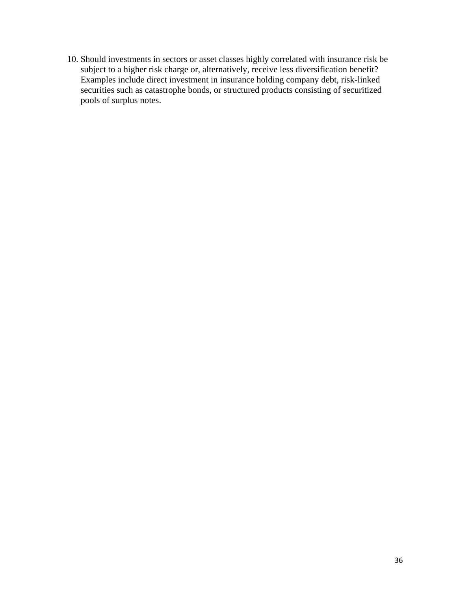10. Should investments in sectors or asset classes highly correlated with insurance risk be subject to a higher risk charge or, alternatively, receive less diversification benefit? Examples include direct investment in insurance holding company debt, risk-linked securities such as catastrophe bonds, or structured products consisting of securitized pools of surplus notes.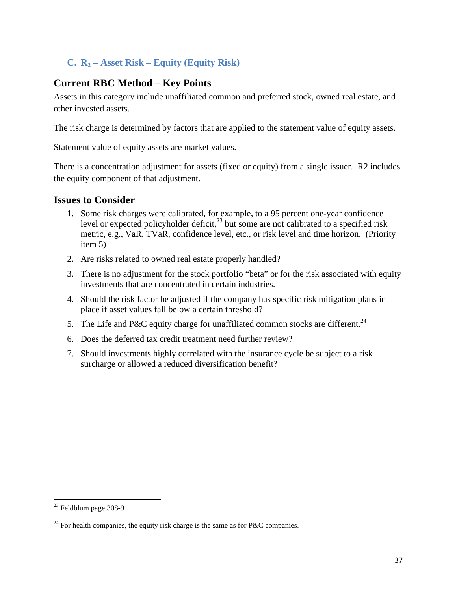# **C. R2 – Asset Risk – Equity (Equity Risk)**

# **Current RBC Method – Key Points**

Assets in this category include unaffiliated common and preferred stock, owned real estate, and other invested assets.

The risk charge is determined by factors that are applied to the statement value of equity assets.

Statement value of equity assets are market values.

There is a concentration adjustment for assets (fixed or equity) from a single issuer. R2 includes the equity component of that adjustment.

- 1. Some risk charges were calibrated, for example, to a 95 percent one-year confidence level or expected policyholder deficit,  $2^3$  but some are not calibrated to a specified risk metric, e.g., VaR, TVaR, confidence level, etc., or risk level and time horizon. (Priority item 5)
- 2. Are risks related to owned real estate properly handled?
- 3. There is no adjustment for the stock portfolio "beta" or for the risk associated with equity investments that are concentrated in certain industries.
- 4. Should the risk factor be adjusted if the company has specific risk mitigation plans in place if asset values fall below a certain threshold?
- 5. The Life and P&C equity charge for unaffiliated common stocks are different.<sup>24</sup>
- 6. Does the deferred tax credit treatment need further review?
- 7. Should investments highly correlated with the insurance cycle be subject to a risk surcharge or allowed a reduced diversification benefit?

  $23$  Feldblum page 308-9

<sup>&</sup>lt;sup>24</sup> For health companies, the equity risk charge is the same as for P&C companies.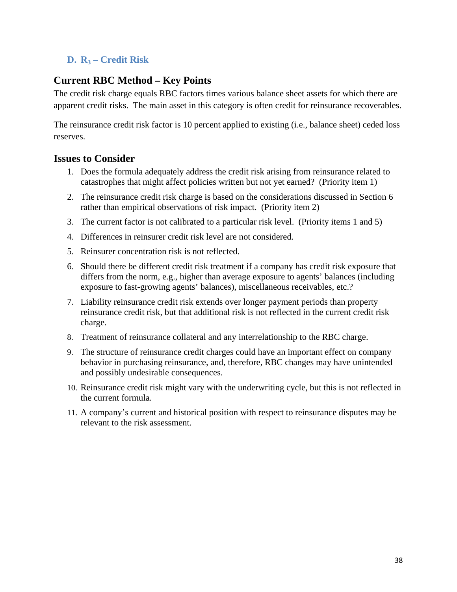# **D. R3 – Credit Risk**

# **Current RBC Method – Key Points**

The credit risk charge equals RBC factors times various balance sheet assets for which there are apparent credit risks. The main asset in this category is often credit for reinsurance recoverables.

The reinsurance credit risk factor is 10 percent applied to existing (i.e., balance sheet) ceded loss reserves.

- 1. Does the formula adequately address the credit risk arising from reinsurance related to catastrophes that might affect policies written but not yet earned? (Priority item 1)
- 2. The reinsurance credit risk charge is based on the considerations discussed in Section 6 rather than empirical observations of risk impact. (Priority item 2)
- 3. The current factor is not calibrated to a particular risk level. (Priority items 1 and 5)
- 4. Differences in reinsurer credit risk level are not considered.
- 5. Reinsurer concentration risk is not reflected.
- 6. Should there be different credit risk treatment if a company has credit risk exposure that differs from the norm, e.g., higher than average exposure to agents' balances (including exposure to fast-growing agents' balances), miscellaneous receivables, etc.?
- 7. Liability reinsurance credit risk extends over longer payment periods than property reinsurance credit risk, but that additional risk is not reflected in the current credit risk charge.
- 8. Treatment of reinsurance collateral and any interrelationship to the RBC charge.
- 9. The structure of reinsurance credit charges could have an important effect on company behavior in purchasing reinsurance, and, therefore, RBC changes may have unintended and possibly undesirable consequences.
- 10. Reinsurance credit risk might vary with the underwriting cycle, but this is not reflected in the current formula.
- 11. A company's current and historical position with respect to reinsurance disputes may be relevant to the risk assessment.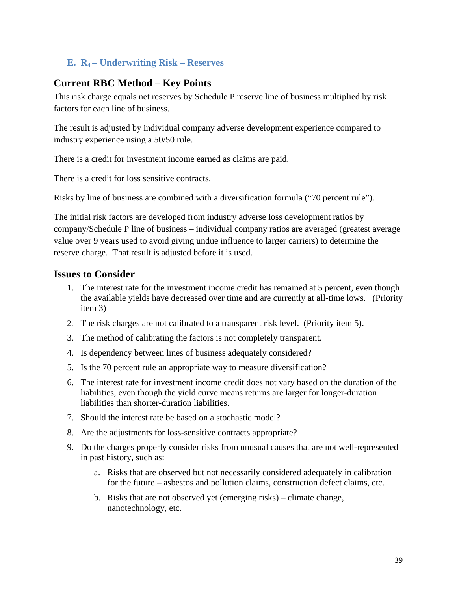# **E. R4 – Underwriting Risk – Reserves**

# **Current RBC Method – Key Points**

This risk charge equals net reserves by Schedule P reserve line of business multiplied by risk factors for each line of business.

The result is adjusted by individual company adverse development experience compared to industry experience using a 50/50 rule.

There is a credit for investment income earned as claims are paid.

There is a credit for loss sensitive contracts.

Risks by line of business are combined with a diversification formula ("70 percent rule").

The initial risk factors are developed from industry adverse loss development ratios by company/Schedule P line of business – individual company ratios are averaged (greatest average value over 9 years used to avoid giving undue influence to larger carriers) to determine the reserve charge. That result is adjusted before it is used.

- 1. The interest rate for the investment income credit has remained at 5 percent, even though the available yields have decreased over time and are currently at all-time lows. (Priority item 3)
- 2. The risk charges are not calibrated to a transparent risk level. (Priority item 5).
- 3. The method of calibrating the factors is not completely transparent.
- 4. Is dependency between lines of business adequately considered?
- 5. Is the 70 percent rule an appropriate way to measure diversification?
- 6. The interest rate for investment income credit does not vary based on the duration of the liabilities, even though the yield curve means returns are larger for longer-duration liabilities than shorter-duration liabilities.
- 7. Should the interest rate be based on a stochastic model?
- 8. Are the adjustments for loss-sensitive contracts appropriate?
- 9. Do the charges properly consider risks from unusual causes that are not well-represented in past history, such as:
	- a. Risks that are observed but not necessarily considered adequately in calibration for the future – asbestos and pollution claims, construction defect claims, etc.
	- b. Risks that are not observed yet (emerging risks) climate change, nanotechnology, etc.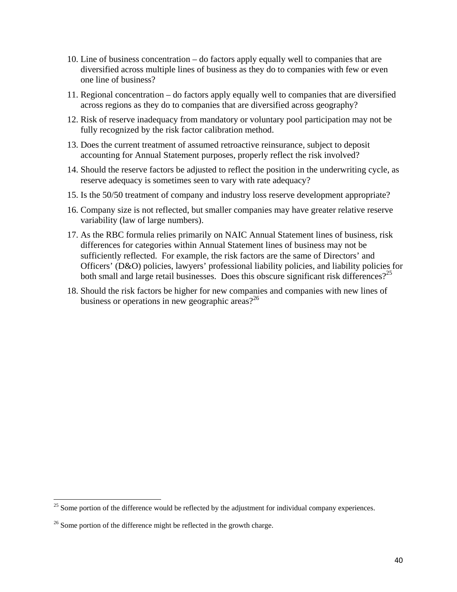- 10. Line of business concentration do factors apply equally well to companies that are diversified across multiple lines of business as they do to companies with few or even one line of business?
- 11. Regional concentration do factors apply equally well to companies that are diversified across regions as they do to companies that are diversified across geography?
- 12. Risk of reserve inadequacy from mandatory or voluntary pool participation may not be fully recognized by the risk factor calibration method.
- 13. Does the current treatment of assumed retroactive reinsurance, subject to deposit accounting for Annual Statement purposes, properly reflect the risk involved?
- 14. Should the reserve factors be adjusted to reflect the position in the underwriting cycle, as reserve adequacy is sometimes seen to vary with rate adequacy?
- 15. Is the 50/50 treatment of company and industry loss reserve development appropriate?
- 16. Company size is not reflected, but smaller companies may have greater relative reserve variability (law of large numbers).
- 17. As the RBC formula relies primarily on NAIC Annual Statement lines of business, risk differences for categories within Annual Statement lines of business may not be sufficiently reflected. For example, the risk factors are the same of Directors' and Officers' (D&O) policies, lawyers' professional liability policies, and liability policies for both small and large retail businesses. Does this obscure significant risk differences?<sup>25</sup>
- 18. Should the risk factors be higher for new companies and companies with new lines of business or operations in new geographic areas? $2^{26}$

 $25$  Some portion of the difference would be reflected by the adjustment for individual company experiences.

 $26$  Some portion of the difference might be reflected in the growth charge.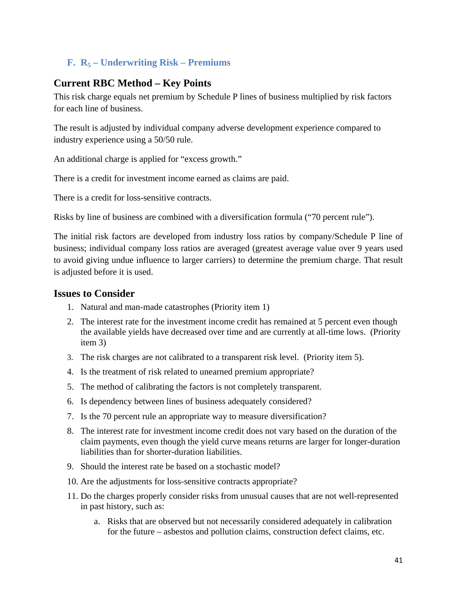# **F. R5 – Underwriting Risk – Premiums**

# **Current RBC Method – Key Points**

This risk charge equals net premium by Schedule P lines of business multiplied by risk factors for each line of business.

The result is adjusted by individual company adverse development experience compared to industry experience using a 50/50 rule.

An additional charge is applied for "excess growth."

There is a credit for investment income earned as claims are paid.

There is a credit for loss-sensitive contracts.

Risks by line of business are combined with a diversification formula ("70 percent rule").

The initial risk factors are developed from industry loss ratios by company/Schedule P line of business; individual company loss ratios are averaged (greatest average value over 9 years used to avoid giving undue influence to larger carriers) to determine the premium charge. That result is adjusted before it is used.

- 1. Natural and man-made catastrophes (Priority item 1)
- 2. The interest rate for the investment income credit has remained at 5 percent even though the available yields have decreased over time and are currently at all-time lows. (Priority item 3)
- 3. The risk charges are not calibrated to a transparent risk level. (Priority item 5).
- 4. Is the treatment of risk related to unearned premium appropriate?
- 5. The method of calibrating the factors is not completely transparent.
- 6. Is dependency between lines of business adequately considered?
- 7. Is the 70 percent rule an appropriate way to measure diversification?
- 8. The interest rate for investment income credit does not vary based on the duration of the claim payments, even though the yield curve means returns are larger for longer-duration liabilities than for shorter-duration liabilities.
- 9. Should the interest rate be based on a stochastic model?
- 10. Are the adjustments for loss-sensitive contracts appropriate?
- 11. Do the charges properly consider risks from unusual causes that are not well-represented in past history, such as:
	- a. Risks that are observed but not necessarily considered adequately in calibration for the future – asbestos and pollution claims, construction defect claims, etc.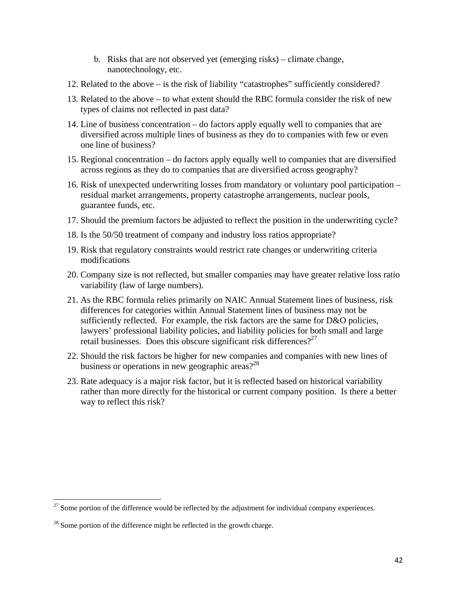- b. Risks that are not observed yet (emerging risks) climate change, nanotechnology, etc.
- 12. Related to the above is the risk of liability "catastrophes" sufficiently considered?
- 13. Related to the above to what extent should the RBC formula consider the risk of new types of claims not reflected in past data?
- 14. Line of business concentration do factors apply equally well to companies that are diversified across multiple lines of business as they do to companies with few or even one line of business?
- 15. Regional concentration do factors apply equally well to companies that are diversified across regions as they do to companies that are diversified across geography?
- 16. Risk of unexpected underwriting losses from mandatory or voluntary pool participation residual market arrangements, property catastrophe arrangements, nuclear pools, guarantee funds, etc.
- 17. Should the premium factors be adjusted to reflect the position in the underwriting cycle?
- 18. Is the 50/50 treatment of company and industry loss ratios appropriate?
- 19. Risk that regulatory constraints would restrict rate changes or underwriting criteria modifications
- 20. Company size is not reflected, but smaller companies may have greater relative loss ratio variability (law of large numbers).
- 21. As the RBC formula relies primarily on NAIC Annual Statement lines of business, risk differences for categories within Annual Statement lines of business may not be sufficiently reflected. For example, the risk factors are the same for D&O policies, lawyers' professional liability policies, and liability policies for both small and large retail businesses. Does this obscure significant risk differences?<sup>27</sup>
- 22. Should the risk factors be higher for new companies and companies with new lines of business or operations in new geographic areas? $2^{28}$
- 23. Rate adequacy is a major risk factor, but it is reflected based on historical variability rather than more directly for the historical or current company position. Is there a better way to reflect this risk?

 $^{27}$  Some portion of the difference would be reflected by the adjustment for individual company experiences.

 $28$  Some portion of the difference might be reflected in the growth charge.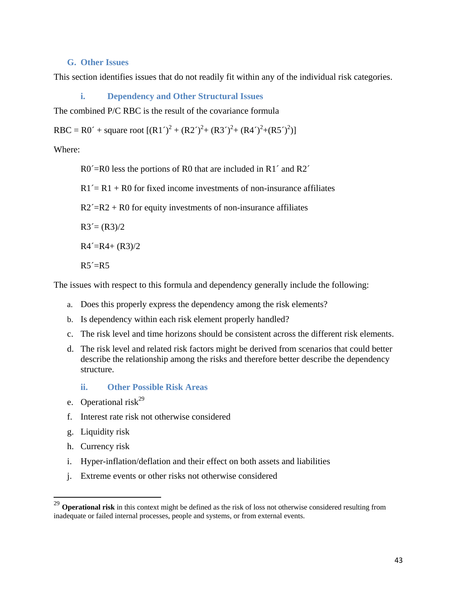## **G. Other Issues**

This section identifies issues that do not readily fit within any of the individual risk categories.

**i. Dependency and Other Structural Issues** 

The combined P/C RBC is the result of the covariance formula

RBC = R0´ + square root  $[(R1')^2 + (R2')^2 + (R3')^2 + (R4')^2 + (R5')^2]$ 

Where:

R0<sup> $\leq$ </sup>R0 less the portions of R0 that are included in R1<sup> $\leq$ </sup> and R2<sup> $\leq$ </sup>

 $R1' = R1 + R0$  for fixed income investments of non-insurance affiliates

 $R2' = R2 + R0$  for equity investments of non-insurance affiliates

 $R3 = (R3)/2$ 

 $R4' = R4 + (R3)/2$ 

 $R5' = R5$ 

The issues with respect to this formula and dependency generally include the following:

- a. Does this properly express the dependency among the risk elements?
- b. Is dependency within each risk element properly handled?
- c. The risk level and time horizons should be consistent across the different risk elements.
- d. The risk level and related risk factors might be derived from scenarios that could better describe the relationship among the risks and therefore better describe the dependency structure.
	- **ii. Other Possible Risk Areas**
- e. Operational risk<sup>29</sup>
- f. Interest rate risk not otherwise considered
- g. Liquidity risk
- h. Currency risk

- i. Hyper-inflation/deflation and their effect on both assets and liabilities
- j. Extreme events or other risks not otherwise considered

<sup>29</sup> **Operational risk** in this context might be defined as the risk of loss not otherwise considered resulting from inadequate or failed internal processes, people and systems, or from external events.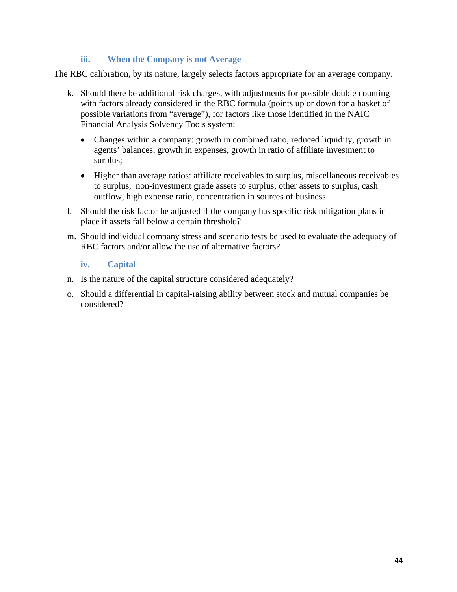## **iii. When the Company is not Average**

The RBC calibration, by its nature, largely selects factors appropriate for an average company.

- k. Should there be additional risk charges, with adjustments for possible double counting with factors already considered in the RBC formula (points up or down for a basket of possible variations from "average"), for factors like those identified in the NAIC Financial Analysis Solvency Tools system:
	- Changes within a company: growth in combined ratio, reduced liquidity, growth in agents' balances, growth in expenses, growth in ratio of affiliate investment to surplus;
	- Higher than average ratios: affiliate receivables to surplus, miscellaneous receivables to surplus, non-investment grade assets to surplus, other assets to surplus, cash outflow, high expense ratio, concentration in sources of business.
- l. Should the risk factor be adjusted if the company has specific risk mitigation plans in place if assets fall below a certain threshold?
- m. Should individual company stress and scenario tests be used to evaluate the adequacy of RBC factors and/or allow the use of alternative factors?

## **iv. Capital**

- n. Is the nature of the capital structure considered adequately?
- o. Should a differential in capital-raising ability between stock and mutual companies be considered?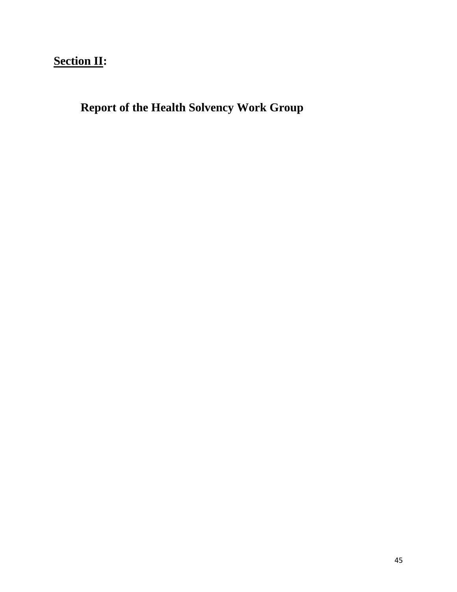# **Section II:**

**Report of the Health Solvency Work Group**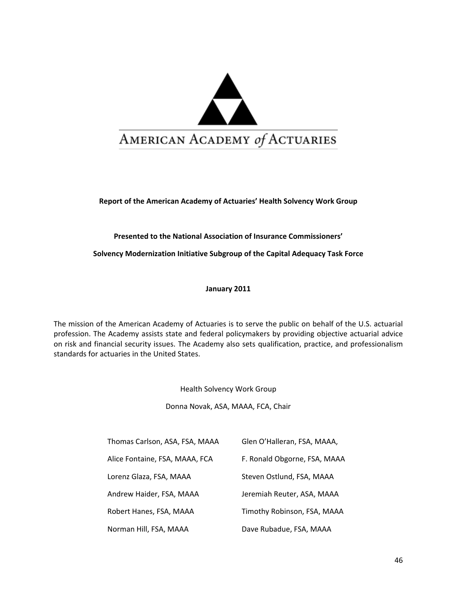

**Report of the American Academy of Actuaries' Health Solvency Work Group**

**Presented to the National Association of Insurance Commissioners'**

**Solvency Modernization Initiative Subgroup of the Capital Adequacy Task Force**

**January 2011**

The mission of the American Academy of Actuaries is to serve the public on behalf of the U.S. actuarial profession. The Academy assists state and federal policymakers by providing objective actuarial advice on risk and financial security issues. The Academy also sets qualification, practice, and professionalism standards for actuaries in the United States.

Health Solvency Work Group

Donna Novak, ASA, MAAA, FCA, Chair

| Thomas Carlson, ASA, FSA, MAAA | Glen O'Halleran, FSA, MAAA,  |
|--------------------------------|------------------------------|
| Alice Fontaine, FSA, MAAA, FCA | F. Ronald Obgorne, FSA, MAAA |
| Lorenz Glaza, FSA, MAAA        | Steven Ostlund, FSA, MAAA    |
| Andrew Haider, FSA, MAAA       | Jeremiah Reuter, ASA, MAAA   |
| Robert Hanes, FSA, MAAA        | Timothy Robinson, FSA, MAAA  |
| Norman Hill, FSA, MAAA         | Dave Rubadue, FSA, MAAA      |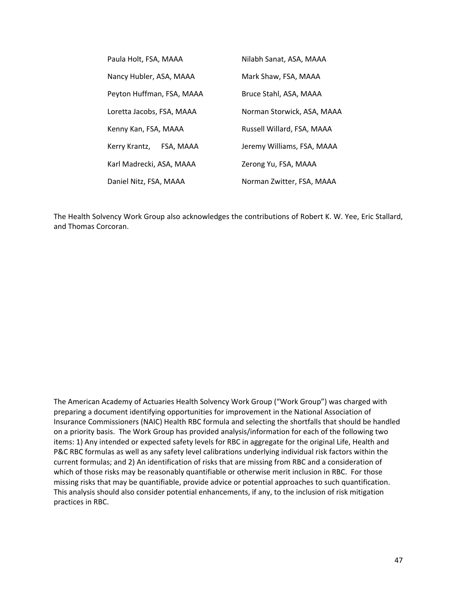| Paula Holt, FSA, MAAA      | Nilabh Sanat, ASA, MAAA    |
|----------------------------|----------------------------|
| Nancy Hubler, ASA, MAAA    | Mark Shaw, FSA, MAAA       |
| Peyton Huffman, FSA, MAAA  | Bruce Stahl, ASA, MAAA     |
| Loretta Jacobs, FSA, MAAA  | Norman Storwick, ASA, MAAA |
| Kenny Kan, FSA, MAAA       | Russell Willard, FSA, MAAA |
| Kerry Krantz,<br>FSA, MAAA | Jeremy Williams, FSA, MAAA |
| Karl Madrecki, ASA, MAAA   | Zerong Yu, FSA, MAAA       |
| Daniel Nitz, FSA, MAAA     | Norman Zwitter, FSA, MAAA  |

The Health Solvency Work Group also acknowledges the contributions of Robert K. W. Yee, Eric Stallard, and Thomas Corcoran.

The American Academy of Actuaries Health Solvency Work Group ("Work Group") was charged with preparing a document identifying opportunities for improvement in the National Association of Insurance Commissioners (NAIC) Health RBC formula and selecting the shortfalls that should be handled on a priority basis. The Work Group has provided analysis/information for each of the following two items: 1) Any intended or expected safety levels for RBC in aggregate for the original Life, Health and P&C RBC formulas as well as any safety level calibrations underlying individual risk factors within the current formulas; and 2) An identification of risks that are missing from RBC and a consideration of which of those risks may be reasonably quantifiable or otherwise merit inclusion in RBC. For those missing risks that may be quantifiable, provide advice or potential approaches to such quantification. This analysis should also consider potential enhancements, if any, to the inclusion of risk mitigation practices in RBC.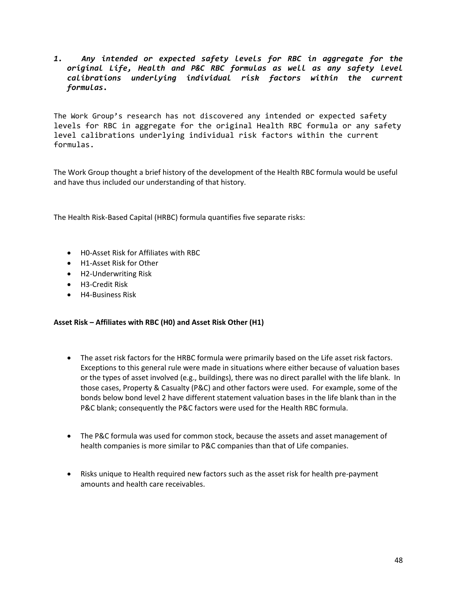*1. Any intended or expected safety levels for RBC in aggregate for the original Life, Health and P&C RBC formulas as well as any safety level calibrations underlying individual risk factors within the current formulas.* 

The Work Group's research has not discovered any intended or expected safety levels for RBC in aggregate for the original Health RBC formula or any safety level calibrations underlying individual risk factors within the current formulas.

The Work Group thought a brief history of the development of the Health RBC formula would be useful and have thus included our understanding of that history.

The Health Risk‐Based Capital (HRBC) formula quantifies five separate risks:

- H0‐Asset Risk for Affiliates with RBC
- H1‐Asset Risk for Other
- H2‐Underwriting Risk
- H3‐Credit Risk
- H4‐Business Risk

#### **Asset Risk – Affiliates with RBC (H0) and Asset Risk Other (H1)**

- The asset risk factors for the HRBC formula were primarily based on the Life asset risk factors. Exceptions to this general rule were made in situations where either because of valuation bases or the types of asset involved (e.g., buildings), there was no direct parallel with the life blank. In those cases, Property & Casualty (P&C) and other factors were used. For example, some of the bonds below bond level 2 have different statement valuation bases in the life blank than in the P&C blank; consequently the P&C factors were used for the Health RBC formula.
- The P&C formula was used for common stock, because the assets and asset management of health companies is more similar to P&C companies than that of Life companies.
- Risks unique to Health required new factors such as the asset risk for health pre-payment amounts and health care receivables.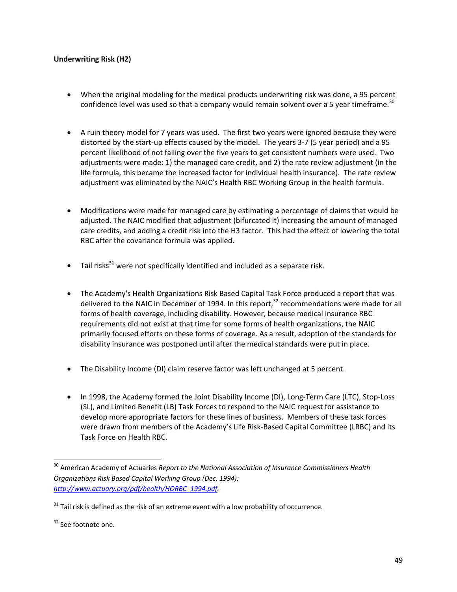#### **Underwriting Risk (H2)**

- When the original modeling for the medical products underwriting risk was done, a 95 percent confidence level was used so that a company would remain solvent over a 5 year timeframe.<sup>30</sup>
- A ruin theory model for 7 years was used. The first two years were ignored because they were distorted by the start‐up effects caused by the model. The years 3‐7 (5 year period) and a 95 percent likelihood of not failing over the five years to get consistent numbers were used. Two adjustments were made: 1) the managed care credit, and 2) the rate review adjustment (in the life formula, this became the increased factor for individual health insurance). The rate review adjustment was eliminated by the NAIC's Health RBC Working Group in the health formula.
- Modifications were made for managed care by estimating a percentage of claims that would be adjusted. The NAIC modified that adjustment (bifurcated it) increasing the amount of managed care credits, and adding a credit risk into the H3 factor. This had the effect of lowering the total RBC after the covariance formula was applied.
- $\bullet$  Tail risks<sup>31</sup> were not specifically identified and included as a separate risk.
- The Academy's Health Organizations Risk Based Capital Task Force produced a report that was delivered to the NAIC in December of 1994. In this report,<sup>32</sup> recommendations were made for all forms of health coverage, including disability. However, because medical insurance RBC requirements did not exist at that time for some forms of health organizations, the NAIC primarily focused efforts on these forms of coverage. As a result, adoption of the standards for disability insurance was postponed until after the medical standards were put in place.
- The Disability Income (DI) claim reserve factor was left unchanged at 5 percent.
- In 1998, the Academy formed the Joint Disability Income (DI), Long‐Term Care (LTC), Stop‐Loss (SL), and Limited Benefit (LB) Task Forces to respond to the NAIC request for assistance to develop more appropriate factors for these lines of business. Members of these task forces were drawn from members of the Academy's Life Risk-Based Capital Committee (LRBC) and its Task Force on Health RBC.

<sup>30</sup> American Academy of Actuaries *Report to the National Association of Insurance Commissioners Health Organizations Risk Based Capital Working Group (Dec. 1994): http://www.actuary.org/pdf/health/HORBC\_1994.pdf.* 

 $31$  Tail risk is defined as the risk of an extreme event with a low probability of occurrence.

<sup>&</sup>lt;sup>32</sup> See footnote one.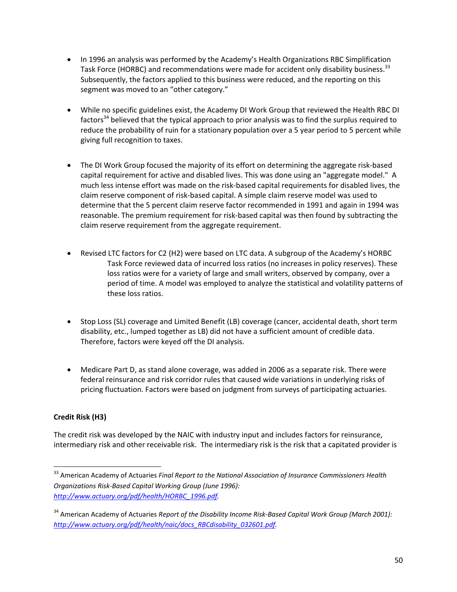- In 1996 an analysis was performed by the Academy's Health Organizations RBC Simplification Task Force (HORBC) and recommendations were made for accident only disability business.<sup>33</sup> Subsequently, the factors applied to this business were reduced, and the reporting on this segment was moved to an "other category."
- While no specific guidelines exist, the Academy DI Work Group that reviewed the Health RBC DI factors<sup>34</sup> believed that the typical approach to prior analysis was to find the surplus required to reduce the probability of ruin for a stationary population over a 5 year period to 5 percent while giving full recognition to taxes.
- The DI Work Group focused the majority of its effort on determining the aggregate risk‐based capital requirement for active and disabled lives. This was done using an "aggregate model." A much less intense effort was made on the risk-based capital requirements for disabled lives, the claim reserve component of risk‐based capital. A simple claim reserve model was used to determine that the 5 percent claim reserve factor recommended in 1991 and again in 1994 was reasonable. The premium requirement for risk‐based capital was then found by subtracting the claim reserve requirement from the aggregate requirement.
- Revised LTC factors for C2 (H2) were based on LTC data. A subgroup of the Academy's HORBC Task Force reviewed data of incurred loss ratios (no increases in policy reserves). These loss ratios were for a variety of large and small writers, observed by company, over a period of time. A model was employed to analyze the statistical and volatility patterns of these loss ratios.
- Stop Loss (SL) coverage and Limited Benefit (LB) coverage (cancer, accidental death, short term disability, etc., lumped together as LB) did not have a sufficient amount of credible data. Therefore, factors were keyed off the DI analysis.
- Medicare Part D, as stand alone coverage, was added in 2006 as a separate risk. There were federal reinsurance and risk corridor rules that caused wide variations in underlying risks of pricing fluctuation. Factors were based on judgment from surveys of participating actuaries.

## **Credit Risk (H3)**

The credit risk was developed by the NAIC with industry input and includes factors for reinsurance, intermediary risk and other receivable risk. The intermediary risk is the risk that a capitated provider is

 <sup>33</sup> American Academy of Actuaries *Final Report to the National Association of Insurance Commissioners Health Organizations Risk‐Based Capital Working Group (June 1996): http://www.actuary.org/pdf/health/HORBC\_1996.pdf.* 

<sup>34</sup> American Academy of Actuaries *Report of the Disability Income Risk‐Based Capital Work Group (March 2001): http://www.actuary.org/pdf/health/naic/docs\_RBCdisability\_032601.pdf.*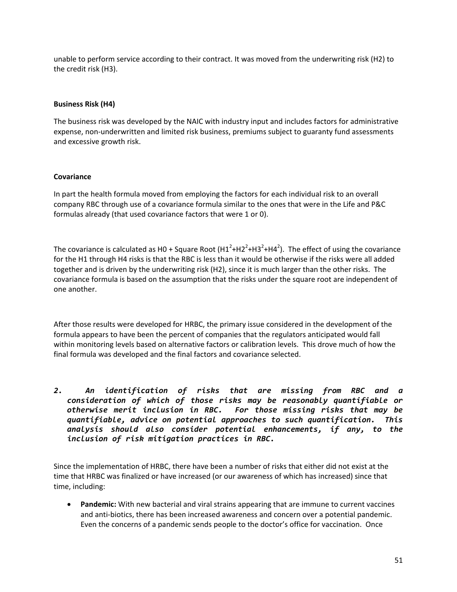unable to perform service according to their contract. It was moved from the underwriting risk (H2) to the credit risk (H3).

#### **Business Risk (H4)**

The business risk was developed by the NAIC with industry input and includes factors for administrative expense, non-underwritten and limited risk business, premiums subject to guaranty fund assessments and excessive growth risk.

#### **Covariance**

In part the health formula moved from employing the factors for each individual risk to an overall company RBC through use of a covariance formula similar to the ones that were in the Life and P&C formulas already (that used covariance factors that were 1 or 0).

The covariance is calculated as H0 + Square Root  $(H1^2+H2^2+H3^2+H4^2)$ . The effect of using the covariance for the H1 through H4 risks is that the RBC is less than it would be otherwise if the risks were all added together and is driven by the underwriting risk (H2), since it is much larger than the other risks. The covariance formula is based on the assumption that the risks under the square root are independent of one another.

After those results were developed for HRBC, the primary issue considered in the development of the formula appears to have been the percent of companies that the regulators anticipated would fall within monitoring levels based on alternative factors or calibration levels. This drove much of how the final formula was developed and the final factors and covariance selected.

*2. An identification of risks that are missing from RBC and a consideration of which of those risks may be reasonably quantifiable or otherwise merit inclusion in RBC. For those missing risks that may be quantifiable, advice on potential approaches to such quantification. This analysis should also consider potential enhancements, if any, to the inclusion of risk mitigation practices in RBC.*

Since the implementation of HRBC, there have been a number of risks that either did not exist at the time that HRBC was finalized or have increased (or our awareness of which has increased) since that time, including:

• **Pandemic:** With new bacterial and viral strains appearing that are immune to current vaccines and anti‐biotics, there has been increased awareness and concern over a potential pandemic. Even the concerns of a pandemic sends people to the doctor's office for vaccination. Once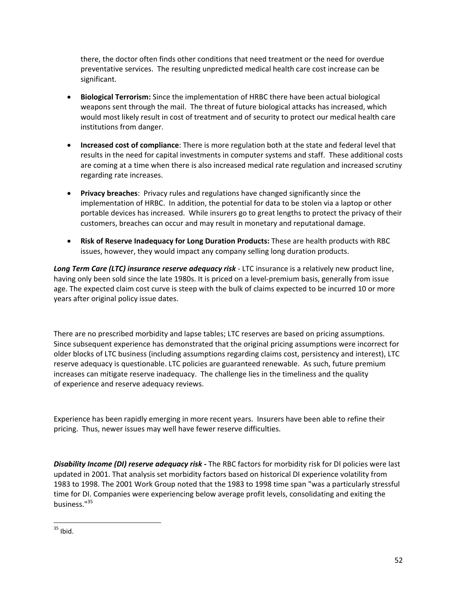there, the doctor often finds other conditions that need treatment or the need for overdue preventative services. The resulting unpredicted medical health care cost increase can be significant.

- **Biological Terrorism:** Since the implementation of HRBC there have been actual biological weapons sent through the mail. The threat of future biological attacks has increased, which would most likely result in cost of treatment and of security to protect our medical health care institutions from danger.
- **Increased cost of compliance**: There is more regulation both at the state and federal level that results in the need for capital investments in computer systems and staff. These additional costs are coming at a time when there is also increased medical rate regulation and increased scrutiny regarding rate increases.
- **Privacy breaches**: Privacy rules and regulations have changed significantly since the implementation of HRBC. In addition, the potential for data to be stolen via a laptop or other portable devices has increased. While insurers go to great lengths to protect the privacy of their customers, breaches can occur and may result in monetary and reputational damage.
- **Risk of Reserve Inadequacy for Long Duration Products:** These are health products with RBC issues, however, they would impact any company selling long duration products.

*Long Term Care (LTC) insurance reserve adequacy risk* ‐ LTC insurance is a relatively new product line, having only been sold since the late 1980s. It is priced on a level-premium basis, generally from issue age. The expected claim cost curve is steep with the bulk of claims expected to be incurred 10 or more years after original policy issue dates.

There are no prescribed morbidity and lapse tables; LTC reserves are based on pricing assumptions. Since subsequent experience has demonstrated that the original pricing assumptions were incorrect for older blocks of LTC business (including assumptions regarding claims cost, persistency and interest), LTC reserve adequacy is questionable. LTC policies are guaranteed renewable. As such, future premium increases can mitigate reserve inadequacy. The challenge lies in the timeliness and the quality of experience and reserve adequacy reviews.

Experience has been rapidly emerging in more recent years. Insurers have been able to refine their pricing. Thus, newer issues may well have fewer reserve difficulties.

*Disability Income (DI) reserve adequacy risk* **‐** The RBC factors for morbidity risk for DI policies were last updated in 2001. That analysis set morbidity factors based on historical DI experience volatility from 1983 to 1998. The 2001 Work Group noted that the 1983 to 1998 time span "was a particularly stressful time for DI. Companies were experiencing below average profit levels, consolidating and exiting the business."<sup>35</sup>

  $35$  Ibid.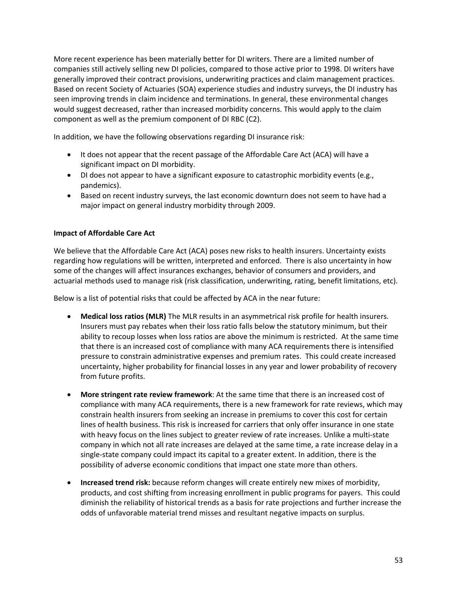More recent experience has been materially better for DI writers. There are a limited number of companies still actively selling new DI policies, compared to those active prior to 1998. DI writers have generally improved their contract provisions, underwriting practices and claim management practices. Based on recent Society of Actuaries (SOA) experience studies and industry surveys, the DI industry has seen improving trends in claim incidence and terminations. In general, these environmental changes would suggest decreased, rather than increased morbidity concerns. This would apply to the claim component as well as the premium component of DI RBC (C2).

In addition, we have the following observations regarding DI insurance risk:

- It does not appear that the recent passage of the Affordable Care Act (ACA) will have a significant impact on DI morbidity.
- DI does not appear to have a significant exposure to catastrophic morbidity events (e.g., pandemics).
- Based on recent industry surveys, the last economic downturn does not seem to have had a major impact on general industry morbidity through 2009.

## **Impact of Affordable Care Act**

We believe that the Affordable Care Act (ACA) poses new risks to health insurers. Uncertainty exists regarding how regulations will be written, interpreted and enforced. There is also uncertainty in how some of the changes will affect insurances exchanges, behavior of consumers and providers, and actuarial methods used to manage risk (risk classification, underwriting, rating, benefit limitations, etc).

Below is a list of potential risks that could be affected by ACA in the near future:

- **Medical loss ratios (MLR)** The MLR results in an asymmetrical risk profile for health insurers. Insurers must pay rebates when their loss ratio falls below the statutory minimum, but their ability to recoup losses when loss ratios are above the minimum is restricted. At the same time that there is an increased cost of compliance with many ACA requirements there is intensified pressure to constrain administrative expenses and premium rates. This could create increased uncertainty, higher probability for financial losses in any year and lower probability of recovery from future profits.
- **More stringent rate review framework**: At the same time that there is an increased cost of compliance with many ACA requirements, there is a new framework for rate reviews, which may constrain health insurers from seeking an increase in premiums to cover this cost for certain lines of health business. This risk is increased for carriers that only offer insurance in one state with heavy focus on the lines subject to greater review of rate increases. Unlike a multi‐state company in which not all rate increases are delayed at the same time, a rate increase delay in a single‐state company could impact its capital to a greater extent. In addition, there is the possibility of adverse economic conditions that impact one state more than others.
- **Increased trend risk:** because reform changes will create entirely new mixes of morbidity, products, and cost shifting from increasing enrollment in public programs for payers. This could diminish the reliability of historical trends as a basis for rate projections and further increase the odds of unfavorable material trend misses and resultant negative impacts on surplus.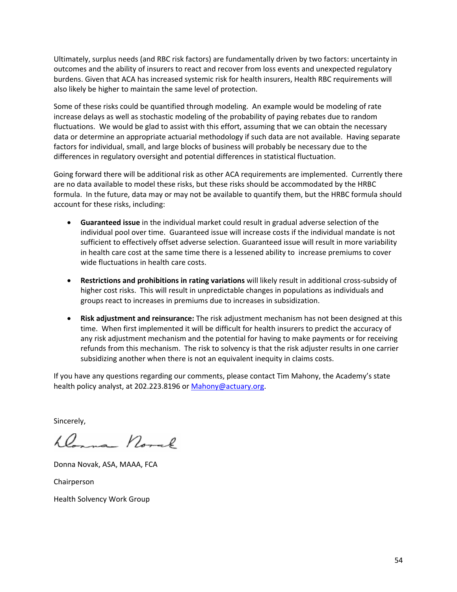Ultimately, surplus needs (and RBC risk factors) are fundamentally driven by two factors: uncertainty in outcomes and the ability of insurers to react and recover from loss events and unexpected regulatory burdens. Given that ACA has increased systemic risk for health insurers, Health RBC requirements will also likely be higher to maintain the same level of protection.

Some of these risks could be quantified through modeling. An example would be modeling of rate increase delays as well as stochastic modeling of the probability of paying rebates due to random fluctuations. We would be glad to assist with this effort, assuming that we can obtain the necessary data or determine an appropriate actuarial methodology if such data are not available. Having separate factors for individual, small, and large blocks of business will probably be necessary due to the differences in regulatory oversight and potential differences in statistical fluctuation.

Going forward there will be additional risk as other ACA requirements are implemented. Currently there are no data available to model these risks, but these risks should be accommodated by the HRBC formula. In the future, data may or may not be available to quantify them, but the HRBC formula should account for these risks, including:

- **Guaranteed issue** in the individual market could result in gradual adverse selection of the individual pool over time. Guaranteed issue will increase costs if the individual mandate is not sufficient to effectively offset adverse selection. Guaranteed issue will result in more variability in health care cost at the same time there is a lessened ability to increase premiums to cover wide fluctuations in health care costs.
- **Restrictions and prohibitions in rating variations** will likely result in additional cross‐subsidy of higher cost risks. This will result in unpredictable changes in populations as individuals and groups react to increases in premiums due to increases in subsidization.
- **Risk adjustment and reinsurance:** The risk adjustment mechanism has not been designed at this time. When first implemented it will be difficult for health insurers to predict the accuracy of any risk adjustment mechanism and the potential for having to make payments or for receiving refunds from this mechanism. The risk to solvency is that the risk adjuster results in one carrier subsidizing another when there is not an equivalent inequity in claims costs.

If you have any questions regarding our comments, please contact Tim Mahony, the Academy's state health policy analyst, at 202.223.8196 or Mahony@actuary.org.

Sincerely,

Dans north

Donna Novak, ASA, MAAA, FCA

Chairperson

Health Solvency Work Group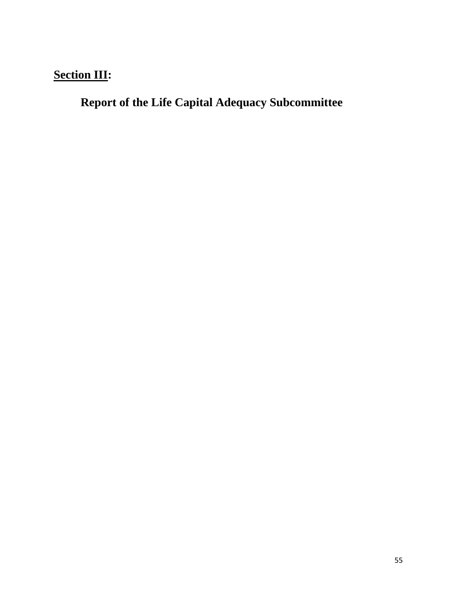# **Section III:**

**Report of the Life Capital Adequacy Subcommittee**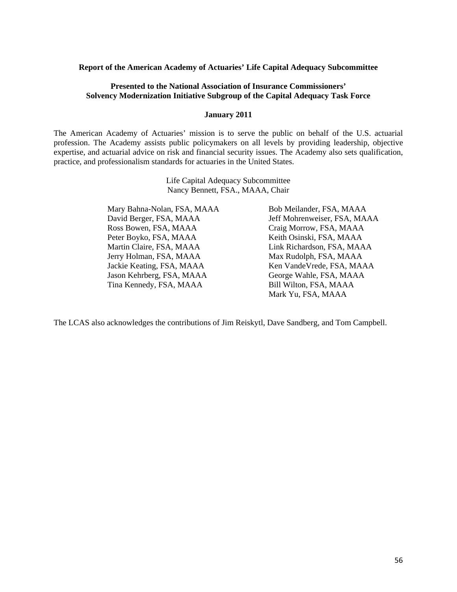#### **Report of the American Academy of Actuaries' Life Capital Adequacy Subcommittee**

#### **Presented to the National Association of Insurance Commissioners' Solvency Modernization Initiative Subgroup of the Capital Adequacy Task Force**

#### **January 2011**

The American Academy of Actuaries' mission is to serve the public on behalf of the U.S. actuarial profession. The Academy assists public policymakers on all levels by providing leadership, objective expertise, and actuarial advice on risk and financial security issues. The Academy also sets qualification, practice, and professionalism standards for actuaries in the United States.

> Life Capital Adequacy Subcommittee Nancy Bennett, FSA., MAAA, Chair

Mary Bahna-Nolan, FSA, MAAA Bob Meilander, FSA, MAAA David Berger, FSA, MAAA Jeff Mohrenweiser, FSA, MAAA Ross Bowen, FSA, MAAA Craig Morrow, FSA, MAAA Peter Boyko, FSA, MAAA Keith Osinski, FSA, MAAA Martin Claire, FSA, MAAA Link Richardson, FSA, MAAA Jerry Holman, FSA, MAAA Max Rudolph, FSA, MAAA Jackie Keating, FSA, MAAA Ken VandeVrede, FSA, MAAA Jason Kehrberg, FSA, MAAA George Wahle, FSA, MAAA Tina Kennedy, FSA, MAAA Bill Wilton, FSA, MAAA

Mark Yu, FSA, MAAA

The LCAS also acknowledges the contributions of Jim Reiskytl, Dave Sandberg, and Tom Campbell.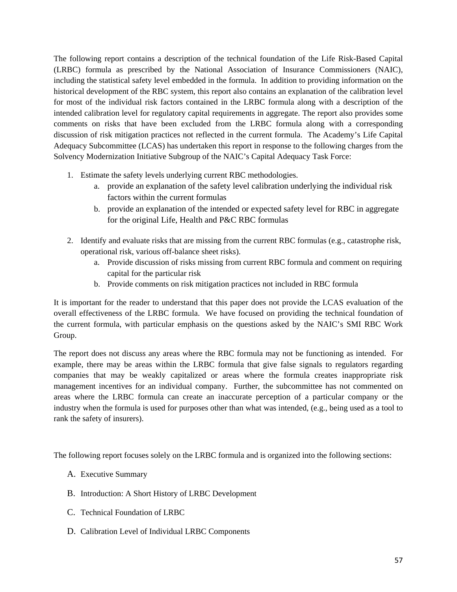The following report contains a description of the technical foundation of the Life Risk-Based Capital (LRBC) formula as prescribed by the National Association of Insurance Commissioners (NAIC), including the statistical safety level embedded in the formula. In addition to providing information on the historical development of the RBC system, this report also contains an explanation of the calibration level for most of the individual risk factors contained in the LRBC formula along with a description of the intended calibration level for regulatory capital requirements in aggregate. The report also provides some comments on risks that have been excluded from the LRBC formula along with a corresponding discussion of risk mitigation practices not reflected in the current formula. The Academy's Life Capital Adequacy Subcommittee (LCAS) has undertaken this report in response to the following charges from the Solvency Modernization Initiative Subgroup of the NAIC's Capital Adequacy Task Force:

- 1. Estimate the safety levels underlying current RBC methodologies.
	- a. provide an explanation of the safety level calibration underlying the individual risk factors within the current formulas
	- b. provide an explanation of the intended or expected safety level for RBC in aggregate for the original Life, Health and P&C RBC formulas
- 2. Identify and evaluate risks that are missing from the current RBC formulas (e.g., catastrophe risk, operational risk, various off-balance sheet risks).
	- a. Provide discussion of risks missing from current RBC formula and comment on requiring capital for the particular risk
	- b. Provide comments on risk mitigation practices not included in RBC formula

It is important for the reader to understand that this paper does not provide the LCAS evaluation of the overall effectiveness of the LRBC formula. We have focused on providing the technical foundation of the current formula, with particular emphasis on the questions asked by the NAIC's SMI RBC Work Group.

The report does not discuss any areas where the RBC formula may not be functioning as intended. For example, there may be areas within the LRBC formula that give false signals to regulators regarding companies that may be weakly capitalized or areas where the formula creates inappropriate risk management incentives for an individual company. Further, the subcommittee has not commented on areas where the LRBC formula can create an inaccurate perception of a particular company or the industry when the formula is used for purposes other than what was intended, (e.g., being used as a tool to rank the safety of insurers).

The following report focuses solely on the LRBC formula and is organized into the following sections:

- A. Executive Summary
- B. Introduction: A Short History of LRBC Development
- C. Technical Foundation of LRBC
- D. Calibration Level of Individual LRBC Components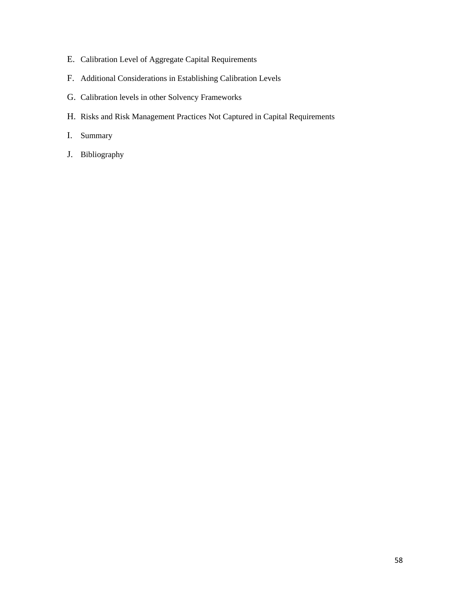- E. Calibration Level of Aggregate Capital Requirements
- F. Additional Considerations in Establishing Calibration Levels
- G. Calibration levels in other Solvency Frameworks
- H. Risks and Risk Management Practices Not Captured in Capital Requirements
- I. Summary
- J. Bibliography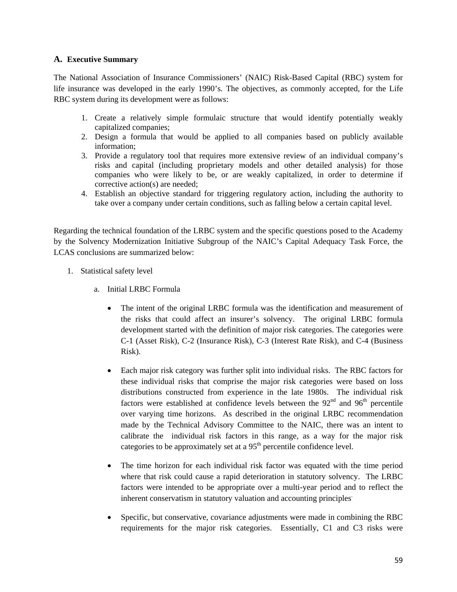### **A. Executive Summary**

The National Association of Insurance Commissioners' (NAIC) Risk-Based Capital (RBC) system for life insurance was developed in the early 1990's. The objectives, as commonly accepted, for the Life RBC system during its development were as follows:

- 1. Create a relatively simple formulaic structure that would identify potentially weakly capitalized companies;
- 2. Design a formula that would be applied to all companies based on publicly available information;
- 3. Provide a regulatory tool that requires more extensive review of an individual company's risks and capital (including proprietary models and other detailed analysis) for those companies who were likely to be, or are weakly capitalized, in order to determine if corrective action(s) are needed;
- 4. Establish an objective standard for triggering regulatory action, including the authority to take over a company under certain conditions, such as falling below a certain capital level.

Regarding the technical foundation of the LRBC system and the specific questions posed to the Academy by the Solvency Modernization Initiative Subgroup of the NAIC's Capital Adequacy Task Force, the LCAS conclusions are summarized below:

- 1. Statistical safety level
	- a. Initial LRBC Formula
		- The intent of the original LRBC formula was the identification and measurement of the risks that could affect an insurer's solvency. The original LRBC formula development started with the definition of major risk categories. The categories were C-1 (Asset Risk), C-2 (Insurance Risk), C-3 (Interest Rate Risk), and C-4 (Business Risk).
		- Each major risk category was further split into individual risks. The RBC factors for these individual risks that comprise the major risk categories were based on loss distributions constructed from experience in the late 1980s. The individual risk factors were established at confidence levels between the  $92<sup>nd</sup>$  and  $96<sup>th</sup>$  percentile over varying time horizons. As described in the original LRBC recommendation made by the Technical Advisory Committee to the NAIC, there was an intent to calibrate the individual risk factors in this range, as a way for the major risk categories to be approximately set at a  $95<sup>th</sup>$  percentile confidence level.
		- The time horizon for each individual risk factor was equated with the time period where that risk could cause a rapid deterioration in statutory solvency. The LRBC factors were intended to be appropriate over a multi-year period and to reflect the inherent conservatism in statutory valuation and accounting principles.
		- Specific, but conservative, covariance adjustments were made in combining the RBC requirements for the major risk categories. Essentially, C1 and C3 risks were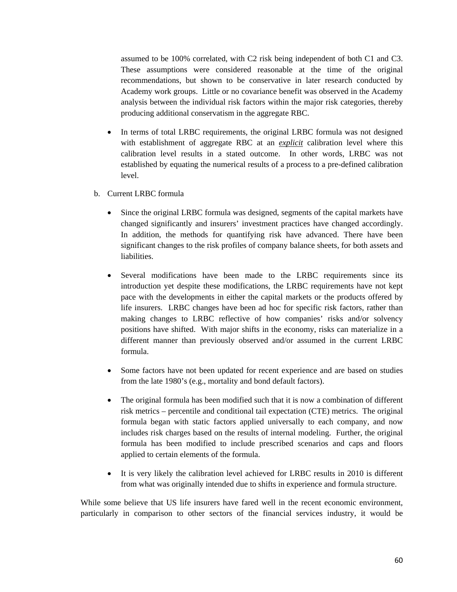assumed to be 100% correlated, with C2 risk being independent of both C1 and C3. These assumptions were considered reasonable at the time of the original recommendations, but shown to be conservative in later research conducted by Academy work groups. Little or no covariance benefit was observed in the Academy analysis between the individual risk factors within the major risk categories, thereby producing additional conservatism in the aggregate RBC.

- In terms of total LRBC requirements, the original LRBC formula was not designed with establishment of aggregate RBC at an *explicit* calibration level where this calibration level results in a stated outcome. In other words, LRBC was not established by equating the numerical results of a process to a pre-defined calibration level.
- b. Current LRBC formula
	- Since the original LRBC formula was designed, segments of the capital markets have changed significantly and insurers' investment practices have changed accordingly. In addition, the methods for quantifying risk have advanced. There have been significant changes to the risk profiles of company balance sheets, for both assets and liabilities.
	- Several modifications have been made to the LRBC requirements since its introduction yet despite these modifications, the LRBC requirements have not kept pace with the developments in either the capital markets or the products offered by life insurers. LRBC changes have been ad hoc for specific risk factors, rather than making changes to LRBC reflective of how companies' risks and/or solvency positions have shifted. With major shifts in the economy, risks can materialize in a different manner than previously observed and/or assumed in the current LRBC formula.
	- Some factors have not been updated for recent experience and are based on studies from the late 1980's (e.g., mortality and bond default factors).
	- The original formula has been modified such that it is now a combination of different risk metrics – percentile and conditional tail expectation (CTE) metrics. The original formula began with static factors applied universally to each company, and now includes risk charges based on the results of internal modeling. Further, the original formula has been modified to include prescribed scenarios and caps and floors applied to certain elements of the formula.
	- It is very likely the calibration level achieved for LRBC results in 2010 is different from what was originally intended due to shifts in experience and formula structure.

While some believe that US life insurers have fared well in the recent economic environment, particularly in comparison to other sectors of the financial services industry, it would be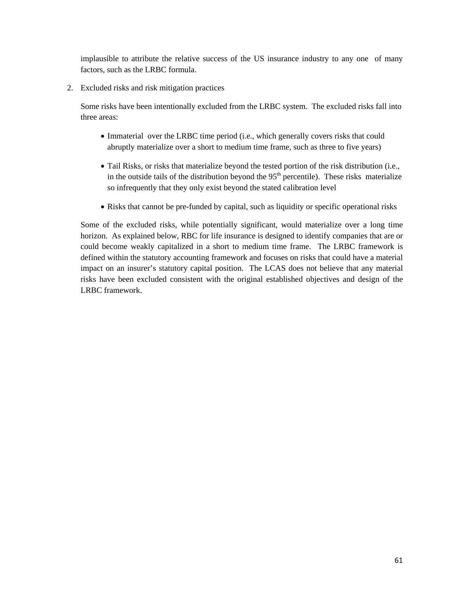implausible to attribute the relative success of the US insurance industry to any one of many factors, such as the LRBC formula.

2. Excluded risks and risk mitigation practices

Some risks have been intentionally excluded from the LRBC system. The excluded risks fall into three areas:

- Immaterial over the LRBC time period (i.e., which generally covers risks that could abruptly materialize over a short to medium time frame, such as three to five years)
- Tail Risks, or risks that materialize beyond the tested portion of the risk distribution (i.e., in the outside tails of the distribution beyond the  $95<sup>th</sup>$  percentile). These risks materialize so infrequently that they only exist beyond the stated calibration level
- Risks that cannot be pre-funded by capital, such as liquidity or specific operational risks

Some of the excluded risks, while potentially significant, would materialize over a long time horizon. As explained below, RBC for life insurance is designed to identify companies that are or could become weakly capitalized in a short to medium time frame. The LRBC framework is defined within the statutory accounting framework and focuses on risks that could have a material impact on an insurer's statutory capital position. The LCAS does not believe that any material risks have been excluded consistent with the original established objectives and design of the LRBC framework.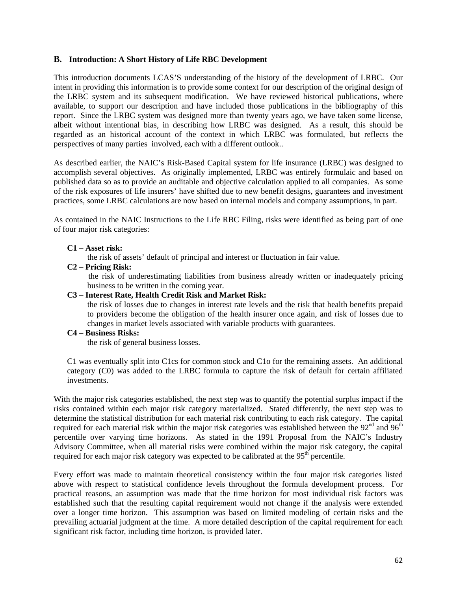#### **B. Introduction: A Short History of Life RBC Development**

This introduction documents LCAS'S understanding of the history of the development of LRBC. Our intent in providing this information is to provide some context for our description of the original design of the LRBC system and its subsequent modification. We have reviewed historical publications, where available, to support our description and have included those publications in the bibliography of this report. Since the LRBC system was designed more than twenty years ago, we have taken some license, albeit without intentional bias, in describing how LRBC was designed. As a result, this should be regarded as an historical account of the context in which LRBC was formulated, but reflects the perspectives of many parties involved, each with a different outlook..

As described earlier, the NAIC's Risk-Based Capital system for life insurance (LRBC) was designed to accomplish several objectives. As originally implemented, LRBC was entirely formulaic and based on published data so as to provide an auditable and objective calculation applied to all companies. As some of the risk exposures of life insurers' have shifted due to new benefit designs, guarantees and investment practices, some LRBC calculations are now based on internal models and company assumptions, in part.

As contained in the NAIC Instructions to the Life RBC Filing, risks were identified as being part of one of four major risk categories:

#### **C1 – Asset risk:**

the risk of assets' default of principal and interest or fluctuation in fair value.

**C2 – Pricing Risk:** 

the risk of underestimating liabilities from business already written or inadequately pricing business to be written in the coming year.

#### **C3 – Interest Rate, Health Credit Risk and Market Risk:**

the risk of losses due to changes in interest rate levels and the risk that health benefits prepaid to providers become the obligation of the health insurer once again, and risk of losses due to changes in market levels associated with variable products with guarantees.

#### **C4 – Business Risks:**

the risk of general business losses.

C1 was eventually split into C1cs for common stock and C1o for the remaining assets. An additional category (C0) was added to the LRBC formula to capture the risk of default for certain affiliated investments.

With the major risk categories established, the next step was to quantify the potential surplus impact if the risks contained within each major risk category materialized. Stated differently, the next step was to determine the statistical distribution for each material risk contributing to each risk category. The capital required for each material risk within the major risk categories was established between the  $92<sup>nd</sup>$  and  $96<sup>th</sup>$ percentile over varying time horizons. As stated in the 1991 Proposal from the NAIC's Industry Advisory Committee, when all material risks were combined within the major risk category, the capital required for each major risk category was expected to be calibrated at the 95<sup>th</sup> percentile.

Every effort was made to maintain theoretical consistency within the four major risk categories listed above with respect to statistical confidence levels throughout the formula development process. For practical reasons, an assumption was made that the time horizon for most individual risk factors was established such that the resulting capital requirement would not change if the analysis were extended over a longer time horizon. This assumption was based on limited modeling of certain risks and the prevailing actuarial judgment at the time. A more detailed description of the capital requirement for each significant risk factor, including time horizon, is provided later.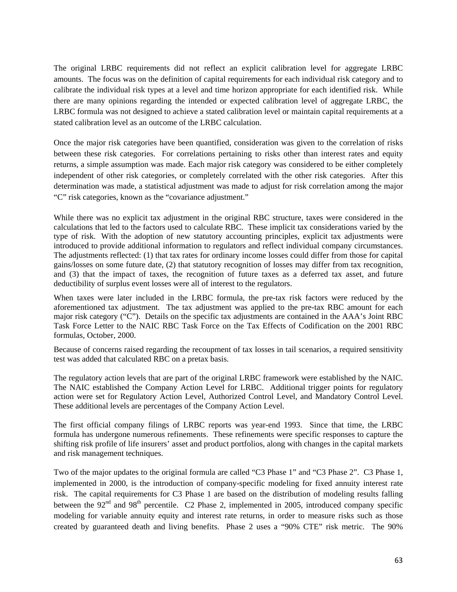The original LRBC requirements did not reflect an explicit calibration level for aggregate LRBC amounts. The focus was on the definition of capital requirements for each individual risk category and to calibrate the individual risk types at a level and time horizon appropriate for each identified risk. While there are many opinions regarding the intended or expected calibration level of aggregate LRBC, the LRBC formula was not designed to achieve a stated calibration level or maintain capital requirements at a stated calibration level as an outcome of the LRBC calculation.

Once the major risk categories have been quantified, consideration was given to the correlation of risks between these risk categories. For correlations pertaining to risks other than interest rates and equity returns, a simple assumption was made. Each major risk category was considered to be either completely independent of other risk categories, or completely correlated with the other risk categories. After this determination was made, a statistical adjustment was made to adjust for risk correlation among the major "C" risk categories, known as the "covariance adjustment."

While there was no explicit tax adjustment in the original RBC structure, taxes were considered in the calculations that led to the factors used to calculate RBC. These implicit tax considerations varied by the type of risk. With the adoption of new statutory accounting principles, explicit tax adjustments were introduced to provide additional information to regulators and reflect individual company circumstances. The adjustments reflected: (1) that tax rates for ordinary income losses could differ from those for capital gains/losses on some future date, (2) that statutory recognition of losses may differ from tax recognition, and (3) that the impact of taxes, the recognition of future taxes as a deferred tax asset, and future deductibility of surplus event losses were all of interest to the regulators.

When taxes were later included in the LRBC formula, the pre-tax risk factors were reduced by the aforementioned tax adjustment. The tax adjustment was applied to the pre-tax RBC amount for each major risk category ("C"). Details on the specific tax adjustments are contained in the AAA's Joint RBC Task Force Letter to the NAIC RBC Task Force on the Tax Effects of Codification on the 2001 RBC formulas, October, 2000.

Because of concerns raised regarding the recoupment of tax losses in tail scenarios, a required sensitivity test was added that calculated RBC on a pretax basis.

The regulatory action levels that are part of the original LRBC framework were established by the NAIC. The NAIC established the Company Action Level for LRBC. Additional trigger points for regulatory action were set for Regulatory Action Level, Authorized Control Level, and Mandatory Control Level. These additional levels are percentages of the Company Action Level.

The first official company filings of LRBC reports was year-end 1993. Since that time, the LRBC formula has undergone numerous refinements. These refinements were specific responses to capture the shifting risk profile of life insurers' asset and product portfolios, along with changes in the capital markets and risk management techniques.

Two of the major updates to the original formula are called "C3 Phase 1" and "C3 Phase 2". C3 Phase 1, implemented in 2000, is the introduction of company-specific modeling for fixed annuity interest rate risk. The capital requirements for C3 Phase 1 are based on the distribution of modeling results falling between the  $92<sup>nd</sup>$  and  $98<sup>th</sup>$  percentile. C2 Phase 2, implemented in 2005, introduced company specific modeling for variable annuity equity and interest rate returns, in order to measure risks such as those created by guaranteed death and living benefits. Phase 2 uses a "90% CTE" risk metric. The 90%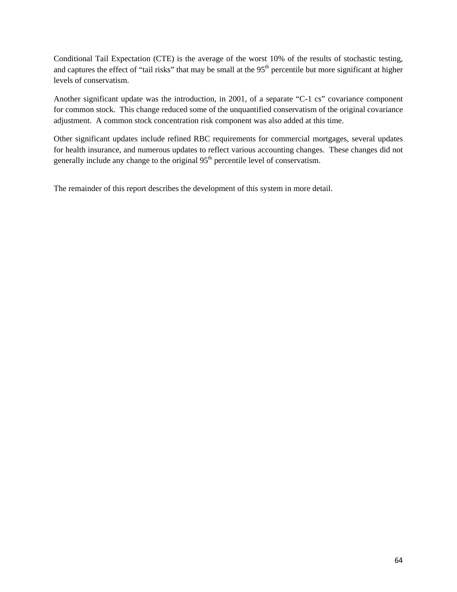Conditional Tail Expectation (CTE) is the average of the worst 10% of the results of stochastic testing, and captures the effect of "tail risks" that may be small at the  $95<sup>th</sup>$  percentile but more significant at higher levels of conservatism.

Another significant update was the introduction, in 2001, of a separate "C-1 cs" covariance component for common stock. This change reduced some of the unquantified conservatism of the original covariance adjustment. A common stock concentration risk component was also added at this time.

Other significant updates include refined RBC requirements for commercial mortgages, several updates for health insurance, and numerous updates to reflect various accounting changes. These changes did not generally include any change to the original  $95<sup>th</sup>$  percentile level of conservatism.

The remainder of this report describes the development of this system in more detail.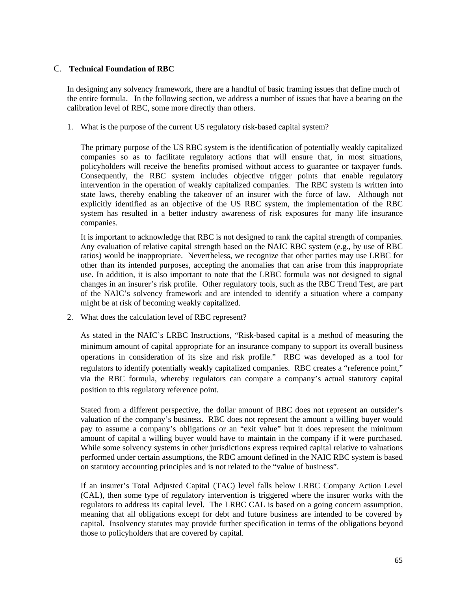#### C. **Technical Foundation of RBC**

In designing any solvency framework, there are a handful of basic framing issues that define much of the entire formula. In the following section, we address a number of issues that have a bearing on the calibration level of RBC, some more directly than others.

1. What is the purpose of the current US regulatory risk-based capital system?

The primary purpose of the US RBC system is the identification of potentially weakly capitalized companies so as to facilitate regulatory actions that will ensure that, in most situations, policyholders will receive the benefits promised without access to guarantee or taxpayer funds. Consequently, the RBC system includes objective trigger points that enable regulatory intervention in the operation of weakly capitalized companies. The RBC system is written into state laws, thereby enabling the takeover of an insurer with the force of law. Although not explicitly identified as an objective of the US RBC system, the implementation of the RBC system has resulted in a better industry awareness of risk exposures for many life insurance companies.

It is important to acknowledge that RBC is not designed to rank the capital strength of companies. Any evaluation of relative capital strength based on the NAIC RBC system (e.g., by use of RBC ratios) would be inappropriate. Nevertheless, we recognize that other parties may use LRBC for other than its intended purposes, accepting the anomalies that can arise from this inappropriate use. In addition, it is also important to note that the LRBC formula was not designed to signal changes in an insurer's risk profile. Other regulatory tools, such as the RBC Trend Test, are part of the NAIC's solvency framework and are intended to identify a situation where a company might be at risk of becoming weakly capitalized.

2. What does the calculation level of RBC represent?

As stated in the NAIC's LRBC Instructions, "Risk-based capital is a method of measuring the minimum amount of capital appropriate for an insurance company to support its overall business operations in consideration of its size and risk profile." RBC was developed as a tool for regulators to identify potentially weakly capitalized companies. RBC creates a "reference point," via the RBC formula, whereby regulators can compare a company's actual statutory capital position to this regulatory reference point.

Stated from a different perspective, the dollar amount of RBC does not represent an outsider's valuation of the company's business. RBC does not represent the amount a willing buyer would pay to assume a company's obligations or an "exit value" but it does represent the minimum amount of capital a willing buyer would have to maintain in the company if it were purchased. While some solvency systems in other jurisdictions express required capital relative to valuations performed under certain assumptions, the RBC amount defined in the NAIC RBC system is based on statutory accounting principles and is not related to the "value of business".

If an insurer's Total Adjusted Capital (TAC) level falls below LRBC Company Action Level (CAL), then some type of regulatory intervention is triggered where the insurer works with the regulators to address its capital level. The LRBC CAL is based on a going concern assumption, meaning that all obligations except for debt and future business are intended to be covered by capital. Insolvency statutes may provide further specification in terms of the obligations beyond those to policyholders that are covered by capital.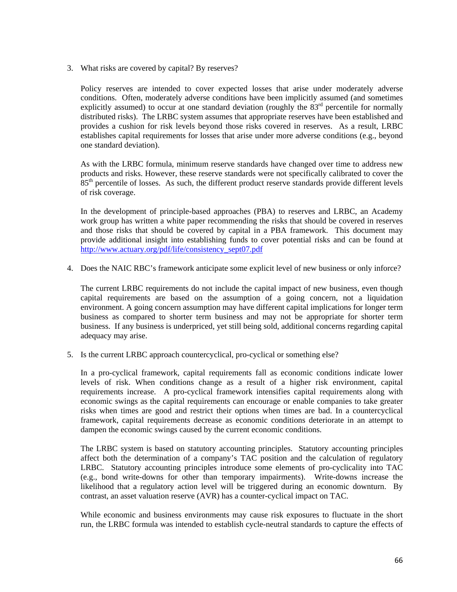3. What risks are covered by capital? By reserves?

Policy reserves are intended to cover expected losses that arise under moderately adverse conditions. Often, moderately adverse conditions have been implicitly assumed (and sometimes explicitly assumed) to occur at one standard deviation (roughly the  $83<sup>rd</sup>$  percentile for normally distributed risks). The LRBC system assumes that appropriate reserves have been established and provides a cushion for risk levels beyond those risks covered in reserves. As a result, LRBC establishes capital requirements for losses that arise under more adverse conditions (e.g., beyond one standard deviation).

As with the LRBC formula, minimum reserve standards have changed over time to address new products and risks. However, these reserve standards were not specifically calibrated to cover the 85<sup>th</sup> percentile of losses. As such, the different product reserve standards provide different levels of risk coverage.

In the development of principle-based approaches (PBA) to reserves and LRBC, an Academy work group has written a white paper recommending the risks that should be covered in reserves and those risks that should be covered by capital in a PBA framework. This document may provide additional insight into establishing funds to cover potential risks and can be found at http://www.actuary.org/pdf/life/consistency\_sept07.pdf

4. Does the NAIC RBC's framework anticipate some explicit level of new business or only inforce?

The current LRBC requirements do not include the capital impact of new business, even though capital requirements are based on the assumption of a going concern, not a liquidation environment. A going concern assumption may have different capital implications for longer term business as compared to shorter term business and may not be appropriate for shorter term business. If any business is underpriced, yet still being sold, additional concerns regarding capital adequacy may arise.

5. Is the current LRBC approach countercyclical, pro-cyclical or something else?

In a pro-cyclical framework, capital requirements fall as economic conditions indicate lower levels of risk. When conditions change as a result of a higher risk environment, capital requirements increase. A pro-cyclical framework intensifies capital requirements along with economic swings as the capital requirements can encourage or enable companies to take greater risks when times are good and restrict their options when times are bad. In a countercyclical framework, capital requirements decrease as economic conditions deteriorate in an attempt to dampen the economic swings caused by the current economic conditions.

The LRBC system is based on statutory accounting principles. Statutory accounting principles affect both the determination of a company's TAC position and the calculation of regulatory LRBC. Statutory accounting principles introduce some elements of pro-cyclicality into TAC (e.g., bond write-downs for other than temporary impairments). Write-downs increase the likelihood that a regulatory action level will be triggered during an economic downturn. By contrast, an asset valuation reserve (AVR) has a counter-cyclical impact on TAC.

While economic and business environments may cause risk exposures to fluctuate in the short run, the LRBC formula was intended to establish cycle-neutral standards to capture the effects of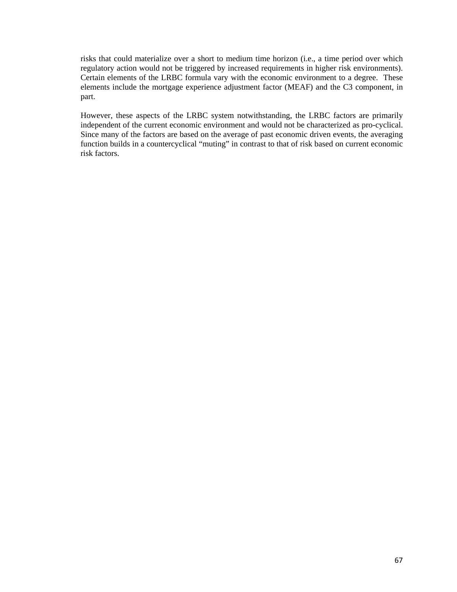risks that could materialize over a short to medium time horizon (i.e., a time period over which regulatory action would not be triggered by increased requirements in higher risk environments). Certain elements of the LRBC formula vary with the economic environment to a degree. These elements include the mortgage experience adjustment factor (MEAF) and the C3 component, in part.

However, these aspects of the LRBC system notwithstanding, the LRBC factors are primarily independent of the current economic environment and would not be characterized as pro-cyclical. Since many of the factors are based on the average of past economic driven events, the averaging function builds in a countercyclical "muting" in contrast to that of risk based on current economic risk factors.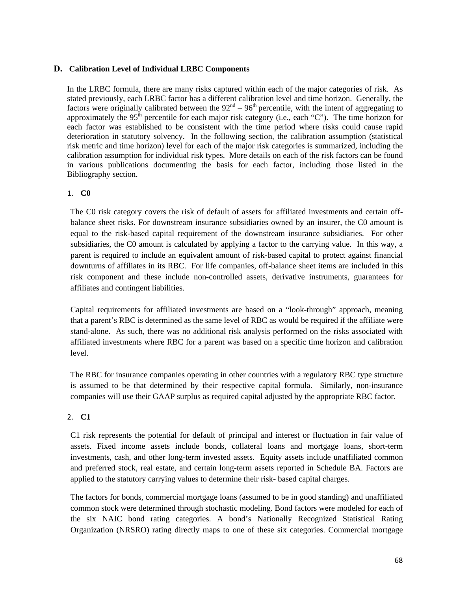#### **D. Calibration Level of Individual LRBC Components**

In the LRBC formula, there are many risks captured within each of the major categories of risk. As stated previously, each LRBC factor has a different calibration level and time horizon. Generally, the factors were originally calibrated between the  $92<sup>nd</sup> - 96<sup>th</sup>$  percentile, with the intent of aggregating to approximately the 95<sup>th</sup> percentile for each major risk category (i.e., each "C"). The time horizon for each factor was established to be consistent with the time period where risks could cause rapid deterioration in statutory solvency. In the following section, the calibration assumption (statistical risk metric and time horizon) level for each of the major risk categories is summarized, including the calibration assumption for individual risk types. More details on each of the risk factors can be found in various publications documenting the basis for each factor, including those listed in the Bibliography section.

#### 1. **C0**

The C0 risk category covers the risk of default of assets for affiliated investments and certain offbalance sheet risks. For downstream insurance subsidiaries owned by an insurer, the C0 amount is equal to the risk-based capital requirement of the downstream insurance subsidiaries. For other subsidiaries, the C0 amount is calculated by applying a factor to the carrying value. In this way, a parent is required to include an equivalent amount of risk-based capital to protect against financial downturns of affiliates in its RBC. For life companies, off-balance sheet items are included in this risk component and these include non-controlled assets, derivative instruments, guarantees for affiliates and contingent liabilities.

Capital requirements for affiliated investments are based on a "look-through" approach, meaning that a parent's RBC is determined as the same level of RBC as would be required if the affiliate were stand-alone. As such, there was no additional risk analysis performed on the risks associated with affiliated investments where RBC for a parent was based on a specific time horizon and calibration level.

The RBC for insurance companies operating in other countries with a regulatory RBC type structure is assumed to be that determined by their respective capital formula. Similarly, non-insurance companies will use their GAAP surplus as required capital adjusted by the appropriate RBC factor.

## 2. **C1**

C1 risk represents the potential for default of principal and interest or fluctuation in fair value of assets. Fixed income assets include bonds, collateral loans and mortgage loans, short-term investments, cash, and other long-term invested assets. Equity assets include unaffiliated common and preferred stock, real estate, and certain long-term assets reported in Schedule BA. Factors are applied to the statutory carrying values to determine their risk- based capital charges.

The factors for bonds, commercial mortgage loans (assumed to be in good standing) and unaffiliated common stock were determined through stochastic modeling. Bond factors were modeled for each of the six NAIC bond rating categories. A bond's Nationally Recognized Statistical Rating Organization (NRSRO) rating directly maps to one of these six categories. Commercial mortgage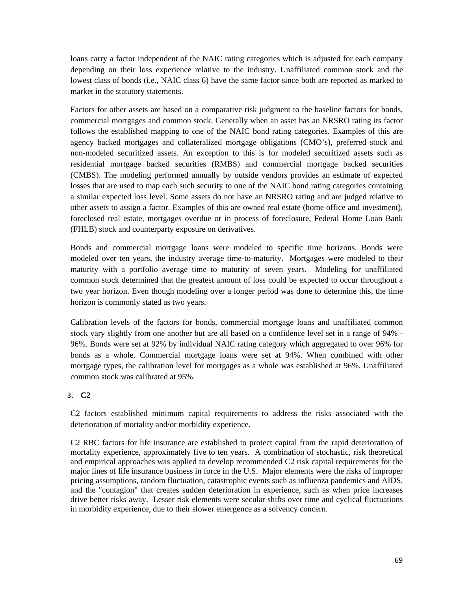loans carry a factor independent of the NAIC rating categories which is adjusted for each company depending on their loss experience relative to the industry. Unaffiliated common stock and the lowest class of bonds (i.e., NAIC class 6) have the same factor since both are reported as marked to market in the statutory statements.

Factors for other assets are based on a comparative risk judgment to the baseline factors for bonds, commercial mortgages and common stock. Generally when an asset has an NRSRO rating its factor follows the established mapping to one of the NAIC bond rating categories. Examples of this are agency backed mortgages and collateralized mortgage obligations (CMO's), preferred stock and non-modeled securitized assets. An exception to this is for modeled securitized assets such as residential mortgage backed securities (RMBS) and commercial mortgage backed securities (CMBS). The modeling performed annually by outside vendors provides an estimate of expected losses that are used to map each such security to one of the NAIC bond rating categories containing a similar expected loss level. Some assets do not have an NRSRO rating and are judged relative to other assets to assign a factor. Examples of this are owned real estate (home office and investment), foreclosed real estate, mortgages overdue or in process of foreclosure, Federal Home Loan Bank (FHLB) stock and counterparty exposure on derivatives.

Bonds and commercial mortgage loans were modeled to specific time horizons. Bonds were modeled over ten years, the industry average time-to-maturity. Mortgages were modeled to their maturity with a portfolio average time to maturity of seven years. Modeling for unaffiliated common stock determined that the greatest amount of loss could be expected to occur throughout a two year horizon. Even though modeling over a longer period was done to determine this, the time horizon is commonly stated as two years.

Calibration levels of the factors for bonds, commercial mortgage loans and unaffiliated common stock vary slightly from one another but are all based on a confidence level set in a range of 94% - 96%. Bonds were set at 92% by individual NAIC rating category which aggregated to over 96% for bonds as a whole. Commercial mortgage loans were set at 94%. When combined with other mortgage types, the calibration level for mortgages as a whole was established at 96%. Unaffiliated common stock was calibrated at 95%.

## 3. **C2**

C2 factors established minimum capital requirements to address the risks associated with the deterioration of mortality and/or morbidity experience.

C2 RBC factors for life insurance are established to protect capital from the rapid deterioration of mortality experience, approximately five to ten years. A combination of stochastic, risk theoretical and empirical approaches was applied to develop recommended C2 risk capital requirements for the major lines of life insurance business in force in the U.S. Major elements were the risks of improper pricing assumptions, random fluctuation, catastrophic events such as influenza pandemics and AIDS, and the "contagion" that creates sudden deterioration in experience, such as when price increases drive better risks away. Lesser risk elements were secular shifts over time and cyclical fluctuations in morbidity experience, due to their slower emergence as a solvency concern.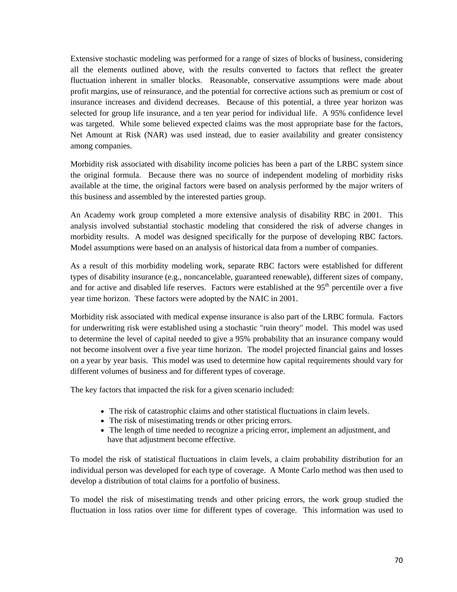Extensive stochastic modeling was performed for a range of sizes of blocks of business, considering all the elements outlined above, with the results converted to factors that reflect the greater fluctuation inherent in smaller blocks. Reasonable, conservative assumptions were made about profit margins, use of reinsurance, and the potential for corrective actions such as premium or cost of insurance increases and dividend decreases. Because of this potential, a three year horizon was selected for group life insurance, and a ten year period for individual life. A 95% confidence level was targeted. While some believed expected claims was the most appropriate base for the factors, Net Amount at Risk (NAR) was used instead, due to easier availability and greater consistency among companies.

Morbidity risk associated with disability income policies has been a part of the LRBC system since the original formula. Because there was no source of independent modeling of morbidity risks available at the time, the original factors were based on analysis performed by the major writers of this business and assembled by the interested parties group.

An Academy work group completed a more extensive analysis of disability RBC in 2001. This analysis involved substantial stochastic modeling that considered the risk of adverse changes in morbidity results. A model was designed specifically for the purpose of developing RBC factors. Model assumptions were based on an analysis of historical data from a number of companies.

As a result of this morbidity modeling work, separate RBC factors were established for different types of disability insurance (e.g., noncancelable, guaranteed renewable), different sizes of company, and for active and disabled life reserves. Factors were established at the 95<sup>th</sup> percentile over a five year time horizon. These factors were adopted by the NAIC in 2001.

Morbidity risk associated with medical expense insurance is also part of the LRBC formula. Factors for underwriting risk were established using a stochastic "ruin theory" model. This model was used to determine the level of capital needed to give a 95% probability that an insurance company would not become insolvent over a five year time horizon. The model projected financial gains and losses on a year by year basis. This model was used to determine how capital requirements should vary for different volumes of business and for different types of coverage.

The key factors that impacted the risk for a given scenario included:

- The risk of catastrophic claims and other statistical fluctuations in claim levels.
- The risk of misestimating trends or other pricing errors.
- The length of time needed to recognize a pricing error, implement an adjustment, and have that adjustment become effective.

To model the risk of statistical fluctuations in claim levels, a claim probability distribution for an individual person was developed for each type of coverage. A Monte Carlo method was then used to develop a distribution of total claims for a portfolio of business.

To model the risk of misestimating trends and other pricing errors, the work group studied the fluctuation in loss ratios over time for different types of coverage. This information was used to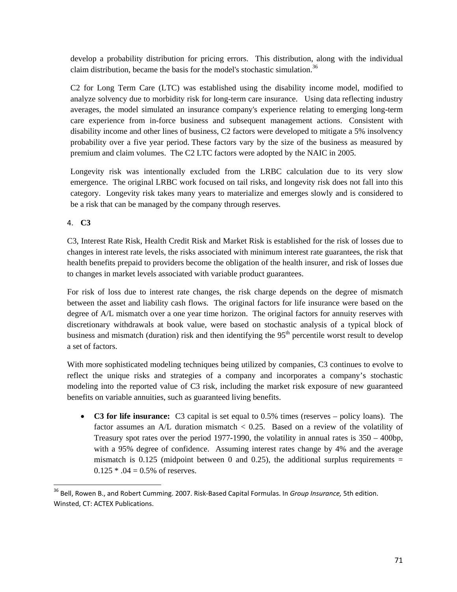develop a probability distribution for pricing errors. This distribution, along with the individual claim distribution, became the basis for the model's stochastic simulation.<sup>36</sup>

C2 for Long Term Care (LTC) was established using the disability income model, modified to analyze solvency due to morbidity risk for long-term care insurance. Using data reflecting industry averages, the model simulated an insurance company's experience relating to emerging long-term care experience from in-force business and subsequent management actions. Consistent with disability income and other lines of business, C2 factors were developed to mitigate a 5% insolvency probability over a five year period. These factors vary by the size of the business as measured by premium and claim volumes. The C2 LTC factors were adopted by the NAIC in 2005.

Longevity risk was intentionally excluded from the LRBC calculation due to its very slow emergence. The original LRBC work focused on tail risks, and longevity risk does not fall into this category. Longevity risk takes many years to materialize and emerges slowly and is considered to be a risk that can be managed by the company through reserves.

## 4. **C3**

C3, Interest Rate Risk, Health Credit Risk and Market Risk is established for the risk of losses due to changes in interest rate levels, the risks associated with minimum interest rate guarantees, the risk that health benefits prepaid to providers become the obligation of the health insurer, and risk of losses due to changes in market levels associated with variable product guarantees.

For risk of loss due to interest rate changes, the risk charge depends on the degree of mismatch between the asset and liability cash flows. The original factors for life insurance were based on the degree of A/L mismatch over a one year time horizon. The original factors for annuity reserves with discretionary withdrawals at book value, were based on stochastic analysis of a typical block of business and mismatch (duration) risk and then identifying the 95<sup>th</sup> percentile worst result to develop a set of factors.

With more sophisticated modeling techniques being utilized by companies, C3 continues to evolve to reflect the unique risks and strategies of a company and incorporates a company's stochastic modeling into the reported value of C3 risk, including the market risk exposure of new guaranteed benefits on variable annuities, such as guaranteed living benefits.

• **C3 for life insurance:** C3 capital is set equal to 0.5% times (reserves – policy loans).The factor assumes an A/L duration mismatch < 0.25. Based on a review of the volatility of Treasury spot rates over the period 1977-1990, the volatility in annual rates is  $350 - 400$ bp, with a 95% degree of confidence. Assuming interest rates change by 4% and the average mismatch is  $0.125$  (midpoint between 0 and 0.25), the additional surplus requirements =  $0.125 * .04 = 0.5%$  of reserves.

 <sup>36</sup> Bell, Rowen B., and Robert Cumming. 2007. Risk‐Based Capital Formulas. In *Group Insurance,* 5th edition. Winsted, CT: ACTEX Publications.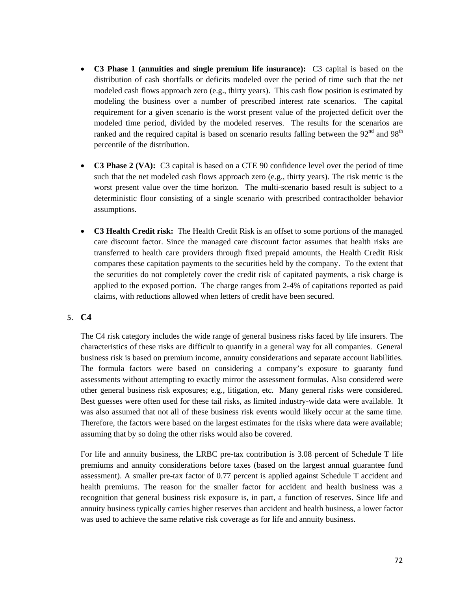- **C3 Phase 1 (annuities and single premium life insurance):** C3 capital is based on the distribution of cash shortfalls or deficits modeled over the period of time such that the net modeled cash flows approach zero (e.g., thirty years). This cash flow position is estimated by modeling the business over a number of prescribed interest rate scenarios. The capital requirement for a given scenario is the worst present value of the projected deficit over the modeled time period, divided by the modeled reserves. The results for the scenarios are ranked and the required capital is based on scenario results falling between the  $92<sup>nd</sup>$  and  $98<sup>th</sup>$ percentile of the distribution.
- **C3 Phase 2 (VA):** C3 capital is based on a CTE 90 confidence level over the period of time such that the net modeled cash flows approach zero (e.g., thirty years). The risk metric is the worst present value over the time horizon. The multi-scenario based result is subject to a deterministic floor consisting of a single scenario with prescribed contractholder behavior assumptions.
- **C3 Health Credit risk:** The Health Credit Risk is an offset to some portions of the managed care discount factor. Since the managed care discount factor assumes that health risks are transferred to health care providers through fixed prepaid amounts, the Health Credit Risk compares these capitation payments to the securities held by the company. To the extent that the securities do not completely cover the credit risk of capitated payments, a risk charge is applied to the exposed portion. The charge ranges from 2-4% of capitations reported as paid claims, with reductions allowed when letters of credit have been secured.

## 5. **C4**

The C4 risk category includes the wide range of general business risks faced by life insurers. The characteristics of these risks are difficult to quantify in a general way for all companies. General business risk is based on premium income, annuity considerations and separate account liabilities. The formula factors were based on considering a company's exposure to guaranty fund assessments without attempting to exactly mirror the assessment formulas. Also considered were other general business risk exposures; e.g., litigation, etc. Many general risks were considered. Best guesses were often used for these tail risks, as limited industry-wide data were available. It was also assumed that not all of these business risk events would likely occur at the same time. Therefore, the factors were based on the largest estimates for the risks where data were available; assuming that by so doing the other risks would also be covered.

For life and annuity business, the LRBC pre-tax contribution is 3.08 percent of Schedule T life premiums and annuity considerations before taxes (based on the largest annual guarantee fund assessment). A smaller pre-tax factor of 0.77 percent is applied against Schedule T accident and health premiums. The reason for the smaller factor for accident and health business was a recognition that general business risk exposure is, in part, a function of reserves. Since life and annuity business typically carries higher reserves than accident and health business, a lower factor was used to achieve the same relative risk coverage as for life and annuity business.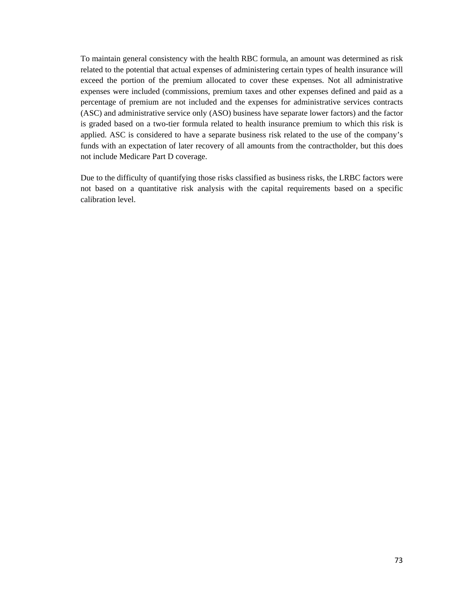To maintain general consistency with the health RBC formula, an amount was determined as risk related to the potential that actual expenses of administering certain types of health insurance will exceed the portion of the premium allocated to cover these expenses. Not all administrative expenses were included (commissions, premium taxes and other expenses defined and paid as a percentage of premium are not included and the expenses for administrative services contracts (ASC) and administrative service only (ASO) business have separate lower factors) and the factor is graded based on a two-tier formula related to health insurance premium to which this risk is applied. ASC is considered to have a separate business risk related to the use of the company's funds with an expectation of later recovery of all amounts from the contractholder, but this does not include Medicare Part D coverage.

Due to the difficulty of quantifying those risks classified as business risks, the LRBC factors were not based on a quantitative risk analysis with the capital requirements based on a specific calibration level.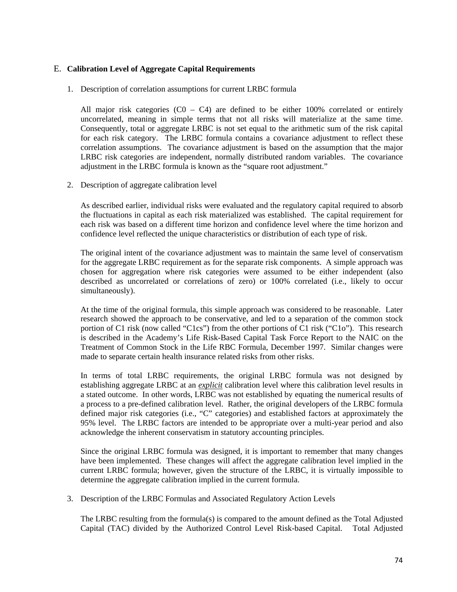### E. **Calibration Level of Aggregate Capital Requirements**

1. Description of correlation assumptions for current LRBC formula

All major risk categories  $(C_0 - C_4)$  are defined to be either 100% correlated or entirely uncorrelated, meaning in simple terms that not all risks will materialize at the same time. Consequently, total or aggregate LRBC is not set equal to the arithmetic sum of the risk capital for each risk category. The LRBC formula contains a covariance adjustment to reflect these correlation assumptions. The covariance adjustment is based on the assumption that the major LRBC risk categories are independent, normally distributed random variables. The covariance adjustment in the LRBC formula is known as the "square root adjustment."

2. Description of aggregate calibration level

As described earlier, individual risks were evaluated and the regulatory capital required to absorb the fluctuations in capital as each risk materialized was established. The capital requirement for each risk was based on a different time horizon and confidence level where the time horizon and confidence level reflected the unique characteristics or distribution of each type of risk.

The original intent of the covariance adjustment was to maintain the same level of conservatism for the aggregate LRBC requirement as for the separate risk components. A simple approach was chosen for aggregation where risk categories were assumed to be either independent (also described as uncorrelated or correlations of zero) or 100% correlated (i.e., likely to occur simultaneously).

At the time of the original formula, this simple approach was considered to be reasonable. Later research showed the approach to be conservative, and led to a separation of the common stock portion of C1 risk (now called "C1cs") from the other portions of C1 risk ("C1o"). This research is described in the Academy's Life Risk-Based Capital Task Force Report to the NAIC on the Treatment of Common Stock in the Life RBC Formula, December 1997. Similar changes were made to separate certain health insurance related risks from other risks.

In terms of total LRBC requirements, the original LRBC formula was not designed by establishing aggregate LRBC at an *explicit* calibration level where this calibration level results in a stated outcome. In other words, LRBC was not established by equating the numerical results of a process to a pre-defined calibration level. Rather, the original developers of the LRBC formula defined major risk categories (i.e., "C" categories) and established factors at approximately the 95% level. The LRBC factors are intended to be appropriate over a multi-year period and also acknowledge the inherent conservatism in statutory accounting principles.

Since the original LRBC formula was designed, it is important to remember that many changes have been implemented. These changes will affect the aggregate calibration level implied in the current LRBC formula; however, given the structure of the LRBC, it is virtually impossible to determine the aggregate calibration implied in the current formula.

3. Description of the LRBC Formulas and Associated Regulatory Action Levels

The LRBC resulting from the formula(s) is compared to the amount defined as the Total Adjusted Capital (TAC) divided by the Authorized Control Level Risk-based Capital. Total Adjusted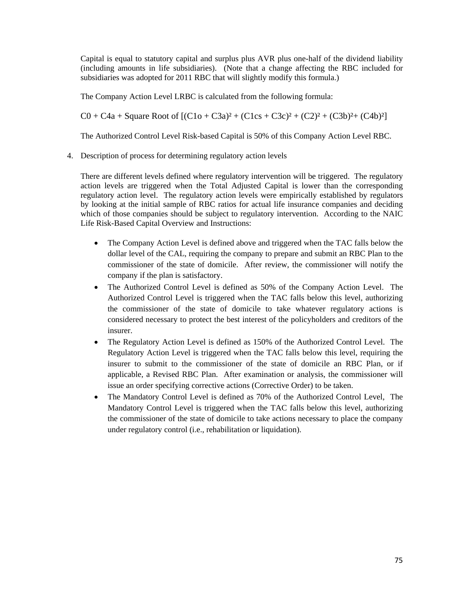Capital is equal to statutory capital and surplus plus AVR plus one-half of the dividend liability (including amounts in life subsidiaries). (Note that a change affecting the RBC included for subsidiaries was adopted for 2011 RBC that will slightly modify this formula.)

The Company Action Level LRBC is calculated from the following formula:

 $C0 + C4a + Square Root of [(C1o + C3a)<sup>2</sup> + (C1cs + C3c)<sup>2</sup> + (C2)<sup>2</sup> + (C3b)<sup>2</sup> + (C4b)<sup>2</sup>]$ 

The Authorized Control Level Risk-based Capital is 50% of this Company Action Level RBC.

4. Description of process for determining regulatory action levels

There are different levels defined where regulatory intervention will be triggered. The regulatory action levels are triggered when the Total Adjusted Capital is lower than the corresponding regulatory action level. The regulatory action levels were empirically established by regulators by looking at the initial sample of RBC ratios for actual life insurance companies and deciding which of those companies should be subject to regulatory intervention. According to the NAIC Life Risk-Based Capital Overview and Instructions:

- The Company Action Level is defined above and triggered when the TAC falls below the dollar level of the CAL, requiring the company to prepare and submit an RBC Plan to the commissioner of the state of domicile. After review, the commissioner will notify the company if the plan is satisfactory.
- The Authorized Control Level is defined as 50% of the Company Action Level. The Authorized Control Level is triggered when the TAC falls below this level, authorizing the commissioner of the state of domicile to take whatever regulatory actions is considered necessary to protect the best interest of the policyholders and creditors of the insurer.
- The Regulatory Action Level is defined as 150% of the Authorized Control Level. The Regulatory Action Level is triggered when the TAC falls below this level, requiring the insurer to submit to the commissioner of the state of domicile an RBC Plan, or if applicable, a Revised RBC Plan. After examination or analysis, the commissioner will issue an order specifying corrective actions (Corrective Order) to be taken.
- The Mandatory Control Level is defined as 70% of the Authorized Control Level, The Mandatory Control Level is triggered when the TAC falls below this level, authorizing the commissioner of the state of domicile to take actions necessary to place the company under regulatory control (i.e., rehabilitation or liquidation).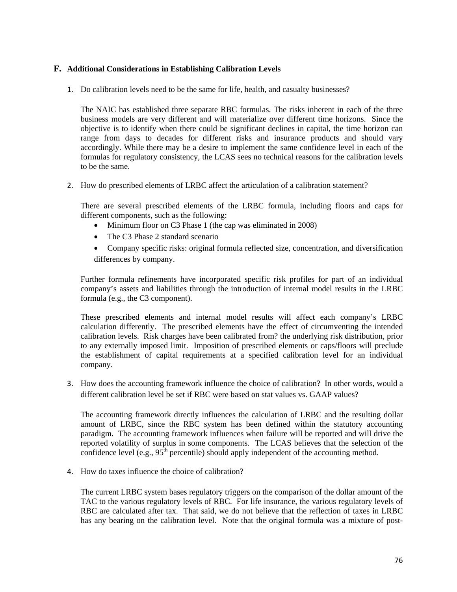### **F. Additional Considerations in Establishing Calibration Levels**

1. Do calibration levels need to be the same for life, health, and casualty businesses?

The NAIC has established three separate RBC formulas. The risks inherent in each of the three business models are very different and will materialize over different time horizons. Since the objective is to identify when there could be significant declines in capital, the time horizon can range from days to decades for different risks and insurance products and should vary accordingly. While there may be a desire to implement the same confidence level in each of the formulas for regulatory consistency, the LCAS sees no technical reasons for the calibration levels to be the same.

2. How do prescribed elements of LRBC affect the articulation of a calibration statement?

There are several prescribed elements of the LRBC formula, including floors and caps for different components, such as the following:

- Minimum floor on C3 Phase 1 (the cap was eliminated in 2008)
- The C3 Phase 2 standard scenario
- Company specific risks: original formula reflected size, concentration, and diversification differences by company.

Further formula refinements have incorporated specific risk profiles for part of an individual company's assets and liabilities through the introduction of internal model results in the LRBC formula (e.g., the C3 component).

These prescribed elements and internal model results will affect each company's LRBC calculation differently. The prescribed elements have the effect of circumventing the intended calibration levels. Risk charges have been calibrated from? the underlying risk distribution, prior to any externally imposed limit. Imposition of prescribed elements or caps/floors will preclude the establishment of capital requirements at a specified calibration level for an individual company.

3. How does the accounting framework influence the choice of calibration? In other words, would a different calibration level be set if RBC were based on stat values vs. GAAP values?

The accounting framework directly influences the calculation of LRBC and the resulting dollar amount of LRBC, since the RBC system has been defined within the statutory accounting paradigm. The accounting framework influences when failure will be reported and will drive the reported volatility of surplus in some components. The LCAS believes that the selection of the confidence level (e.g.,  $95<sup>th</sup>$  percentile) should apply independent of the accounting method.

4. How do taxes influence the choice of calibration?

The current LRBC system bases regulatory triggers on the comparison of the dollar amount of the TAC to the various regulatory levels of RBC. For life insurance, the various regulatory levels of RBC are calculated after tax. That said, we do not believe that the reflection of taxes in LRBC has any bearing on the calibration level. Note that the original formula was a mixture of post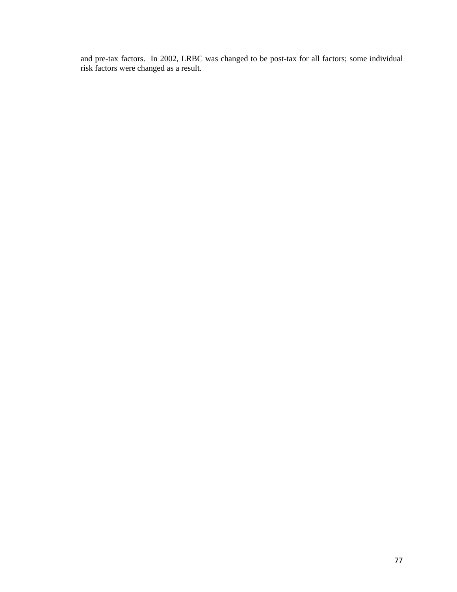and pre-tax factors. In 2002, LRBC was changed to be post-tax for all factors; some individual risk factors were changed as a result.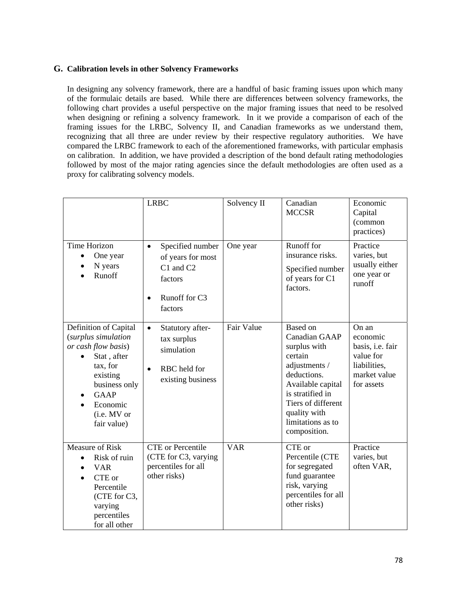## **G. Calibration levels in other Solvency Frameworks**

In designing any solvency framework, there are a handful of basic framing issues upon which many of the formulaic details are based. While there are differences between solvency frameworks, the following chart provides a useful perspective on the major framing issues that need to be resolved when designing or refining a solvency framework. In it we provide a comparison of each of the framing issues for the LRBC, Solvency II, and Canadian frameworks as we understand them, recognizing that all three are under review by their respective regulatory authorities. We have compared the LRBC framework to each of the aforementioned frameworks, with particular emphasis on calibration. In addition, we have provided a description of the bond default rating methodologies followed by most of the major rating agencies since the default methodologies are often used as a proxy for calibrating solvency models.

|                                                                                                                                                                                      | <b>LRBC</b>                                                                                                         | Solvency II | Canadian<br><b>MCCSR</b>                                                                                                                                                                                               | Economic<br>Capital<br>(common<br>practices)                                                     |
|--------------------------------------------------------------------------------------------------------------------------------------------------------------------------------------|---------------------------------------------------------------------------------------------------------------------|-------------|------------------------------------------------------------------------------------------------------------------------------------------------------------------------------------------------------------------------|--------------------------------------------------------------------------------------------------|
| <b>Time Horizon</b><br>One year<br>N years<br>Runoff                                                                                                                                 | Specified number<br>$\bullet$<br>of years for most<br>C1 and C2<br>factors<br>Runoff for C3<br>$\bullet$<br>factors | One year    | Runoff for<br>insurance risks.<br>Specified number<br>of years for C1<br>factors.                                                                                                                                      | Practice<br>varies, but<br>usually either<br>one year or<br>runoff                               |
| Definition of Capital<br>(surplus simulation<br>or cash flow basis)<br>Stat, after<br>tax, for<br>existing<br>business only<br><b>GAAP</b><br>Economic<br>(i.e. MV or<br>fair value) | Statutory after-<br>$\bullet$<br>tax surplus<br>simulation<br>RBC held for<br>$\bullet$<br>existing business        | Fair Value  | <b>Based</b> on<br><b>Canadian GAAP</b><br>surplus with<br>certain<br>adjustments /<br>deductions.<br>Available capital<br>is stratified in<br>Tiers of different<br>quality with<br>limitations as to<br>composition. | On an<br>economic<br>basis, i.e. fair<br>value for<br>liabilities,<br>market value<br>for assets |
| <b>Measure of Risk</b><br>Risk of ruin<br>$\bullet$<br><b>VAR</b><br>CTE or<br>Percentile<br>(CTE for C3,<br>varying<br>percentiles<br>for all other                                 | <b>CTE</b> or Percentile<br>(CTE for C3, varying<br>percentiles for all<br>other risks)                             | <b>VAR</b>  | CTE or<br>Percentile (CTE<br>for segregated<br>fund guarantee<br>risk, varying<br>percentiles for all<br>other risks)                                                                                                  | Practice<br>varies, but<br>often VAR,                                                            |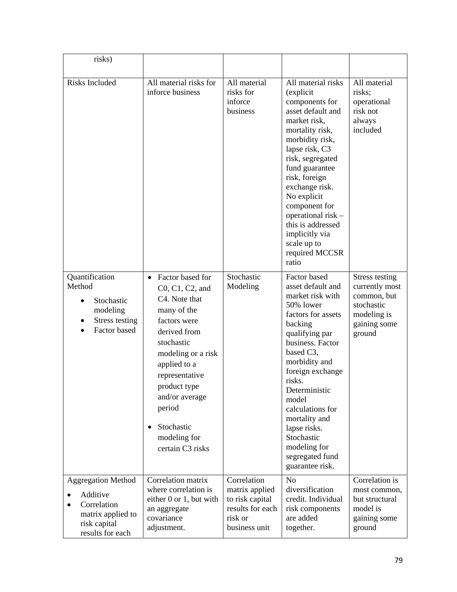| risks)                                                                                                        |                                                                                                                                                                                                                                                                                                     |                                                                                                  |                                                                                                                                                                                                                                                                                                                                                                |                                                                                                               |
|---------------------------------------------------------------------------------------------------------------|-----------------------------------------------------------------------------------------------------------------------------------------------------------------------------------------------------------------------------------------------------------------------------------------------------|--------------------------------------------------------------------------------------------------|----------------------------------------------------------------------------------------------------------------------------------------------------------------------------------------------------------------------------------------------------------------------------------------------------------------------------------------------------------------|---------------------------------------------------------------------------------------------------------------|
| Risks Included                                                                                                | All material risks for<br>inforce business                                                                                                                                                                                                                                                          | All material<br>risks for<br>inforce<br>business                                                 | All material risks<br>(explicit<br>components for<br>asset default and<br>market risk,<br>mortality risk,<br>morbidity risk,<br>lapse risk, C3<br>risk, segregated<br>fund guarantee<br>risk, foreign<br>exchange risk.<br>No explicit<br>component for<br>operational risk -<br>this is addressed<br>implicitly via<br>scale up to<br>required MCCSR<br>ratio | All material<br>risks;<br>operational<br>risk not<br>always<br>included                                       |
| Quantification<br>Method<br>Stochastic<br>$\bullet$<br>modeling<br><b>Stress testing</b><br>Factor based      | Factor based for<br>$\bullet$<br>$C0, C1, C2, and$<br>C4. Note that<br>many of the<br>factors were<br>derived from<br>stochastic<br>modeling or a risk<br>applied to a<br>representative<br>product type<br>and/or average<br>period<br>Stochastic<br>$\bullet$<br>modeling for<br>certain C3 risks | Stochastic<br>Modeling                                                                           | Factor based<br>asset default and<br>market risk with<br>50% lower<br>factors for assets<br>backing<br>qualifying par<br>business. Factor<br>based C3,<br>morbidity and<br>foreign exchange<br>risks.<br>Deterministic<br>model<br>calculations for<br>mortality and<br>lapse risks.<br>Stochastic<br>modeling for<br>segregated fund<br>guarantee risk.       | <b>Stress testing</b><br>currently most<br>common, but<br>stochastic<br>modeling is<br>gaining some<br>ground |
| <b>Aggregation Method</b><br>Additive<br>Correlation<br>matrix applied to<br>risk capital<br>results for each | Correlation matrix<br>where correlation is<br>either 0 or 1, but with<br>an aggregate<br>covariance<br>adjustment.                                                                                                                                                                                  | Correlation<br>matrix applied<br>to risk capital<br>results for each<br>risk or<br>business unit | N <sub>o</sub><br>diversification<br>credit. Individual<br>risk components<br>are added<br>together.                                                                                                                                                                                                                                                           | Correlation is<br>most common,<br>but structural<br>model is<br>gaining some<br>ground                        |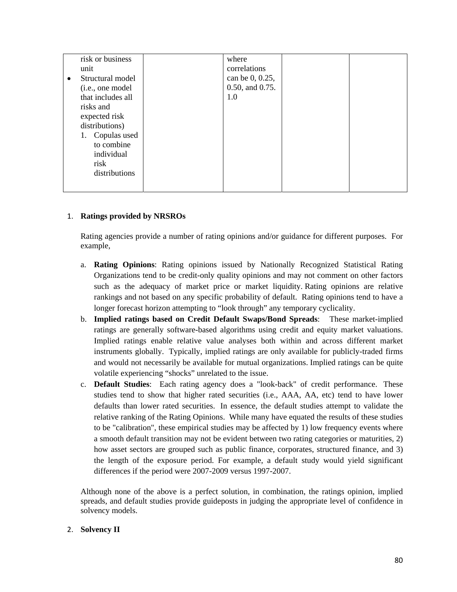| risk or business<br>unit                                                                                                                                                                          | where<br>correlations                     |  |
|---------------------------------------------------------------------------------------------------------------------------------------------------------------------------------------------------|-------------------------------------------|--|
| Structural model<br>$\bullet$<br>(i.e., one model<br>that includes all<br>risks and<br>expected risk<br>distributions)<br>Copulas used<br>1.<br>to combine<br>individual<br>risk<br>distributions | can be 0, 0.25,<br>0.50, and 0.75.<br>1.0 |  |

# 1. **Ratings provided by NRSROs**

Rating agencies provide a number of rating opinions and/or guidance for different purposes. For example,

- a. **Rating Opinions**: Rating opinions issued by Nationally Recognized Statistical Rating Organizations tend to be credit-only quality opinions and may not comment on other factors such as the adequacy of market price or market liquidity. Rating opinions are relative rankings and not based on any specific probability of default. Rating opinions tend to have a longer forecast horizon attempting to "look through" any temporary cyclicality.
- b. **Implied ratings based on Credit Default Swaps/Bond Spreads**: These market-implied ratings are generally software-based algorithms using credit and equity market valuations. Implied ratings enable relative value analyses both within and across different market instruments globally. Typically, implied ratings are only available for publicly-traded firms and would not necessarily be available for mutual organizations. Implied ratings can be quite volatile experiencing "shocks" unrelated to the issue.
- c. **Default Studies**: Each rating agency does a "look-back" of credit performance. These studies tend to show that higher rated securities (i.e., AAA, AA, etc) tend to have lower defaults than lower rated securities. In essence, the default studies attempt to validate the relative ranking of the Rating Opinions. While many have equated the results of these studies to be "calibration", these empirical studies may be affected by 1) low frequency events where a smooth default transition may not be evident between two rating categories or maturities, 2) how asset sectors are grouped such as public finance, corporates, structured finance, and 3) the length of the exposure period. For example, a default study would yield significant differences if the period were 2007-2009 versus 1997-2007.

Although none of the above is a perfect solution, in combination, the ratings opinion, implied spreads, and default studies provide guideposts in judging the appropriate level of confidence in solvency models.

### 2. **Solvency II**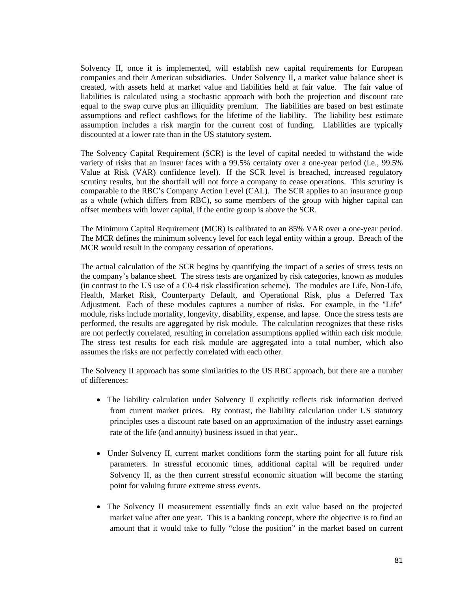Solvency II, once it is implemented, will establish new capital requirements for European companies and their American subsidiaries. Under Solvency II, a market value balance sheet is created, with assets held at market value and liabilities held at fair value. The fair value of liabilities is calculated using a stochastic approach with both the projection and discount rate equal to the swap curve plus an illiquidity premium. The liabilities are based on best estimate assumptions and reflect cashflows for the lifetime of the liability. The liability best estimate assumption includes a risk margin for the current cost of funding. Liabilities are typically discounted at a lower rate than in the US statutory system.

The Solvency Capital Requirement (SCR) is the level of capital needed to withstand the wide variety of risks that an insurer faces with a 99.5% certainty over a one-year period (i.e., 99.5% Value at Risk (VAR) confidence level). If the SCR level is breached, increased regulatory scrutiny results, but the shortfall will not force a company to cease operations. This scrutiny is comparable to the RBC's Company Action Level (CAL). The SCR applies to an insurance group as a whole (which differs from RBC), so some members of the group with higher capital can offset members with lower capital, if the entire group is above the SCR.

The Minimum Capital Requirement (MCR) is calibrated to an 85% VAR over a one-year period. The MCR defines the minimum solvency level for each legal entity within a group. Breach of the MCR would result in the company cessation of operations.

The actual calculation of the SCR begins by quantifying the impact of a series of stress tests on the company's balance sheet. The stress tests are organized by risk categories, known as modules (in contrast to the US use of a C0-4 risk classification scheme). The modules are Life, Non-Life, Health, Market Risk, Counterparty Default, and Operational Risk, plus a Deferred Tax Adjustment. Each of these modules captures a number of risks. For example, in the "Life" module, risks include mortality, longevity, disability, expense, and lapse. Once the stress tests are performed, the results are aggregated by risk module. The calculation recognizes that these risks are not perfectly correlated, resulting in correlation assumptions applied within each risk module. The stress test results for each risk module are aggregated into a total number, which also assumes the risks are not perfectly correlated with each other.

The Solvency II approach has some similarities to the US RBC approach, but there are a number of differences:

- The liability calculation under Solvency II explicitly reflects risk information derived from current market prices. By contrast, the liability calculation under US statutory principles uses a discount rate based on an approximation of the industry asset earnings rate of the life (and annuity) business issued in that year..
- Under Solvency II, current market conditions form the starting point for all future risk parameters. In stressful economic times, additional capital will be required under Solvency II, as the then current stressful economic situation will become the starting point for valuing future extreme stress events.
- The Solvency II measurement essentially finds an exit value based on the projected market value after one year. This is a banking concept, where the objective is to find an amount that it would take to fully "close the position" in the market based on current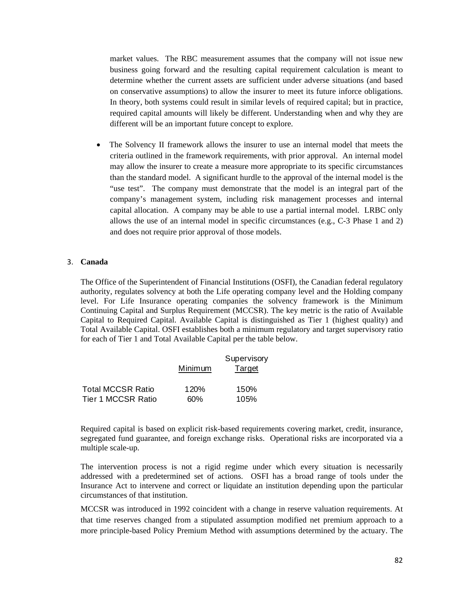market values. The RBC measurement assumes that the company will not issue new business going forward and the resulting capital requirement calculation is meant to determine whether the current assets are sufficient under adverse situations (and based on conservative assumptions) to allow the insurer to meet its future inforce obligations. In theory, both systems could result in similar levels of required capital; but in practice, required capital amounts will likely be different. Understanding when and why they are different will be an important future concept to explore.

The Solvency II framework allows the insurer to use an internal model that meets the criteria outlined in the framework requirements, with prior approval. An internal model may allow the insurer to create a measure more appropriate to its specific circumstances than the standard model. A significant hurdle to the approval of the internal model is the "use test". The company must demonstrate that the model is an integral part of the company's management system, including risk management processes and internal capital allocation. A company may be able to use a partial internal model. LRBC only allows the use of an internal model in specific circumstances (e.g., C-3 Phase 1 and 2) and does not require prior approval of those models.

#### 3. **Canada**

The Office of the Superintendent of Financial Institutions (OSFI), the Canadian federal regulatory authority, regulates solvency at both the Life operating company level and the Holding company level. For Life Insurance operating companies the solvency framework is the Minimum Continuing Capital and Surplus Requirement (MCCSR). The key metric is the ratio of Available Capital to Required Capital. Available Capital is distinguished as Tier 1 (highest quality) and Total Available Capital. OSFI establishes both a minimum regulatory and target supervisory ratio for each of Tier 1 and Total Available Capital per the table below.

|                          | Minimum | Supervisory<br>Target |
|--------------------------|---------|-----------------------|
| <b>Total MCCSR Ratio</b> | 120%    | 150%                  |
| Tier 1 MCCSR Ratio       | 60%     | 105%                  |

Required capital is based on explicit risk-based requirements covering market, credit, insurance, segregated fund guarantee, and foreign exchange risks. Operational risks are incorporated via a multiple scale-up.

The intervention process is not a rigid regime under which every situation is necessarily addressed with a predetermined set of actions. OSFI has a broad range of tools under the Insurance Act to intervene and correct or liquidate an institution depending upon the particular circumstances of that institution.

MCCSR was introduced in 1992 coincident with a change in reserve valuation requirements. At that time reserves changed from a stipulated assumption modified net premium approach to a more principle-based Policy Premium Method with assumptions determined by the actuary. The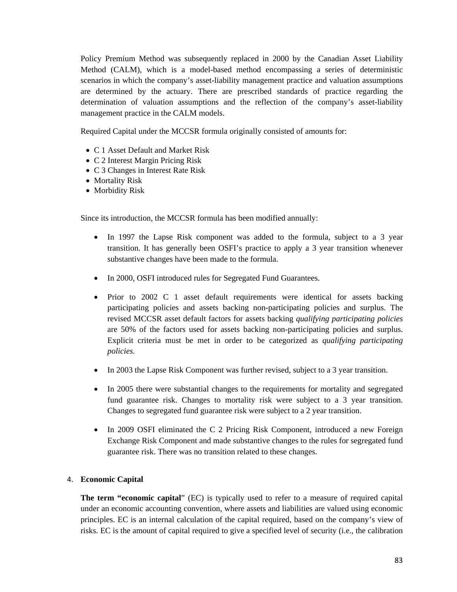Policy Premium Method was subsequently replaced in 2000 by the Canadian Asset Liability Method (CALM), which is a model-based method encompassing a series of deterministic scenarios in which the company's asset-liability management practice and valuation assumptions are determined by the actuary. There are prescribed standards of practice regarding the determination of valuation assumptions and the reflection of the company's asset-liability management practice in the CALM models.

Required Capital under the MCCSR formula originally consisted of amounts for:

- C 1 Asset Default and Market Risk
- C 2 Interest Margin Pricing Risk
- C 3 Changes in Interest Rate Risk
- Mortality Risk
- Morbidity Risk

Since its introduction, the MCCSR formula has been modified annually:

- In 1997 the Lapse Risk component was added to the formula, subject to a 3 year transition. It has generally been OSFI's practice to apply a 3 year transition whenever substantive changes have been made to the formula.
- In 2000, OSFI introduced rules for Segregated Fund Guarantees.
- Prior to 2002 C 1 asset default requirements were identical for assets backing participating policies and assets backing non-participating policies and surplus. The revised MCCSR asset default factors for assets backing *qualifying participating policies*  are 50% of the factors used for assets backing non-participating policies and surplus. Explicit criteria must be met in order to be categorized as *qualifying participating policies.*
- In 2003 the Lapse Risk Component was further revised, subject to a 3 year transition.
- In 2005 there were substantial changes to the requirements for mortality and segregated fund guarantee risk. Changes to mortality risk were subject to a 3 year transition. Changes to segregated fund guarantee risk were subject to a 2 year transition.
- In 2009 OSFI eliminated the C 2 Pricing Risk Component, introduced a new Foreign Exchange Risk Component and made substantive changes to the rules for segregated fund guarantee risk. There was no transition related to these changes.

# 4. **Economic Capital**

**The term "economic capital**" (EC) is typically used to refer to a measure of required capital under an economic accounting convention, where assets and liabilities are valued using economic principles. EC is an internal calculation of the capital required, based on the company's view of risks. EC is the amount of capital required to give a specified level of security (i.e., the calibration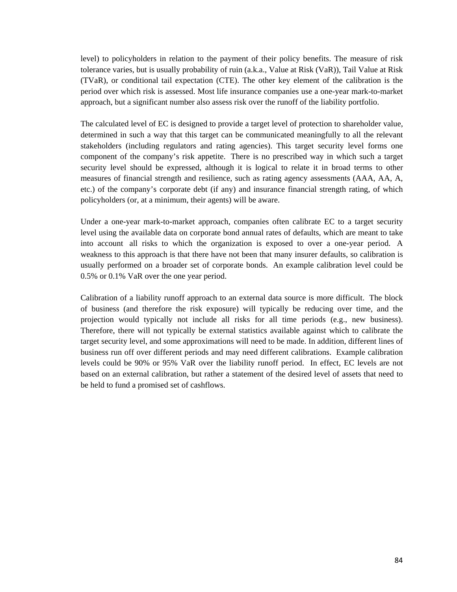level) to policyholders in relation to the payment of their policy benefits. The measure of risk tolerance varies, but is usually probability of ruin (a.k.a., Value at Risk (VaR)), Tail Value at Risk (TVaR), or conditional tail expectation (CTE). The other key element of the calibration is the period over which risk is assessed. Most life insurance companies use a one-year mark-to-market approach, but a significant number also assess risk over the runoff of the liability portfolio.

The calculated level of EC is designed to provide a target level of protection to shareholder value, determined in such a way that this target can be communicated meaningfully to all the relevant stakeholders (including regulators and rating agencies). This target security level forms one component of the company's risk appetite. There is no prescribed way in which such a target security level should be expressed, although it is logical to relate it in broad terms to other measures of financial strength and resilience, such as rating agency assessments (AAA, AA, A, etc.) of the company's corporate debt (if any) and insurance financial strength rating, of which policyholders (or, at a minimum, their agents) will be aware.

Under a one-year mark-to-market approach, companies often calibrate EC to a target security level using the available data on corporate bond annual rates of defaults, which are meant to take into account all risks to which the organization is exposed to over a one-year period. A weakness to this approach is that there have not been that many insurer defaults, so calibration is usually performed on a broader set of corporate bonds. An example calibration level could be 0.5% or 0.1% VaR over the one year period.

Calibration of a liability runoff approach to an external data source is more difficult. The block of business (and therefore the risk exposure) will typically be reducing over time, and the projection would typically not include all risks for all time periods (e.g., new business). Therefore, there will not typically be external statistics available against which to calibrate the target security level, and some approximations will need to be made. In addition, different lines of business run off over different periods and may need different calibrations. Example calibration levels could be 90% or 95% VaR over the liability runoff period. In effect, EC levels are not based on an external calibration, but rather a statement of the desired level of assets that need to be held to fund a promised set of cashflows.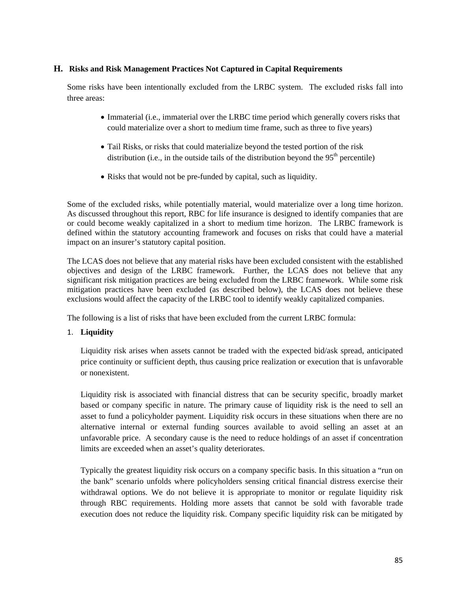## **H. Risks and Risk Management Practices Not Captured in Capital Requirements**

Some risks have been intentionally excluded from the LRBC system. The excluded risks fall into three areas:

- Immaterial (i.e., immaterial over the LRBC time period which generally covers risks that could materialize over a short to medium time frame, such as three to five years)
- Tail Risks, or risks that could materialize beyond the tested portion of the risk distribution (i.e., in the outside tails of the distribution beyond the  $95<sup>th</sup>$  percentile)
- Risks that would not be pre-funded by capital, such as liquidity.

Some of the excluded risks, while potentially material, would materialize over a long time horizon. As discussed throughout this report, RBC for life insurance is designed to identify companies that are or could become weakly capitalized in a short to medium time horizon. The LRBC framework is defined within the statutory accounting framework and focuses on risks that could have a material impact on an insurer's statutory capital position.

The LCAS does not believe that any material risks have been excluded consistent with the established objectives and design of the LRBC framework. Further, the LCAS does not believe that any significant risk mitigation practices are being excluded from the LRBC framework. While some risk mitigation practices have been excluded (as described below), the LCAS does not believe these exclusions would affect the capacity of the LRBC tool to identify weakly capitalized companies.

The following is a list of risks that have been excluded from the current LRBC formula:

# 1. **Liquidity**

Liquidity risk arises when assets cannot be traded with the expected bid/ask spread, anticipated price continuity or sufficient depth, thus causing price realization or execution that is unfavorable or nonexistent.

Liquidity risk is associated with financial distress that can be security specific, broadly market based or company specific in nature. The primary cause of liquidity risk is the need to sell an asset to fund a policyholder payment. Liquidity risk occurs in these situations when there are no alternative internal or external funding sources available to avoid selling an asset at an unfavorable price. A secondary cause is the need to reduce holdings of an asset if concentration limits are exceeded when an asset's quality deteriorates.

Typically the greatest liquidity risk occurs on a company specific basis. In this situation a "run on the bank" scenario unfolds where policyholders sensing critical financial distress exercise their withdrawal options. We do not believe it is appropriate to monitor or regulate liquidity risk through RBC requirements. Holding more assets that cannot be sold with favorable trade execution does not reduce the liquidity risk. Company specific liquidity risk can be mitigated by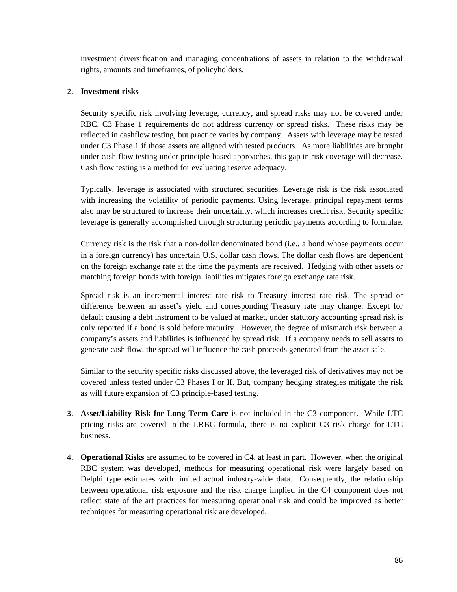investment diversification and managing concentrations of assets in relation to the withdrawal rights, amounts and timeframes, of policyholders.

## 2. **Investment risks**

Security specific risk involving leverage, currency, and spread risks may not be covered under RBC. C3 Phase 1 requirements do not address currency or spread risks. These risks may be reflected in cashflow testing, but practice varies by company. Assets with leverage may be tested under C3 Phase 1 if those assets are aligned with tested products. As more liabilities are brought under cash flow testing under principle-based approaches, this gap in risk coverage will decrease. Cash flow testing is a method for evaluating reserve adequacy.

Typically, leverage is associated with structured securities. Leverage risk is the risk associated with increasing the volatility of periodic payments. Using leverage, principal repayment terms also may be structured to increase their uncertainty, which increases credit risk. Security specific leverage is generally accomplished through structuring periodic payments according to formulae.

Currency risk is the risk that a non‐dollar denominated bond (i.e., a bond whose payments occur in a foreign currency) has uncertain U.S. dollar cash flows. The dollar cash flows are dependent on the foreign exchange rate at the time the payments are received. Hedging with other assets or matching foreign bonds with foreign liabilities mitigates foreign exchange rate risk.

Spread risk is an incremental interest rate risk to Treasury interest rate risk. The spread or difference between an asset's yield and corresponding Treasury rate may change. Except for default causing a debt instrument to be valued at market, under statutory accounting spread risk is only reported if a bond is sold before maturity. However, the degree of mismatch risk between a company's assets and liabilities is influenced by spread risk. If a company needs to sell assets to generate cash flow, the spread will influence the cash proceeds generated from the asset sale.

Similar to the security specific risks discussed above, the leveraged risk of derivatives may not be covered unless tested under C3 Phases I or II. But, company hedging strategies mitigate the risk as will future expansion of C3 principle-based testing.

- 3. **Asset/Liability Risk for Long Term Care** is not included in the C3 component. While LTC pricing risks are covered in the LRBC formula, there is no explicit C3 risk charge for LTC business.
- 4. **Operational Risks** are assumed to be covered in C4, at least in part. However, when the original RBC system was developed, methods for measuring operational risk were largely based on Delphi type estimates with limited actual industry-wide data. Consequently, the relationship between operational risk exposure and the risk charge implied in the C4 component does not reflect state of the art practices for measuring operational risk and could be improved as better techniques for measuring operational risk are developed.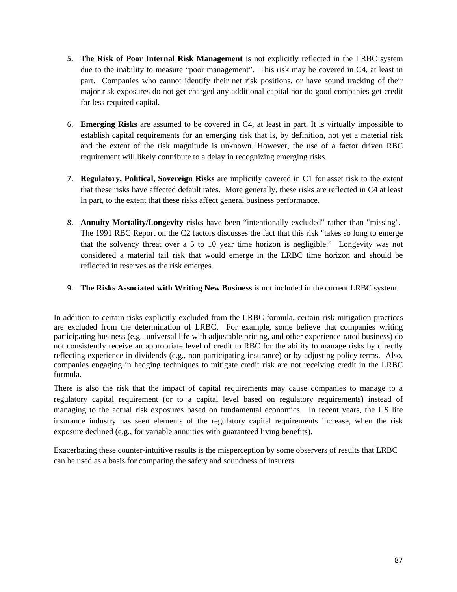- 5. **The Risk of Poor Internal Risk Management** is not explicitly reflected in the LRBC system due to the inability to measure "poor management". This risk may be covered in C4, at least in part. Companies who cannot identify their net risk positions, or have sound tracking of their major risk exposures do not get charged any additional capital nor do good companies get credit for less required capital.
- 6. **Emerging Risks** are assumed to be covered in C4, at least in part. It is virtually impossible to establish capital requirements for an emerging risk that is, by definition, not yet a material risk and the extent of the risk magnitude is unknown. However, the use of a factor driven RBC requirement will likely contribute to a delay in recognizing emerging risks.
- 7. **Regulatory, Political, Sovereign Risks** are implicitly covered in C1 for asset risk to the extent that these risks have affected default rates. More generally, these risks are reflected in C4 at least in part, to the extent that these risks affect general business performance.
- 8. **Annuity Mortality/Longevity risks** have been "intentionally excluded" rather than "missing". The 1991 RBC Report on the C2 factors discusses the fact that this risk "takes so long to emerge that the solvency threat over a 5 to 10 year time horizon is negligible." Longevity was not considered a material tail risk that would emerge in the LRBC time horizon and should be reflected in reserves as the risk emerges.
- 9. **The Risks Associated with Writing New Business** is not included in the current LRBC system.

In addition to certain risks explicitly excluded from the LRBC formula, certain risk mitigation practices are excluded from the determination of LRBC. For example, some believe that companies writing participating business (e.g., universal life with adjustable pricing, and other experience-rated business) do not consistently receive an appropriate level of credit to RBC for the ability to manage risks by directly reflecting experience in dividends (e.g., non-participating insurance) or by adjusting policy terms. Also, companies engaging in hedging techniques to mitigate credit risk are not receiving credit in the LRBC formula.

There is also the risk that the impact of capital requirements may cause companies to manage to a regulatory capital requirement (or to a capital level based on regulatory requirements) instead of managing to the actual risk exposures based on fundamental economics. In recent years, the US life insurance industry has seen elements of the regulatory capital requirements increase, when the risk exposure declined (e.g., for variable annuities with guaranteed living benefits).

Exacerbating these counter-intuitive results is the misperception by some observers of results that LRBC can be used as a basis for comparing the safety and soundness of insurers.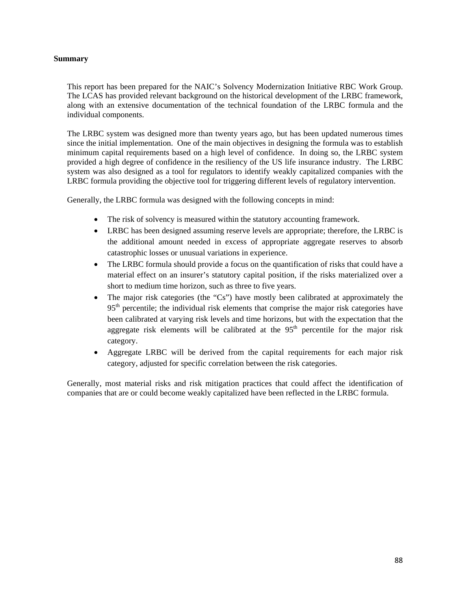### **Summary**

This report has been prepared for the NAIC's Solvency Modernization Initiative RBC Work Group. The LCAS has provided relevant background on the historical development of the LRBC framework, along with an extensive documentation of the technical foundation of the LRBC formula and the individual components.

The LRBC system was designed more than twenty years ago, but has been updated numerous times since the initial implementation. One of the main objectives in designing the formula was to establish minimum capital requirements based on a high level of confidence. In doing so, the LRBC system provided a high degree of confidence in the resiliency of the US life insurance industry. The LRBC system was also designed as a tool for regulators to identify weakly capitalized companies with the LRBC formula providing the objective tool for triggering different levels of regulatory intervention.

Generally, the LRBC formula was designed with the following concepts in mind:

- The risk of solvency is measured within the statutory accounting framework.
- LRBC has been designed assuming reserve levels are appropriate; therefore, the LRBC is the additional amount needed in excess of appropriate aggregate reserves to absorb catastrophic losses or unusual variations in experience.
- The LRBC formula should provide a focus on the quantification of risks that could have a material effect on an insurer's statutory capital position, if the risks materialized over a short to medium time horizon, such as three to five years.
- The major risk categories (the "Cs") have mostly been calibrated at approximately the 95<sup>th</sup> percentile; the individual risk elements that comprise the major risk categories have been calibrated at varying risk levels and time horizons, but with the expectation that the aggregate risk elements will be calibrated at the  $95<sup>th</sup>$  percentile for the major risk category.
- Aggregate LRBC will be derived from the capital requirements for each major risk category, adjusted for specific correlation between the risk categories.

Generally, most material risks and risk mitigation practices that could affect the identification of companies that are or could become weakly capitalized have been reflected in the LRBC formula.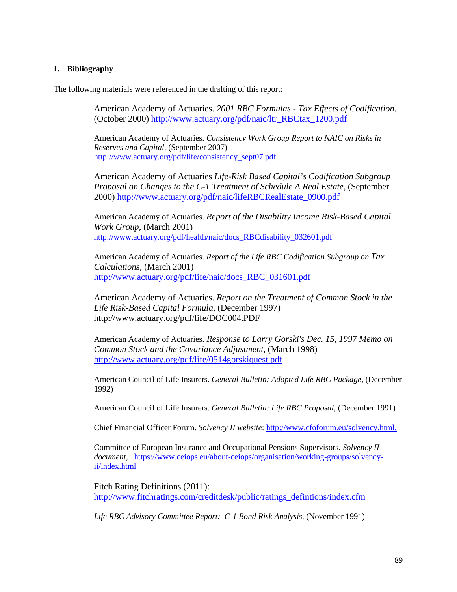### **I. Bibliography**

The following materials were referenced in the drafting of this report:

American Academy of Actuaries. *2001 RBC Formulas - Tax Effects of Codification*, (October 2000) http://www.actuary.org/pdf/naic/ltr\_RBCtax\_1200.pdf

American Academy of Actuaries. *Consistency Work Group Report to NAIC on Risks in Reserves and Capital,* (September 2007) http://www.actuary.org/pdf/life/consistency\_sept07.pdf

American Academy of Actuaries *Life-Risk Based Capital's Codification Subgroup Proposal on Changes to the C-1 Treatment of Schedule A Real Estate,* (September 2000) http://www.actuary.org/pdf/naic/lifeRBCRealEstate\_0900.pdf

American Academy of Actuaries. *Report of the Disability Income Risk-Based Capital Work Group,* (March 2001) http://www.actuary.org/pdf/health/naic/docs\_RBCdisability\_032601.pdf

American Academy of Actuaries. *Report of the Life RBC Codification Subgroup on Tax Calculations,* (March 2001) http://www.actuary.org/pdf/life/naic/docs\_RBC\_031601.pdf

American Academy of Actuaries. *Report on the Treatment of Common Stock in the Life Risk-Based Capital Formula*, (December 1997) http://www.actuary.org/pdf/life/DOC004.PDF

American Academy of Actuaries. *Response to Larry Gorski's Dec. 15, 1997 Memo on Common Stock and the Covariance Adjustment,* (March 1998) http://www.actuary.org/pdf/life/0514gorskiquest.pdf

American Council of Life Insurers. *General Bulletin: Adopted Life RBC Package,* (December 1992)

American Council of Life Insurers. *General Bulletin: Life RBC Proposal,* (December 1991)

Chief Financial Officer Forum. *Solvency II website*: http://www.cfoforum.eu/solvency.html.

Committee of European Insurance and Occupational Pensions Supervisors. *Solvency II document*, https://www.ceiops.eu/about-ceiops/organisation/working-groups/solvencyii/index.html

Fitch Rating Definitions (2011): http://www.fitchratings.com/creditdesk/public/ratings\_defintions/index.cfm

*Life RBC Advisory Committee Report: C-1 Bond Risk Analysis,* (November 1991)